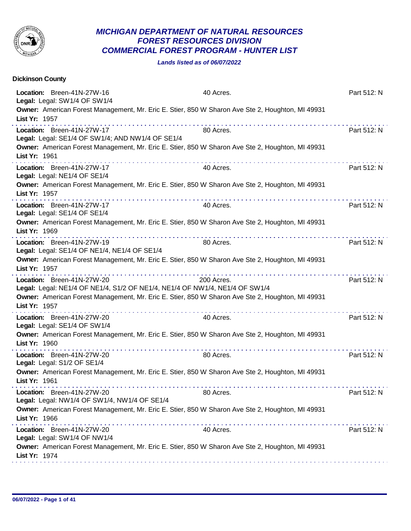

## *MICHIGAN DEPARTMENT OF NATURAL RESOURCES FOREST RESOURCES DIVISION COMMERCIAL FOREST PROGRAM - HUNTER LIST*

*Lands listed as of 06/07/2022*

| Location: Breen-41N-27W-16<br>40 Acres.<br>Part 512: N<br>Legal: Legal: SW1/4 OF SW1/4<br>Owner: American Forest Management, Mr. Eric E. Stier, 850 W Sharon Ave Ste 2, Houghton, MI 49931<br>List Yr: 1957<br>Location: Breen-41N-27W-17<br>Part 512: N<br>80 Acres.<br>Legal: Legal: SE1/4 OF SW1/4; AND NW1/4 OF SE1/4<br>Owner: American Forest Management, Mr. Eric E. Stier, 850 W Sharon Ave Ste 2, Houghton, MI 49931<br>List Yr: 1961<br>Part 512: N<br>Location: Breen-41N-27W-17<br>40 Acres.<br>Legal: Legal: NE1/4 OF SE1/4<br>Owner: American Forest Management, Mr. Eric E. Stier, 850 W Sharon Ave Ste 2, Houghton, MI 49931<br>List Yr: 1957<br>Location: Breen-41N-27W-17<br>40 Acres.<br>Part 512: N<br>Legal: Legal: SE1/4 OF SE1/4<br>Owner: American Forest Management, Mr. Eric E. Stier, 850 W Sharon Ave Ste 2, Houghton, MI 49931<br>List Yr: 1969<br>Location: Breen-41N-27W-19<br>Part 512: N<br>80 Acres.<br>Legal: Legal: SE1/4 OF NE1/4, NE1/4 OF SE1/4<br>Owner: American Forest Management, Mr. Eric E. Stier, 850 W Sharon Ave Ste 2, Houghton, MI 49931<br>List Yr: 1957<br>.<br>Location: Breen-41N-27W-20<br>Part 512: N<br>200 Acres.<br>Legal: Legal: NE1/4 OF NE1/4, S1/2 OF NE1/4, NE1/4 OF NW1/4, NE1/4 OF SW1/4<br>Owner: American Forest Management, Mr. Eric E. Stier, 850 W Sharon Ave Ste 2, Houghton, MI 49931<br>List Yr: 1957<br>Location: Breen-41N-27W-20<br>40 Acres.<br>Part 512: N<br>Legal: Legal: SE1/4 OF SW1/4<br>Owner: American Forest Management, Mr. Eric E. Stier, 850 W Sharon Ave Ste 2, Houghton, MI 49931<br>List Yr: 1960 |
|------------------------------------------------------------------------------------------------------------------------------------------------------------------------------------------------------------------------------------------------------------------------------------------------------------------------------------------------------------------------------------------------------------------------------------------------------------------------------------------------------------------------------------------------------------------------------------------------------------------------------------------------------------------------------------------------------------------------------------------------------------------------------------------------------------------------------------------------------------------------------------------------------------------------------------------------------------------------------------------------------------------------------------------------------------------------------------------------------------------------------------------------------------------------------------------------------------------------------------------------------------------------------------------------------------------------------------------------------------------------------------------------------------------------------------------------------------------------------------------------------------------------------------------------------------------------------------------------|
|                                                                                                                                                                                                                                                                                                                                                                                                                                                                                                                                                                                                                                                                                                                                                                                                                                                                                                                                                                                                                                                                                                                                                                                                                                                                                                                                                                                                                                                                                                                                                                                                |
|                                                                                                                                                                                                                                                                                                                                                                                                                                                                                                                                                                                                                                                                                                                                                                                                                                                                                                                                                                                                                                                                                                                                                                                                                                                                                                                                                                                                                                                                                                                                                                                                |
|                                                                                                                                                                                                                                                                                                                                                                                                                                                                                                                                                                                                                                                                                                                                                                                                                                                                                                                                                                                                                                                                                                                                                                                                                                                                                                                                                                                                                                                                                                                                                                                                |
|                                                                                                                                                                                                                                                                                                                                                                                                                                                                                                                                                                                                                                                                                                                                                                                                                                                                                                                                                                                                                                                                                                                                                                                                                                                                                                                                                                                                                                                                                                                                                                                                |
|                                                                                                                                                                                                                                                                                                                                                                                                                                                                                                                                                                                                                                                                                                                                                                                                                                                                                                                                                                                                                                                                                                                                                                                                                                                                                                                                                                                                                                                                                                                                                                                                |
|                                                                                                                                                                                                                                                                                                                                                                                                                                                                                                                                                                                                                                                                                                                                                                                                                                                                                                                                                                                                                                                                                                                                                                                                                                                                                                                                                                                                                                                                                                                                                                                                |
|                                                                                                                                                                                                                                                                                                                                                                                                                                                                                                                                                                                                                                                                                                                                                                                                                                                                                                                                                                                                                                                                                                                                                                                                                                                                                                                                                                                                                                                                                                                                                                                                |
|                                                                                                                                                                                                                                                                                                                                                                                                                                                                                                                                                                                                                                                                                                                                                                                                                                                                                                                                                                                                                                                                                                                                                                                                                                                                                                                                                                                                                                                                                                                                                                                                |
|                                                                                                                                                                                                                                                                                                                                                                                                                                                                                                                                                                                                                                                                                                                                                                                                                                                                                                                                                                                                                                                                                                                                                                                                                                                                                                                                                                                                                                                                                                                                                                                                |
|                                                                                                                                                                                                                                                                                                                                                                                                                                                                                                                                                                                                                                                                                                                                                                                                                                                                                                                                                                                                                                                                                                                                                                                                                                                                                                                                                                                                                                                                                                                                                                                                |
|                                                                                                                                                                                                                                                                                                                                                                                                                                                                                                                                                                                                                                                                                                                                                                                                                                                                                                                                                                                                                                                                                                                                                                                                                                                                                                                                                                                                                                                                                                                                                                                                |
|                                                                                                                                                                                                                                                                                                                                                                                                                                                                                                                                                                                                                                                                                                                                                                                                                                                                                                                                                                                                                                                                                                                                                                                                                                                                                                                                                                                                                                                                                                                                                                                                |
| Part 512: N<br>Location: Breen-41N-27W-20<br>80 Acres.<br>Legal: Legal: S1/2 OF SE1/4                                                                                                                                                                                                                                                                                                                                                                                                                                                                                                                                                                                                                                                                                                                                                                                                                                                                                                                                                                                                                                                                                                                                                                                                                                                                                                                                                                                                                                                                                                          |
| Owner: American Forest Management, Mr. Eric E. Stier, 850 W Sharon Ave Ste 2, Houghton, MI 49931<br>List Yr: 1961                                                                                                                                                                                                                                                                                                                                                                                                                                                                                                                                                                                                                                                                                                                                                                                                                                                                                                                                                                                                                                                                                                                                                                                                                                                                                                                                                                                                                                                                              |
| Location: Breen-41N-27W-20<br>80 Acres.<br>Part 512: N<br>Legal: Legal: NW1/4 OF SW1/4, NW1/4 OF SE1/4                                                                                                                                                                                                                                                                                                                                                                                                                                                                                                                                                                                                                                                                                                                                                                                                                                                                                                                                                                                                                                                                                                                                                                                                                                                                                                                                                                                                                                                                                         |
| Owner: American Forest Management, Mr. Eric E. Stier, 850 W Sharon Ave Ste 2, Houghton, MI 49931<br>List Yr: 1966<br>.                                                                                                                                                                                                                                                                                                                                                                                                                                                                                                                                                                                                                                                                                                                                                                                                                                                                                                                                                                                                                                                                                                                                                                                                                                                                                                                                                                                                                                                                         |
| Location: Breen-41N-27W-20<br>40 Acres.<br>Part 512: N<br>Legal: Legal: SW1/4 OF NW1/4                                                                                                                                                                                                                                                                                                                                                                                                                                                                                                                                                                                                                                                                                                                                                                                                                                                                                                                                                                                                                                                                                                                                                                                                                                                                                                                                                                                                                                                                                                         |
| Owner: American Forest Management, Mr. Eric E. Stier, 850 W Sharon Ave Ste 2, Houghton, MI 49931<br>List Yr: 1974                                                                                                                                                                                                                                                                                                                                                                                                                                                                                                                                                                                                                                                                                                                                                                                                                                                                                                                                                                                                                                                                                                                                                                                                                                                                                                                                                                                                                                                                              |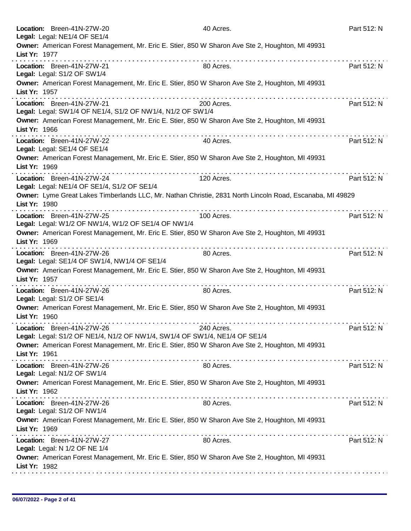|               | Location: Breen-41N-27W-20<br>Legal: Legal: NE1/4 OF SE1/4                                                                                                                                                                                                                                                                                                                                                                                                                                                                                                    | 40 Acres.                                                                                                 | Part 512: N |
|---------------|---------------------------------------------------------------------------------------------------------------------------------------------------------------------------------------------------------------------------------------------------------------------------------------------------------------------------------------------------------------------------------------------------------------------------------------------------------------------------------------------------------------------------------------------------------------|-----------------------------------------------------------------------------------------------------------|-------------|
| List Yr: 1977 | Owner: American Forest Management, Mr. Eric E. Stier, 850 W Sharon Ave Ste 2, Houghton, MI 49931                                                                                                                                                                                                                                                                                                                                                                                                                                                              |                                                                                                           |             |
|               | Location: Breen-41N-27W-21<br>Legal: Legal: S1/2 OF SW1/4                                                                                                                                                                                                                                                                                                                                                                                                                                                                                                     | 80 Acres.                                                                                                 | Part 512: N |
| List Yr: 1957 | Owner: American Forest Management, Mr. Eric E. Stier, 850 W Sharon Ave Ste 2, Houghton, MI 49931                                                                                                                                                                                                                                                                                                                                                                                                                                                              |                                                                                                           |             |
|               | Location: Breen-41N-27W-21<br>Legal: Legal: SW1/4 OF NE1/4, S1/2 OF NW1/4, N1/2 OF SW1/4                                                                                                                                                                                                                                                                                                                                                                                                                                                                      | 200 Acres.                                                                                                | Part 512: N |
| List Yr: 1966 | Owner: American Forest Management, Mr. Eric E. Stier, 850 W Sharon Ave Ste 2, Houghton, MI 49931<br>$\label{eq:2.1} \begin{array}{lllllllllllllllllll} \mathbf{1}_{\mathbf{1}} & \mathbf{1}_{\mathbf{1}} & \mathbf{1}_{\mathbf{1}} & \mathbf{1}_{\mathbf{1}} & \mathbf{1}_{\mathbf{1}} & \mathbf{1}_{\mathbf{1}} & \mathbf{1}_{\mathbf{1}} & \mathbf{1}_{\mathbf{1}} & \mathbf{1}_{\mathbf{1}} & \mathbf{1}_{\mathbf{1}} & \mathbf{1}_{\mathbf{1}} & \mathbf{1}_{\mathbf{1}} & \mathbf{1}_{\mathbf{1}} & \mathbf{1}_{\mathbf{1}} & \mathbf{1}_{\mathbf{1}} &$ |                                                                                                           |             |
|               | Location: Breen-41N-27W-22<br>Legal: Legal: SE1/4 OF SE1/4                                                                                                                                                                                                                                                                                                                                                                                                                                                                                                    | 40 Acres.                                                                                                 | Part 512: N |
| List Yr: 1969 | Owner: American Forest Management, Mr. Eric E. Stier, 850 W Sharon Ave Ste 2, Houghton, MI 49931                                                                                                                                                                                                                                                                                                                                                                                                                                                              |                                                                                                           |             |
|               | Location: Breen-41N-27W-24<br>Legal: Legal: NE1/4 OF SE1/4, S1/2 OF SE1/4                                                                                                                                                                                                                                                                                                                                                                                                                                                                                     | 120 Acres.                                                                                                | Part 512: N |
| List Yr: 1980 | .                                                                                                                                                                                                                                                                                                                                                                                                                                                                                                                                                             | Owner: Lyme Great Lakes Timberlands LLC, Mr. Nathan Christie, 2831 North Lincoln Road, Escanaba, MI 49829 |             |
|               | Location: Breen-41N-27W-25<br>Legal: Legal: W1/2 OF NW1/4, W1/2 OF SE1/4 OF NW1/4                                                                                                                                                                                                                                                                                                                                                                                                                                                                             | 100 Acres.                                                                                                | Part 512: N |
| List Yr: 1969 | Owner: American Forest Management, Mr. Eric E. Stier, 850 W Sharon Ave Ste 2, Houghton, MI 49931<br>.                                                                                                                                                                                                                                                                                                                                                                                                                                                         |                                                                                                           |             |
|               | Location: Breen-41N-27W-26<br>Legal: Legal: SE1/4 OF SW1/4, NW1/4 OF SE1/4                                                                                                                                                                                                                                                                                                                                                                                                                                                                                    | 80 Acres.                                                                                                 | Part 512: N |
| List Yr: 1957 | Owner: American Forest Management, Mr. Eric E. Stier, 850 W Sharon Ave Ste 2, Houghton, MI 49931                                                                                                                                                                                                                                                                                                                                                                                                                                                              |                                                                                                           |             |
|               | Location: Breen-41N-27W-26<br>Legal: Legal: S1/2 OF SE1/4                                                                                                                                                                                                                                                                                                                                                                                                                                                                                                     | 80 Acres.                                                                                                 | Part 512: N |
| List Yr: 1960 | Owner: American Forest Management, Mr. Eric E. Stier, 850 W Sharon Ave Ste 2, Houghton, MI 49931                                                                                                                                                                                                                                                                                                                                                                                                                                                              |                                                                                                           |             |
|               | Location: Breen-41N-27W-26<br>Legal: Legal: S1/2 OF NE1/4, N1/2 OF NW1/4, SW1/4 OF SW1/4, NE1/4 OF SE1/4                                                                                                                                                                                                                                                                                                                                                                                                                                                      | 240 Acres.                                                                                                | Part 512: N |
| List Yr: 1961 | Owner: American Forest Management, Mr. Eric E. Stier, 850 W Sharon Ave Ste 2, Houghton, MI 49931                                                                                                                                                                                                                                                                                                                                                                                                                                                              |                                                                                                           |             |
|               | Location: Breen-41N-27W-26<br>Legal: Legal: N1/2 OF SW1/4                                                                                                                                                                                                                                                                                                                                                                                                                                                                                                     | 80 Acres.                                                                                                 | Part 512: N |
| List Yr: 1962 | Owner: American Forest Management, Mr. Eric E. Stier, 850 W Sharon Ave Ste 2, Houghton, MI 49931                                                                                                                                                                                                                                                                                                                                                                                                                                                              |                                                                                                           |             |
|               | Location: Breen-41N-27W-26<br>Legal: Legal: S1/2 OF NW1/4                                                                                                                                                                                                                                                                                                                                                                                                                                                                                                     | 80 Acres.                                                                                                 | Part 512: N |
| List Yr: 1969 | Owner: American Forest Management, Mr. Eric E. Stier, 850 W Sharon Ave Ste 2, Houghton, MI 49931                                                                                                                                                                                                                                                                                                                                                                                                                                                              |                                                                                                           |             |
|               | Location: Breen-41N-27W-27<br>Legal: Legal: N 1/2 OF NE 1/4                                                                                                                                                                                                                                                                                                                                                                                                                                                                                                   | 80 Acres.                                                                                                 | Part 512: N |
| List Yr: 1982 | Owner: American Forest Management, Mr. Eric E. Stier, 850 W Sharon Ave Ste 2, Houghton, MI 49931                                                                                                                                                                                                                                                                                                                                                                                                                                                              |                                                                                                           |             |
|               |                                                                                                                                                                                                                                                                                                                                                                                                                                                                                                                                                               |                                                                                                           |             |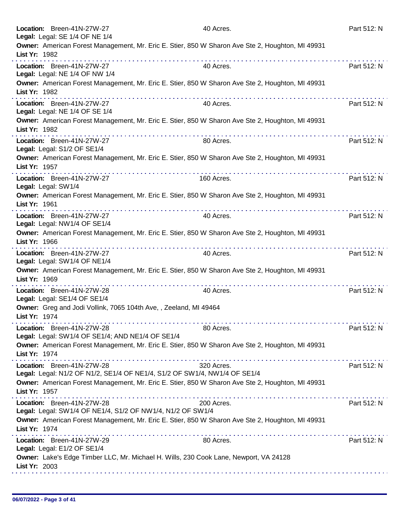|               | Location: Breen-41N-27W-27<br>Legal: Legal: SE 1/4 OF NE 1/4                                            | 40 Acres.      | Part 512: N |
|---------------|---------------------------------------------------------------------------------------------------------|----------------|-------------|
| List Yr: 1982 | Owner: American Forest Management, Mr. Eric E. Stier, 850 W Sharon Ave Ste 2, Houghton, MI 49931        |                |             |
|               | Location: Breen-41N-27W-27<br>Legal: Legal: NE 1/4 OF NW 1/4                                            | 40 Acres.      | Part 512: N |
| List Yr: 1982 | Owner: American Forest Management, Mr. Eric E. Stier, 850 W Sharon Ave Ste 2, Houghton, MI 49931        |                |             |
|               | Location: Breen-41N-27W-27<br>Legal: Legal: NE 1/4 OF SE 1/4                                            | 40 Acres.      | Part 512: N |
| List Yr: 1982 | Owner: American Forest Management, Mr. Eric E. Stier, 850 W Sharon Ave Ste 2, Houghton, MI 49931        |                |             |
|               | Location: Breen-41N-27W-27<br>Legal: Legal: S1/2 OF SE1/4                                               | .<br>80 Acres. | Part 512: N |
| List Yr: 1957 | Owner: American Forest Management, Mr. Eric E. Stier, 850 W Sharon Ave Ste 2, Houghton, MI 49931        |                |             |
|               | Location: Breen-41N-27W-27<br>Legal: Legal: SW1/4                                                       | 160 Acres.     | Part 512: N |
| List Yr: 1961 | Owner: American Forest Management, Mr. Eric E. Stier, 850 W Sharon Ave Ste 2, Houghton, MI 49931        |                |             |
|               | Location: Breen-41N-27W-27<br>Legal: Legal: NW1/4 OF SE1/4                                              | 40 Acres.      | Part 512: N |
| List Yr: 1966 | Owner: American Forest Management, Mr. Eric E. Stier, 850 W Sharon Ave Ste 2, Houghton, MI 49931        |                |             |
|               | Location: Breen-41N-27W-27<br>Legal: Legal: SW1/4 OF NE1/4                                              | 40 Acres.      | Part 512: N |
| List Yr: 1969 | Owner: American Forest Management, Mr. Eric E. Stier, 850 W Sharon Ave Ste 2, Houghton, MI 49931        |                |             |
|               | Location: Breen-41N-27W-28<br>Legal: Legal: SE1/4 OF SE1/4                                              | 40 Acres.      | Part 512: N |
| List Yr: 1974 | Owner: Greg and Jodi Vollink, 7065 104th Ave,, Zeeland, MI 49464                                        |                |             |
|               | Location: Breen-41N-27W-28<br>Legal: Legal: SW1/4 OF SE1/4; AND NE1/4 OF SE1/4                          | 80 Acres.      | Part 512: N |
| List Yr: 1974 | Owner: American Forest Management, Mr. Eric E. Stier, 850 W Sharon Ave Ste 2, Houghton, MI 49931        |                |             |
|               | Location: Breen-41N-27W-28<br>Legal: Legal: N1/2 OF N1/2, SE1/4 OF NE1/4, S1/2 OF SW1/4, NW1/4 OF SE1/4 | 320 Acres.     | Part 512: N |
| List Yr: 1957 | Owner: American Forest Management, Mr. Eric E. Stier, 850 W Sharon Ave Ste 2, Houghton, MI 49931        |                |             |
|               | Location: Breen-41N-27W-28<br>Legal: Legal: SW1/4 OF NE1/4, S1/2 OF NW1/4, N1/2 OF SW1/4                | 200 Acres.     | Part 512: N |
| List Yr: 1974 | Owner: American Forest Management, Mr. Eric E. Stier, 850 W Sharon Ave Ste 2, Houghton, MI 49931        |                |             |
|               | Location: Breen-41N-27W-29<br>Legal: Legal: E1/2 OF SE1/4                                               | 80 Acres.      | Part 512: N |
| List Yr: 2003 | Owner: Lake's Edge Timber LLC, Mr. Michael H. Wills, 230 Cook Lane, Newport, VA 24128                   |                |             |
|               |                                                                                                         |                |             |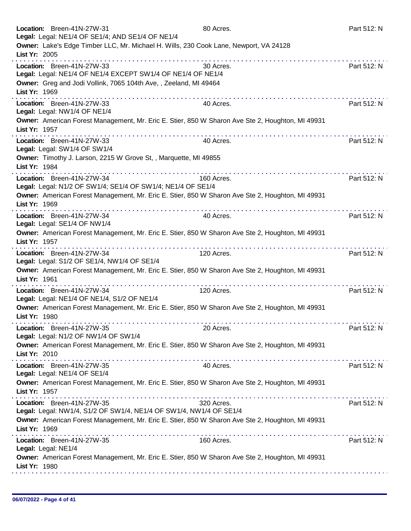| Location: Breen-41N-27W-31                                         | Legal: Legal: NE1/4 OF SE1/4; AND SE1/4 OF NE1/4                                      | 80 Acres.                                                                                        | Part 512: N |
|--------------------------------------------------------------------|---------------------------------------------------------------------------------------|--------------------------------------------------------------------------------------------------|-------------|
| List Yr: 2005                                                      | Owner: Lake's Edge Timber LLC, Mr. Michael H. Wills, 230 Cook Lane, Newport, VA 24128 |                                                                                                  |             |
| Location: Breen-41N-27W-33                                         | Legal: Legal: NE1/4 OF NE1/4 EXCEPT SW1/4 OF NE1/4 OF NE1/4                           | 30 Acres.                                                                                        | Part 512: N |
| List Yr: 1969                                                      | Owner: Greg and Jodi Vollink, 7065 104th Ave,, Zeeland, MI 49464                      |                                                                                                  |             |
| Location: Breen-41N-27W-33<br>Legal: Legal: NW1/4 OF NE1/4         | .                                                                                     | 40 Acres.                                                                                        | Part 512: N |
| List Yr: 1957                                                      |                                                                                       | Owner: American Forest Management, Mr. Eric E. Stier, 850 W Sharon Ave Ste 2, Houghton, MI 49931 |             |
| Location: Breen-41N-27W-33<br>Legal: Legal: SW1/4 OF SW1/4         |                                                                                       | 40 Acres.                                                                                        | Part 512: N |
| List Yr: 1984                                                      | Owner: Timothy J. Larson, 2215 W Grove St,, Marquette, MI 49855                       |                                                                                                  |             |
| Location: Breen-41N-27W-34                                         | Legal: Legal: N1/2 OF SW1/4; SE1/4 OF SW1/4; NE1/4 OF SE1/4                           | 160 Acres.                                                                                       | Part 512: N |
| List Yr: 1969                                                      |                                                                                       | Owner: American Forest Management, Mr. Eric E. Stier, 850 W Sharon Ave Ste 2, Houghton, MI 49931 |             |
| Location: Breen-41N-27W-34<br>Legal: Legal: SE1/4 OF NW1/4         |                                                                                       | 40 Acres.                                                                                        | Part 512: N |
| List Yr: 1957                                                      |                                                                                       | Owner: American Forest Management, Mr. Eric E. Stier, 850 W Sharon Ave Ste 2, Houghton, MI 49931 |             |
| Location: Breen-41N-27W-34                                         | Legal: Legal: S1/2 OF SE1/4, NW1/4 OF SE1/4                                           | 120 Acres.                                                                                       | Part 512: N |
| List Yr: 1961                                                      | .                                                                                     | Owner: American Forest Management, Mr. Eric E. Stier, 850 W Sharon Ave Ste 2, Houghton, MI 49931 |             |
| Location: Breen-41N-27W-34                                         | Legal: Legal: NE1/4 OF NE1/4, S1/2 OF NE1/4                                           | 120 Acres.                                                                                       | Part 512: N |
| List Yr: 1980                                                      |                                                                                       | Owner: American Forest Management, Mr. Eric E. Stier, 850 W Sharon Ave Ste 2, Houghton, MI 49931 |             |
| Location: Breen-41N-27W-35<br>Legal: Legal: N1/2 OF NW1/4 OF SW1/4 |                                                                                       | 20 Acres.                                                                                        | Part 512: N |
| List Yr: 2010                                                      |                                                                                       | Owner: American Forest Management, Mr. Eric E. Stier, 850 W Sharon Ave Ste 2, Houghton, MI 49931 |             |
| Location: Breen-41N-27W-35<br>Legal: Legal: NE1/4 OF SE1/4         |                                                                                       | 40 Acres.                                                                                        | Part 512: N |
| List Yr: 1957                                                      |                                                                                       | Owner: American Forest Management, Mr. Eric E. Stier, 850 W Sharon Ave Ste 2, Houghton, MI 49931 |             |
| Location: Breen-41N-27W-35                                         | Legal: Legal: NW1/4, S1/2 OF SW1/4, NE1/4 OF SW1/4, NW1/4 OF SE1/4                    | 320 Acres.                                                                                       | Part 512: N |
| List Yr: 1969                                                      |                                                                                       | Owner: American Forest Management, Mr. Eric E. Stier, 850 W Sharon Ave Ste 2, Houghton, MI 49931 |             |
| Location: Breen-41N-27W-35<br>Legal: Legal: NE1/4                  |                                                                                       | 160 Acres.                                                                                       | Part 512: N |
| List Yr: 1980                                                      |                                                                                       | Owner: American Forest Management, Mr. Eric E. Stier, 850 W Sharon Ave Ste 2, Houghton, MI 49931 |             |
|                                                                    |                                                                                       |                                                                                                  |             |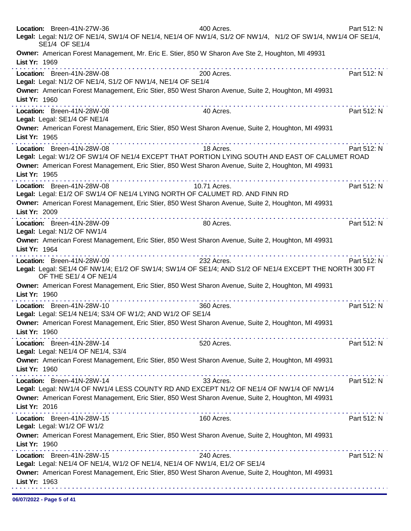|               | Location: Breen-41N-27W-36<br>Legal: Legal: N1/2 OF NE1/4, SW1/4 OF NE1/4, NE1/4 OF NW1/4, S1/2 OF NW1/4, N1/2 OF SW1/4, NW1/4 OF SE1/4,<br>SE1/4 OF SE1/4                                                                        | 400 Acres.      | Part 512: N |
|---------------|-----------------------------------------------------------------------------------------------------------------------------------------------------------------------------------------------------------------------------------|-----------------|-------------|
| List Yr: 1969 | Owner: American Forest Management, Mr. Eric E. Stier, 850 W Sharon Ave Ste 2, Houghton, MI 49931                                                                                                                                  |                 |             |
|               | Location: Breen-41N-28W-08<br>Legal: Legal: N1/2 OF NE1/4, S1/2 OF NW1/4, NE1/4 OF SE1/4                                                                                                                                          | 200 Acres.      | Part 512: N |
| List Yr: 1960 | Owner: American Forest Management, Eric Stier, 850 West Sharon Avenue, Suite 2, Houghton, MI 49931<br>. <b>.</b>                                                                                                                  |                 |             |
|               | Location: Breen-41N-28W-08<br>Legal: Legal: SE1/4 OF NE1/4                                                                                                                                                                        | 40 Acres.       | Part 512: N |
| List Yr: 1965 | Owner: American Forest Management, Eric Stier, 850 West Sharon Avenue, Suite 2, Houghton, MI 49931                                                                                                                                | .               |             |
| List Yr: 1965 | Location: Breen-41N-28W-08<br>Legal: Legal: W1/2 OF SW1/4 OF NE1/4 EXCEPT THAT PORTION LYING SOUTH AND EAST OF CALUMET ROAD<br>Owner: American Forest Management, Eric Stier, 850 West Sharon Avenue, Suite 2, Houghton, MI 49931 | 18 Acres.       | Part 512: N |
| List Yr: 2009 | Location: Breen-41N-28W-08<br>Legal: Legal: E1/2 OF SW1/4 OF NE1/4 LYING NORTH OF CALUMET RD. AND FINN RD<br>Owner: American Forest Management, Eric Stier, 850 West Sharon Avenue, Suite 2, Houghton, MI 49931                   | 10.71 Acres.    | Part 512: N |
|               | <u> A de alta de alta de alta de alta de alta de alta de </u><br>Location: Breen-41N-28W-09<br>Legal: Legal: N1/2 OF NW1/4                                                                                                        | 80 Acres.       | Part 512: N |
| List Yr: 1964 | Owner: American Forest Management, Eric Stier, 850 West Sharon Avenue, Suite 2, Houghton, MI 49931                                                                                                                                | .               |             |
|               | Location: Breen-41N-28W-09<br>Legal: Legal: SE1/4 OF NW1/4; E1/2 OF SW1/4; SW1/4 OF SE1/4; AND S1/2 OF NE1/4 EXCEPT THE NORTH 300 FT<br>OF THE SE1/4 OF NE1/4                                                                     | 232 Acres.      | Part 512: N |
| List Yr: 1960 | Owner: American Forest Management, Eric Stier, 850 West Sharon Avenue, Suite 2, Houghton, MI 49931                                                                                                                                |                 |             |
|               | Location: Breen-41N-28W-10<br>Legal: Legal: SE1/4 NE1/4; S3/4 OF W1/2; AND W1/2 OF SE1/4<br>Owner: American Forest Management, Eric Stier, 850 West Sharon Avenue, Suite 2, Houghton, MI 49931                                    | 360 Acres.      | Part 512: N |
| List Yr: 1960 | Location: Breen-41N-28W-14<br>Legal: Legal: NE1/4 OF NE1/4, S3/4                                                                                                                                                                  | .<br>520 Acres. | Part 512: N |
| List Yr: 1960 | Owner: American Forest Management, Eric Stier, 850 West Sharon Avenue, Suite 2, Houghton, MI 49931                                                                                                                                |                 |             |
| List Yr: 2016 | Location: Breen-41N-28W-14<br>Legal: Legal: NW1/4 OF NW1/4 LESS COUNTY RD AND EXCEPT N1/2 OF NE1/4 OF NW1/4 OF NW1/4<br>Owner: American Forest Management, Eric Stier, 850 West Sharon Avenue, Suite 2, Houghton, MI 49931        | 33 Acres.       | Part 512: N |
|               | Location: Breen-41N-28W-15<br>Legal: Legal: W1/2 OF W1/2<br>Owner: American Forest Management, Eric Stier, 850 West Sharon Avenue, Suite 2, Houghton, MI 49931                                                                    | 160 Acres.      | Part 512: N |
| List Yr: 1960 | Location: Breen-41N-28W-15                                                                                                                                                                                                        | 240 Acres.      | Part 512: N |
| List Yr: 1963 | Legal: Legal: NE1/4 OF NE1/4, W1/2 OF NE1/4, NE1/4 OF NW1/4, E1/2 OF SE1/4<br>Owner: American Forest Management, Eric Stier, 850 West Sharon Avenue, Suite 2, Houghton, MI 49931                                                  |                 |             |
|               |                                                                                                                                                                                                                                   |                 |             |

06/07/2022 - Page 5 of 41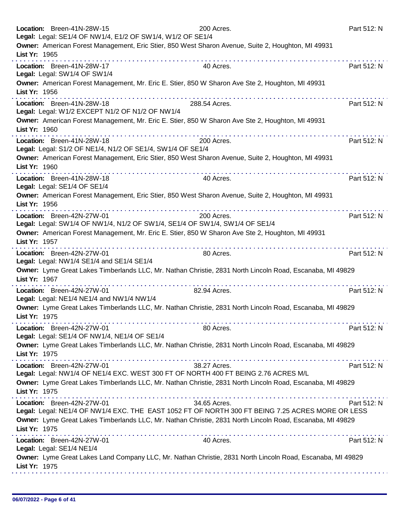|               | Location: Breen-41N-28W-15<br>Legal: Legal: SE1/4 OF NW1/4, E1/2 OF SW1/4, W1/2 OF SE1/4 | 200 Acres.                                                                                                       | Part 512: N |
|---------------|------------------------------------------------------------------------------------------|------------------------------------------------------------------------------------------------------------------|-------------|
| List Yr: 1965 |                                                                                          | Owner: American Forest Management, Eric Stier, 850 West Sharon Avenue, Suite 2, Houghton, MI 49931               |             |
|               | Location: Breen-41N-28W-17<br>Legal: Legal: SW1/4 OF SW1/4                               | 40 Acres.                                                                                                        | Part 512: N |
| List Yr: 1956 |                                                                                          | Owner: American Forest Management, Mr. Eric E. Stier, 850 W Sharon Ave Ste 2, Houghton, MI 49931                 |             |
|               | Location: Breen-41N-28W-18<br>Legal: Legal: W1/2 EXCEPT N1/2 OF N1/2 OF NW1/4            | .<br>288.54 Acres.                                                                                               | Part 512: N |
| List Yr: 1960 |                                                                                          | Owner: American Forest Management, Mr. Eric E. Stier, 850 W Sharon Ave Ste 2, Houghton, MI 49931                 |             |
|               | Location: Breen-41N-28W-18<br>Legal: Legal: S1/2 OF NE1/4, N1/2 OF SE1/4, SW1/4 OF SE1/4 | 200 Acres.                                                                                                       | Part 512: N |
| List Yr: 1960 |                                                                                          | Owner: American Forest Management, Eric Stier, 850 West Sharon Avenue, Suite 2, Houghton, MI 49931               |             |
|               | Location: Breen-41N-28W-18<br>Legal: Legal: SE1/4 OF SE1/4                               | .<br>40 Acres.                                                                                                   | Part 512: N |
| List Yr: 1956 |                                                                                          | Owner: American Forest Management, Eric Stier, 850 West Sharon Avenue, Suite 2, Houghton, MI 49931               |             |
|               | Location: Breen-42N-27W-01                                                               | 200 Acres.<br>Legal: Legal: SW1/4 OF NW1/4, N1/2 OF SW1/4, SE1/4 OF SW1/4, SW1/4 OF SE1/4                        | Part 512: N |
| List Yr: 1957 |                                                                                          | Owner: American Forest Management, Mr. Eric E. Stier, 850 W Sharon Ave Ste 2, Houghton, MI 49931                 |             |
|               | Location: Breen-42N-27W-01<br>Legal: Legal: NW1/4 SE1/4 and SE1/4 SE1/4                  | 80 Acres.                                                                                                        | Part 512: N |
| List Yr: 1967 |                                                                                          | Owner: Lyme Great Lakes Timberlands LLC, Mr. Nathan Christie, 2831 North Lincoln Road, Escanaba, MI 49829        |             |
|               | Location: Breen-42N-27W-01<br>Legal: Legal: NE1/4 NE1/4 and NW1/4 NW1/4                  | 82.94 Acres.                                                                                                     | Part 512: N |
| List Yr: 1975 |                                                                                          | Owner: Lyme Great Lakes Timberlands LLC, Mr. Nathan Christie, 2831 North Lincoln Road, Escanaba, MI 49829        |             |
|               | Location: Breen-42N-27W-01<br>Legal: Legal: SE1/4 OF NW1/4, NE1/4 OF SE1/4               | 80 Acres.                                                                                                        | Part 512: N |
| List Yr: 1975 |                                                                                          | Owner: Lyme Great Lakes Timberlands LLC, Mr. Nathan Christie, 2831 North Lincoln Road, Escanaba, MI 49829        |             |
|               | Location: Breen-42N-27W-01                                                               | 38.27 Acres.<br>Legal: Legal: NW1/4 OF NE1/4 EXC. WEST 300 FT OF NORTH 400 FT BEING 2.76 ACRES M/L               | Part 512: N |
| List Yr: 1975 |                                                                                          | Owner: Lyme Great Lakes Timberlands LLC, Mr. Nathan Christie, 2831 North Lincoln Road, Escanaba, MI 49829        |             |
|               | Location: Breen-42N-27W-01                                                               | 34.65 Acres.<br>Legal: Legal: NE1/4 OF NW1/4 EXC. THE EAST 1052 FT OF NORTH 300 FT BEING 7.25 ACRES MORE OR LESS | Part 512: N |
| List Yr: 1975 |                                                                                          | Owner: Lyme Great Lakes Timberlands LLC, Mr. Nathan Christie, 2831 North Lincoln Road, Escanaba, MI 49829        |             |
|               | Location: Breen-42N-27W-01<br>Legal: Legal: SE1/4 NE1/4                                  | 40 Acres.                                                                                                        | Part 512: N |
| List Yr: 1975 |                                                                                          | Owner: Lyme Great Lakes Land Company LLC, Mr. Nathan Christie, 2831 North Lincoln Road, Escanaba, MI 49829       |             |
|               |                                                                                          |                                                                                                                  |             |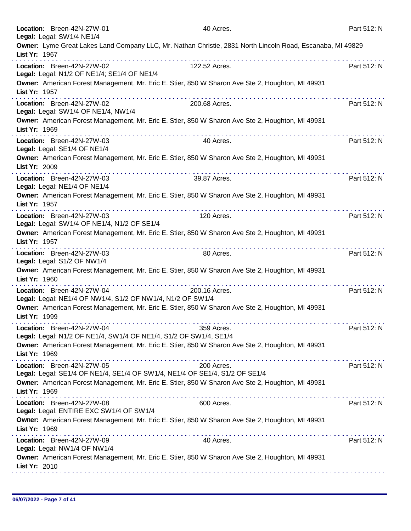|               | Location: Breen-42N-27W-01<br>Legal: Legal: SW1/4 NE1/4                                  | 40 Acres.                                                                                                                                | Part 512: N |
|---------------|------------------------------------------------------------------------------------------|------------------------------------------------------------------------------------------------------------------------------------------|-------------|
|               |                                                                                          | Owner: Lyme Great Lakes Land Company LLC, Mr. Nathan Christie, 2831 North Lincoln Road, Escanaba, MI 49829                               |             |
| List Yr: 1967 |                                                                                          |                                                                                                                                          |             |
|               | Location: Breen-42N-27W-02<br>Legal: Legal: N1/2 OF NE1/4; SE1/4 OF NE1/4                | 122.52 Acres.                                                                                                                            | Part 512: N |
| List Yr: 1957 |                                                                                          | Owner: American Forest Management, Mr. Eric E. Stier, 850 W Sharon Ave Ste 2, Houghton, MI 49931                                         |             |
|               | Location: Breen-42N-27W-02<br>Legal: Legal: SW1/4 OF NE1/4, NW1/4                        | 200.68 Acres.                                                                                                                            | Part 512: N |
| List Yr: 1969 |                                                                                          | Owner: American Forest Management, Mr. Eric E. Stier, 850 W Sharon Ave Ste 2, Houghton, MI 49931                                         |             |
|               | Location: Breen-42N-27W-03<br>Legal: Legal: SE1/4 OF NE1/4                               | 40 Acres.                                                                                                                                | Part 512: N |
| List Yr: 2009 |                                                                                          | Owner: American Forest Management, Mr. Eric E. Stier, 850 W Sharon Ave Ste 2, Houghton, MI 49931                                         |             |
|               | Location: Breen-42N-27W-03<br>Legal: Legal: NE1/4 OF NE1/4                               | 39.87 Acres.                                                                                                                             | Part 512: N |
| List Yr: 1957 |                                                                                          | Owner: American Forest Management, Mr. Eric E. Stier, 850 W Sharon Ave Ste 2, Houghton, MI 49931                                         |             |
|               | Location: Breen-42N-27W-03<br>Legal: Legal: SW1/4 OF NE1/4, N1/2 OF SE1/4                | 120 Acres.                                                                                                                               | Part 512: N |
| List Yr: 1957 |                                                                                          | Owner: American Forest Management, Mr. Eric E. Stier, 850 W Sharon Ave Ste 2, Houghton, MI 49931                                         |             |
|               | Location: Breen-42N-27W-03<br>Legal: Legal: S1/2 OF NW1/4                                | 80 Acres.                                                                                                                                | Part 512: N |
| List Yr: 1960 |                                                                                          | Owner: American Forest Management, Mr. Eric E. Stier, 850 W Sharon Ave Ste 2, Houghton, MI 49931                                         |             |
|               | Location: Breen-42N-27W-04<br>Legal: Legal: NE1/4 OF NW1/4, S1/2 OF NW1/4, N1/2 OF SW1/4 | 200.16 Acres.                                                                                                                            | Part 512: N |
| List Yr: 1999 |                                                                                          | Owner: American Forest Management, Mr. Eric E. Stier, 850 W Sharon Ave Ste 2, Houghton, MI 49931                                         |             |
|               | Location: Breen-42N-27W-04                                                               | 359 Acres.<br>Legal: Legal: N1/2 OF NE1/4, SW1/4 OF NE1/4, S1/2 OF SW1/4, SE1/4                                                          | Part 512: N |
| List Yr: 1969 |                                                                                          | Owner: American Forest Management, Mr. Eric E. Stier, 850 W Sharon Ave Ste 2, Houghton, MI 49931<br>a construction and a construction of |             |
|               | Location: Breen-42N-27W-05                                                               | 200 Acres.<br>Legal: Legal: SE1/4 OF NE1/4, SE1/4 OF SW1/4, NE1/4 OF SE1/4, S1/2 OF SE1/4                                                | Part 512: N |
| List Yr: 1969 |                                                                                          | Owner: American Forest Management, Mr. Eric E. Stier, 850 W Sharon Ave Ste 2, Houghton, MI 49931                                         |             |
|               | Location: Breen-42N-27W-08<br>Legal: Legal: ENTIRE EXC SW1/4 OF SW1/4                    | 600 Acres.                                                                                                                               | Part 512: N |
| List Yr: 1969 |                                                                                          | Owner: American Forest Management, Mr. Eric E. Stier, 850 W Sharon Ave Ste 2, Houghton, MI 49931                                         |             |
|               | Location: Breen-42N-27W-09<br>Legal: Legal: NW1/4 OF NW1/4                               | 40 Acres.                                                                                                                                | Part 512: N |
| List Yr: 2010 |                                                                                          | Owner: American Forest Management, Mr. Eric E. Stier, 850 W Sharon Ave Ste 2, Houghton, MI 49931                                         |             |
|               |                                                                                          |                                                                                                                                          |             |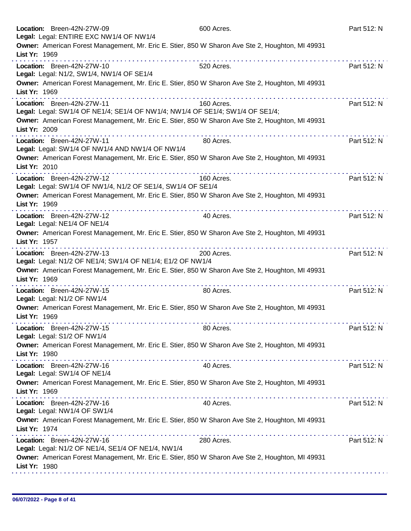|               | Location: Breen-42N-27W-09<br>Legal: Legal: ENTIRE EXC NW1/4 OF NW1/4                                       | 600 Acres.     | Part 512: N |
|---------------|-------------------------------------------------------------------------------------------------------------|----------------|-------------|
| List Yr: 1969 | Owner: American Forest Management, Mr. Eric E. Stier, 850 W Sharon Ave Ste 2, Houghton, MI 49931            |                |             |
|               | Location: Breen-42N-27W-10<br>Legal: Legal: N1/2, SW1/4, NW1/4 OF SE1/4                                     | 520 Acres.     | Part 512: N |
| List Yr: 1969 | Owner: American Forest Management, Mr. Eric E. Stier, 850 W Sharon Ave Ste 2, Houghton, MI 49931            |                |             |
|               | Location: Breen-42N-27W-11<br>Legal: Legal: SW1/4 OF NE1/4; SE1/4 OF NW1/4; NW1/4 OF SE1/4; SW1/4 OF SE1/4; | 160 Acres.     | Part 512: N |
| List Yr: 2009 | Owner: American Forest Management, Mr. Eric E. Stier, 850 W Sharon Ave Ste 2, Houghton, MI 49931            |                |             |
|               | Location: Breen-42N-27W-11<br>Legal: Legal: SW1/4 OF NW1/4 AND NW1/4 OF NW1/4                               | 80 Acres.      | Part 512: N |
| List Yr: 2010 | Owner: American Forest Management, Mr. Eric E. Stier, 850 W Sharon Ave Ste 2, Houghton, MI 49931            |                |             |
|               | Location: Breen-42N-27W-12<br>Legal: Legal: SW1/4 OF NW1/4, N1/2 OF SE1/4, SW1/4 OF SE1/4                   | 160 Acres.     | Part 512: N |
| List Yr: 1969 | Owner: American Forest Management, Mr. Eric E. Stier, 850 W Sharon Ave Ste 2, Houghton, MI 49931            |                |             |
|               | Location: Breen-42N-27W-12<br>Legal: Legal: NE1/4 OF NE1/4                                                  | .<br>40 Acres. | Part 512: N |
| List Yr: 1957 | Owner: American Forest Management, Mr. Eric E. Stier, 850 W Sharon Ave Ste 2, Houghton, MI 49931            |                |             |
|               | Location: Breen-42N-27W-13<br>Legal: Legal: N1/2 OF NE1/4; SW1/4 OF NE1/4; E1/2 OF NW1/4                    | 200 Acres.     | Part 512: N |
| List Yr: 1969 | Owner: American Forest Management, Mr. Eric E. Stier, 850 W Sharon Ave Ste 2, Houghton, MI 49931            |                |             |
|               | Location: Breen-42N-27W-15<br>Legal: Legal: N1/2 OF NW1/4                                                   | 80 Acres.      | Part 512: N |
| List Yr: 1969 | Owner: American Forest Management, Mr. Eric E. Stier, 850 W Sharon Ave Ste 2, Houghton, MI 49931            |                |             |
|               | Location: Breen-42N-27W-15<br>Legal: Legal: S1/2 OF NW1/4                                                   | 80 Acres.      | Part 512: N |
| List Yr: 1980 | Owner: American Forest Management, Mr. Eric E. Stier, 850 W Sharon Ave Ste 2, Houghton, MI 49931            |                |             |
|               | Location: Breen-42N-27W-16<br>Legal: Legal: SW1/4 OF NE1/4                                                  | 40 Acres.      | Part 512: N |
| List Yr: 1969 | Owner: American Forest Management, Mr. Eric E. Stier, 850 W Sharon Ave Ste 2, Houghton, MI 49931            |                |             |
|               | Location: Breen-42N-27W-16<br>Legal: Legal: NW1/4 OF SW1/4                                                  | 40 Acres.      | Part 512: N |
| List Yr: 1974 | Owner: American Forest Management, Mr. Eric E. Stier, 850 W Sharon Ave Ste 2, Houghton, MI 49931            |                |             |
|               | Location: Breen-42N-27W-16<br>Legal: Legal: N1/2 OF NE1/4, SE1/4 OF NE1/4, NW1/4                            | 280 Acres.     | Part 512: N |
| List Yr: 1980 | Owner: American Forest Management, Mr. Eric E. Stier, 850 W Sharon Ave Ste 2, Houghton, MI 49931            |                |             |
|               |                                                                                                             |                |             |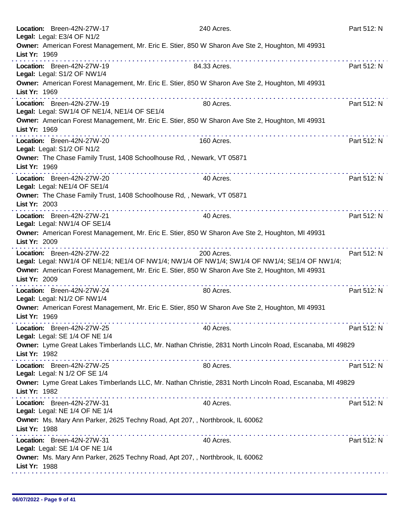| Location: Breen-42N-27W-17<br>Legal: Legal: E3/4 OF N1/2                   | 240 Acres.                                                                                                   | Part 512: N |
|----------------------------------------------------------------------------|--------------------------------------------------------------------------------------------------------------|-------------|
| List Yr: 1969                                                              | Owner: American Forest Management, Mr. Eric E. Stier, 850 W Sharon Ave Ste 2, Houghton, MI 49931             |             |
| Location: Breen-42N-27W-19<br>Legal: Legal: S1/2 OF NW1/4                  | 84.33 Acres.                                                                                                 | Part 512: N |
| List Yr: 1969                                                              | Owner: American Forest Management, Mr. Eric E. Stier, 850 W Sharon Ave Ste 2, Houghton, MI 49931             |             |
| Location: Breen-42N-27W-19<br>Legal: Legal: SW1/4 OF NE1/4, NE1/4 OF SE1/4 | 80 Acres.                                                                                                    | Part 512: N |
| List Yr: 1969                                                              | Owner: American Forest Management, Mr. Eric E. Stier, 850 W Sharon Ave Ste 2, Houghton, MI 49931<br><u>.</u> |             |
| Location: Breen-42N-27W-20<br>Legal: Legal: S1/2 OF N1/2                   | 160 Acres.                                                                                                   | Part 512: N |
| List Yr: 1969                                                              | Owner: The Chase Family Trust, 1408 Schoolhouse Rd, , Newark, VT 05871<br>.                                  |             |
| Location: Breen-42N-27W-20<br>Legal: Legal: NE1/4 OF SE1/4                 | 40 Acres.                                                                                                    | Part 512: N |
| List Yr: 2003                                                              | Owner: The Chase Family Trust, 1408 Schoolhouse Rd, , Newark, VT 05871                                       |             |
| Location: Breen-42N-27W-21<br>Legal: Legal: NW1/4 OF SE1/4                 | 40 Acres.                                                                                                    | Part 512: N |
| List Yr: 2009                                                              | Owner: American Forest Management, Mr. Eric E. Stier, 850 W Sharon Ave Ste 2, Houghton, MI 49931             |             |
| Location: Breen-42N-27W-22                                                 | 200 Acres.<br>Legal: Legal: NW1/4 OF NE1/4; NE1/4 OF NW1/4; NW1/4 OF NW1/4; SW1/4 OF NW1/4; SE1/4 OF NW1/4;  | Part 512: N |
| List Yr: 2009                                                              | Owner: American Forest Management, Mr. Eric E. Stier, 850 W Sharon Ave Ste 2, Houghton, MI 49931             |             |
| Location: Breen-42N-27W-24<br>Legal: Legal: N1/2 OF NW1/4                  | 80 Acres.                                                                                                    | Part 512: N |
| List Yr: 1969                                                              | Owner: American Forest Management, Mr. Eric E. Stier, 850 W Sharon Ave Ste 2, Houghton, MI 49931             |             |
| Location: Breen-42N-27W-25<br>Legal: Legal: SE 1/4 OF NE 1/4               | 40 Acres.                                                                                                    | Part 512: N |
| List Yr: 1982                                                              | Owner: Lyme Great Lakes Timberlands LLC, Mr. Nathan Christie, 2831 North Lincoln Road, Escanaba, MI 49829    |             |
| Location: Breen-42N-27W-25<br>Legal: Legal: N 1/2 OF SE 1/4                | 80 Acres.                                                                                                    | Part 512: N |
| List Yr: 1982                                                              | Owner: Lyme Great Lakes Timberlands LLC, Mr. Nathan Christie, 2831 North Lincoln Road, Escanaba, MI 49829    |             |
| Location: Breen-42N-27W-31<br>Legal: Legal: NE 1/4 OF NE 1/4               | 40 Acres.                                                                                                    | Part 512: N |
| List Yr: 1988                                                              | Owner: Ms. Mary Ann Parker, 2625 Techny Road, Apt 207, , Northbrook, IL 60062                                |             |
| Location: Breen-42N-27W-31<br>Legal: Legal: SE 1/4 OF NE 1/4               | 40 Acres.                                                                                                    | Part 512: N |
| List Yr: 1988                                                              | Owner: Ms. Mary Ann Parker, 2625 Techny Road, Apt 207, , Northbrook, IL 60062                                |             |
|                                                                            |                                                                                                              |             |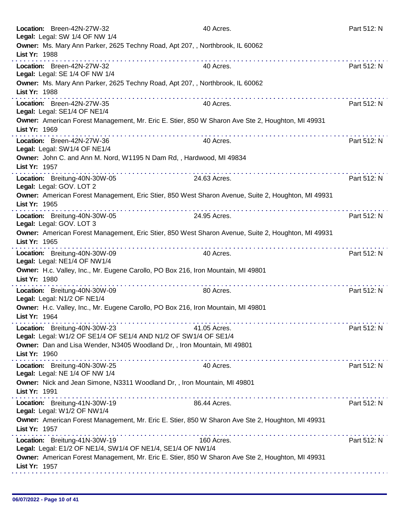| Location: Breen-42N-27W-32<br>Legal: Legal: SW 1/4 OF NW 1/4                                        | 40 Acres.                                                                                               | Part 512: N |
|-----------------------------------------------------------------------------------------------------|---------------------------------------------------------------------------------------------------------|-------------|
| Owner: Ms. Mary Ann Parker, 2625 Techny Road, Apt 207, , Northbrook, IL 60062<br>List Yr: 1988      |                                                                                                         |             |
| Location: Breen-42N-27W-32<br>Legal: Legal: SE 1/4 OF NW 1/4                                        | 40 Acres.                                                                                               | Part 512: N |
| Owner: Ms. Mary Ann Parker, 2625 Techny Road, Apt 207, , Northbrook, IL 60062<br>List Yr: 1988<br>. |                                                                                                         |             |
| Location: Breen-42N-27W-35<br>Legal: Legal: SE1/4 OF NE1/4                                          | 40 Acres.                                                                                               | Part 512: N |
| List Yr: 1969                                                                                       | Owner: American Forest Management, Mr. Eric E. Stier, 850 W Sharon Ave Ste 2, Houghton, MI 49931        |             |
| Location: Breen-42N-27W-36<br>Legal: Legal: SW1/4 OF NE1/4                                          | 40 Acres.                                                                                               | Part 512: N |
| Owner: John C. and Ann M. Nord, W1195 N Dam Rd,, Hardwood, MI 49834<br>List Yr: 1957                |                                                                                                         |             |
| Location: Breitung-40N-30W-05<br>Legal: Legal: GOV. LOT 2                                           | 24.63 Acres.                                                                                            | Part 512: N |
| List Yr: 1965                                                                                       | Owner: American Forest Management, Eric Stier, 850 West Sharon Avenue, Suite 2, Houghton, MI 49931      |             |
| Location: Breitung-40N-30W-05<br>Legal: Legal: GOV. LOT 3                                           | 24.95 Acres.                                                                                            | Part 512: N |
| List Yr: 1965                                                                                       | Owner: American Forest Management, Eric Stier, 850 West Sharon Avenue, Suite 2, Houghton, MI 49931<br>. |             |
| Location: Breitung-40N-30W-09<br>Legal: Legal: NE1/4 OF NW1/4                                       | 40 Acres.                                                                                               | Part 512: N |
| Owner: H.c. Valley, Inc., Mr. Eugene Carollo, PO Box 216, Iron Mountain, MI 49801<br>List Yr: 1980  |                                                                                                         |             |
| Location: Breitung-40N-30W-09<br>Legal: Legal: N1/2 OF NE1/4                                        | 80 Acres.                                                                                               | Part 512: N |
| Owner: H.c. Valley, Inc., Mr. Eugene Carollo, PO Box 216, Iron Mountain, MI 49801<br>List Yr: 1964  |                                                                                                         |             |
| Location: Breitung-40N-30W-23<br>Legal: Legal: W1/2 OF SE1/4 OF SE1/4 AND N1/2 OF SW1/4 OF SE1/4    | 41.05 Acres.                                                                                            | Part 512: N |
| Owner: Dan and Lisa Wender, N3405 Woodland Dr,, Iron Mountain, MI 49801<br>List Yr: 1960            |                                                                                                         |             |
| Location: Breitung-40N-30W-25<br>Legal: Legal: NE 1/4 OF NW 1/4                                     | 40 Acres.                                                                                               | Part 512: N |
| Owner: Nick and Jean Simone, N3311 Woodland Dr,, Iron Mountain, MI 49801<br>List Yr: 1991           |                                                                                                         |             |
| Location: Breitung-41N-30W-19<br>Legal: Legal: W1/2 OF NW1/4                                        | 86.44 Acres.                                                                                            | Part 512: N |
| List Yr: 1957                                                                                       | Owner: American Forest Management, Mr. Eric E. Stier, 850 W Sharon Ave Ste 2, Houghton, MI 49931        |             |
| Location: Breitung-41N-30W-19<br>Legal: Legal: E1/2 OF NE1/4, SW1/4 OF NE1/4, SE1/4 OF NW1/4        | 160 Acres.                                                                                              | Part 512: N |
| List Yr: 1957                                                                                       | Owner: American Forest Management, Mr. Eric E. Stier, 850 W Sharon Ave Ste 2, Houghton, MI 49931        |             |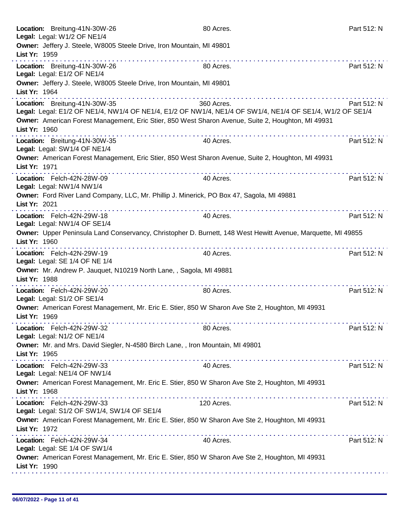|               | Location: Breitung-41N-30W-26<br>Legal: Legal: W1/2 OF NE1/4                                       | 80 Acres.                                                                                                               | Part 512: N |
|---------------|----------------------------------------------------------------------------------------------------|-------------------------------------------------------------------------------------------------------------------------|-------------|
| List Yr: 1959 | Owner: Jeffery J. Steele, W8005 Steele Drive, Iron Mountain, MI 49801                              |                                                                                                                         |             |
|               | Location: Breitung-41N-30W-26<br>Legal: Legal: E1/2 OF NE1/4                                       | 80 Acres.                                                                                                               | Part 512: N |
| List Yr: 1964 | Owner: Jeffery J. Steele, W8005 Steele Drive, Iron Mountain, MI 49801                              |                                                                                                                         |             |
|               | .<br>Location: Breitung-41N-30W-35                                                                 | 360 Acres.<br>Legal: Legal: E1/2 OF NE1/4, NW1/4 OF NE1/4, E1/2 OF NW1/4, NE1/4 OF SW1/4, NE1/4 OF SE1/4, W1/2 OF SE1/4 | Part 512: N |
| List Yr: 1960 | Owner: American Forest Management, Eric Stier, 850 West Sharon Avenue, Suite 2, Houghton, MI 49931 |                                                                                                                         |             |
|               | Location: Breitung-41N-30W-35<br>Legal: Legal: SW1/4 OF NE1/4                                      | 40 Acres.                                                                                                               | Part 512: N |
| List Yr: 1971 | Owner: American Forest Management, Eric Stier, 850 West Sharon Avenue, Suite 2, Houghton, MI 49931 |                                                                                                                         |             |
|               | Location: Felch-42N-28W-09<br>Legal: Legal: NW1/4 NW1/4                                            | 40 Acres.                                                                                                               | Part 512: N |
| List Yr: 2021 | Owner: Ford River Land Company, LLC, Mr. Phillip J. Minerick, PO Box 47, Sagola, MI 49881          |                                                                                                                         |             |
|               | Location: Felch-42N-29W-18<br>Legal: Legal: NW1/4 OF SE1/4                                         | 40 Acres.                                                                                                               | Part 512: N |
| List Yr: 1960 |                                                                                                    | Owner: Upper Peninsula Land Conservancy, Christopher D. Burnett, 148 West Hewitt Avenue, Marquette, MI 49855            |             |
|               | Location: Felch-42N-29W-19<br>Legal: Legal: SE 1/4 OF NE 1/4                                       | .<br>40 Acres.                                                                                                          | Part 512: N |
| List Yr: 1988 | Owner: Mr. Andrew P. Jauquet, N10219 North Lane, , Sagola, MI 49881                                |                                                                                                                         |             |
|               | Location: Felch-42N-29W-20<br>Legal: Legal: S1/2 OF SE1/4                                          | 80 Acres.                                                                                                               | Part 512: N |
| List Yr: 1969 | Owner: American Forest Management, Mr. Eric E. Stier, 850 W Sharon Ave Ste 2, Houghton, MI 49931   |                                                                                                                         |             |
|               | Location: Felch-42N-29W-32<br>Legal: Legal: N1/2 OF NE1/4                                          | 80 Acres.                                                                                                               | Part 512: N |
| List Yr: 1965 | Owner: Mr. and Mrs. David Siegler, N-4580 Birch Lane, , Iron Mountain, MI 49801                    |                                                                                                                         |             |
|               | Location: Felch-42N-29W-33<br>Legal: Legal: NE1/4 OF NW1/4                                         | 40 Acres.                                                                                                               | Part 512: N |
| List Yr: 1968 | Owner: American Forest Management, Mr. Eric E. Stier, 850 W Sharon Ave Ste 2, Houghton, MI 49931   |                                                                                                                         |             |
|               | Location: Felch-42N-29W-33<br>Legal: Legal: S1/2 OF SW1/4, SW1/4 OF SE1/4                          | 120 Acres.                                                                                                              | Part 512: N |
| List Yr: 1972 | Owner: American Forest Management, Mr. Eric E. Stier, 850 W Sharon Ave Ste 2, Houghton, MI 49931   |                                                                                                                         |             |
|               | Location: Felch-42N-29W-34<br>Legal: Legal: SE 1/4 OF SW1/4                                        | 40 Acres.                                                                                                               | Part 512: N |
| List Yr: 1990 | Owner: American Forest Management, Mr. Eric E. Stier, 850 W Sharon Ave Ste 2, Houghton, MI 49931   |                                                                                                                         |             |
|               |                                                                                                    |                                                                                                                         |             |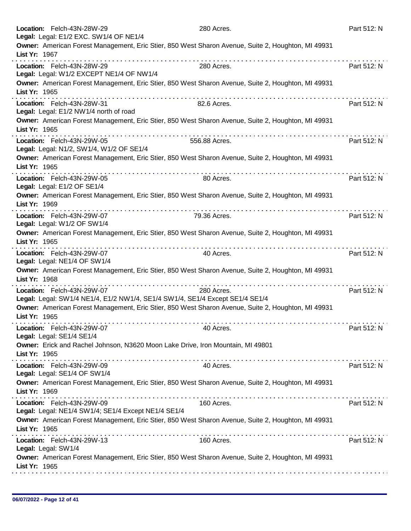|               | Location: Felch-43N-28W-29<br>Legal: Legal: E1/2 EXC. SW1/4 OF NE1/4                                                                                                                                                                                                                                                                                                                                                                                                                                                                        | 280 Acres.    | Part 512: N |
|---------------|---------------------------------------------------------------------------------------------------------------------------------------------------------------------------------------------------------------------------------------------------------------------------------------------------------------------------------------------------------------------------------------------------------------------------------------------------------------------------------------------------------------------------------------------|---------------|-------------|
| List Yr: 1967 | Owner: American Forest Management, Eric Stier, 850 West Sharon Avenue, Suite 2, Houghton, MI 49931                                                                                                                                                                                                                                                                                                                                                                                                                                          |               |             |
|               | Location: Felch-43N-28W-29<br>Legal: Legal: W1/2 EXCEPT NE1/4 OF NW1/4                                                                                                                                                                                                                                                                                                                                                                                                                                                                      | 280 Acres.    | Part 512: N |
| List Yr: 1965 | Owner: American Forest Management, Eric Stier, 850 West Sharon Avenue, Suite 2, Houghton, MI 49931<br>.                                                                                                                                                                                                                                                                                                                                                                                                                                     |               |             |
|               | Location: Felch-43N-28W-31<br>Legal: Legal: E1/2 NW1/4 north of road                                                                                                                                                                                                                                                                                                                                                                                                                                                                        | 82.6 Acres.   | Part 512: N |
| List Yr: 1965 | Owner: American Forest Management, Eric Stier, 850 West Sharon Avenue, Suite 2, Houghton, MI 49931                                                                                                                                                                                                                                                                                                                                                                                                                                          |               |             |
|               | Location: Felch-43N-29W-05<br>Legal: Legal: N1/2, SW1/4, W1/2 OF SE1/4                                                                                                                                                                                                                                                                                                                                                                                                                                                                      | 556.88 Acres. | Part 512: N |
| List Yr: 1965 | Owner: American Forest Management, Eric Stier, 850 West Sharon Avenue, Suite 2, Houghton, MI 49931                                                                                                                                                                                                                                                                                                                                                                                                                                          |               |             |
|               | Location: Felch-43N-29W-05<br>Legal: Legal: E1/2 OF SE1/4                                                                                                                                                                                                                                                                                                                                                                                                                                                                                   | 80 Acres.     | Part 512: N |
| List Yr: 1969 | Owner: American Forest Management, Eric Stier, 850 West Sharon Avenue, Suite 2, Houghton, MI 49931                                                                                                                                                                                                                                                                                                                                                                                                                                          |               |             |
|               | a construction of the construction of the<br>Location: Felch-43N-29W-07<br>Legal: Legal: W1/2 OF SW1/4                                                                                                                                                                                                                                                                                                                                                                                                                                      | 79.36 Acres.  | Part 512: N |
| List Yr: 1965 | Owner: American Forest Management, Eric Stier, 850 West Sharon Avenue, Suite 2, Houghton, MI 49931                                                                                                                                                                                                                                                                                                                                                                                                                                          |               |             |
|               | Location: Felch-43N-29W-07<br>Legal: Legal: NE1/4 OF SW1/4                                                                                                                                                                                                                                                                                                                                                                                                                                                                                  | 40 Acres.     | Part 512: N |
| List Yr: 1968 | Owner: American Forest Management, Eric Stier, 850 West Sharon Avenue, Suite 2, Houghton, MI 49931<br>.                                                                                                                                                                                                                                                                                                                                                                                                                                     |               |             |
|               | Location: Felch-43N-29W-07<br>Legal: Legal: SW1/4 NE1/4, E1/2 NW1/4, SE1/4 SW1/4, SE1/4 Except SE1/4 SE1/4                                                                                                                                                                                                                                                                                                                                                                                                                                  | 280 Acres.    | Part 512: N |
| List Yr: 1965 | Owner: American Forest Management, Eric Stier, 850 West Sharon Avenue, Suite 2, Houghton, MI 49931                                                                                                                                                                                                                                                                                                                                                                                                                                          |               |             |
|               | Location: Felch-43N-29W-07<br>Legal: Legal: SE1/4 SE1/4                                                                                                                                                                                                                                                                                                                                                                                                                                                                                     | 40 Acres.     | Part 512: N |
| List Yr: 1965 | Owner: Erick and Rachel Johnson, N3620 Moon Lake Drive, Iron Mountain, MI 49801<br>$\label{eq:2.1} \begin{split} \mathbf{u}^{\prime} & = \mathbf{u}^{\prime} + \mathbf{u}^{\prime} + \mathbf{u}^{\prime} + \mathbf{u}^{\prime} + \mathbf{u}^{\prime} + \mathbf{u}^{\prime} + \mathbf{u}^{\prime} + \mathbf{u}^{\prime} + \mathbf{u}^{\prime} + \mathbf{u}^{\prime} + \mathbf{u}^{\prime} + \mathbf{u}^{\prime} + \mathbf{u}^{\prime} + \mathbf{u}^{\prime} + \mathbf{u}^{\prime} + \mathbf{u}^{\prime} + \mathbf{u}^{\prime} + \mathbf{u}^$ |               |             |
|               | Location: Felch-43N-29W-09<br>Legal: Legal: SE1/4 OF SW1/4                                                                                                                                                                                                                                                                                                                                                                                                                                                                                  | 40 Acres.     | Part 512: N |
| List Yr: 1969 | Owner: American Forest Management, Eric Stier, 850 West Sharon Avenue, Suite 2, Houghton, MI 49931                                                                                                                                                                                                                                                                                                                                                                                                                                          |               |             |
|               | Location: Felch-43N-29W-09<br>Legal: Legal: NE1/4 SW1/4; SE1/4 Except NE1/4 SE1/4                                                                                                                                                                                                                                                                                                                                                                                                                                                           | 160 Acres.    | Part 512: N |
| List Yr: 1965 | Owner: American Forest Management, Eric Stier, 850 West Sharon Avenue, Suite 2, Houghton, MI 49931                                                                                                                                                                                                                                                                                                                                                                                                                                          |               |             |
|               | Location: Felch-43N-29W-13<br>Legal: Legal: SW1/4                                                                                                                                                                                                                                                                                                                                                                                                                                                                                           | 160 Acres.    | Part 512: N |
| List Yr: 1965 | Owner: American Forest Management, Eric Stier, 850 West Sharon Avenue, Suite 2, Houghton, MI 49931                                                                                                                                                                                                                                                                                                                                                                                                                                          |               |             |
|               |                                                                                                                                                                                                                                                                                                                                                                                                                                                                                                                                             |               |             |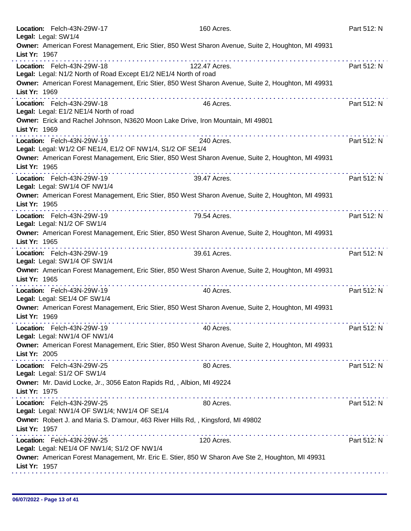| Location: Felch-43N-29W-17<br>Legal: Legal: SW1/4                                                  | 160 Acres.                                                                                              | Part 512: N |
|----------------------------------------------------------------------------------------------------|---------------------------------------------------------------------------------------------------------|-------------|
|                                                                                                    | Owner: American Forest Management, Eric Stier, 850 West Sharon Avenue, Suite 2, Houghton, MI 49931      |             |
| List Yr: 1967                                                                                      | .                                                                                                       |             |
| Location: Felch-43N-29W-18                                                                         | 122.47 Acres.                                                                                           | Part 512: N |
| Legal: Legal: N1/2 North of Road Except E1/2 NE1/4 North of road                                   | Owner: American Forest Management, Eric Stier, 850 West Sharon Avenue, Suite 2, Houghton, MI 49931      |             |
| List Yr: 1969                                                                                      | .                                                                                                       |             |
| Location: Felch-43N-29W-18<br>Legal: Legal: E1/2 NE1/4 North of road                               | 46 Acres.                                                                                               | Part 512: N |
| List Yr: 1969                                                                                      | Owner: Erick and Rachel Johnson, N3620 Moon Lake Drive, Iron Mountain, MI 49801                         |             |
| Location: Felch-43N-29W-19<br>Legal: Legal: W1/2 OF NE1/4, E1/2 OF NW1/4, S1/2 OF SE1/4            | 240 Acres.                                                                                              | Part 512: N |
| List Yr: 1965                                                                                      | Owner: American Forest Management, Eric Stier, 850 West Sharon Avenue, Suite 2, Houghton, MI 49931      |             |
| Location: Felch-43N-29W-19<br>Legal: Legal: SW1/4 OF NW1/4                                         | 39.47 Acres.                                                                                            | Part 512: N |
| List Yr: 1965                                                                                      | Owner: American Forest Management, Eric Stier, 850 West Sharon Avenue, Suite 2, Houghton, MI 49931<br>. |             |
| a construction of the construction of<br>Location: Felch-43N-29W-19<br>Legal: Legal: N1/2 OF SW1/4 | 79.54 Acres.                                                                                            | Part 512: N |
| List Yr: 1965                                                                                      | Owner: American Forest Management, Eric Stier, 850 West Sharon Avenue, Suite 2, Houghton, MI 49931      |             |
| Location: Felch-43N-29W-19<br>Legal: Legal: SW1/4 OF SW1/4                                         | 39.61 Acres.                                                                                            | Part 512: N |
| List Yr: 1965                                                                                      | Owner: American Forest Management, Eric Stier, 850 West Sharon Avenue, Suite 2, Houghton, MI 49931      |             |
| Location: Felch-43N-29W-19<br>Legal: Legal: SE1/4 OF SW1/4                                         | 40 Acres.                                                                                               | Part 512: N |
| List Yr: 1969                                                                                      | Owner: American Forest Management, Eric Stier, 850 West Sharon Avenue, Suite 2, Houghton, MI 49931      |             |
| Location: Felch-43N-29W-19<br>Legal: Legal: NW1/4 OF NW1/4                                         | 40 Acres.                                                                                               | Part 512: N |
| List Yr: 2005                                                                                      | Owner: American Forest Management, Eric Stier, 850 West Sharon Avenue, Suite 2, Houghton, MI 49931      |             |
| Location: Felch-43N-29W-25<br>Legal: Legal: S1/2 OF SW1/4                                          | 80 Acres.                                                                                               | Part 512: N |
| Owner: Mr. David Locke, Jr., 3056 Eaton Rapids Rd, , Albion, MI 49224<br>List Yr: 1975             |                                                                                                         |             |
| Location: Felch-43N-29W-25<br>Legal: Legal: NW1/4 OF SW1/4; NW1/4 OF SE1/4                         | 80 Acres.                                                                                               | Part 512: N |
| Owner: Robert J. and Maria S. D'amour, 463 River Hills Rd, , Kingsford, MI 49802<br>List Yr: 1957  |                                                                                                         |             |
| Location: Felch-43N-29W-25<br>Legal: Legal: NE1/4 OF NW1/4; S1/2 OF NW1/4                          | 120 Acres.                                                                                              | Part 512: N |
| List Yr: 1957                                                                                      | Owner: American Forest Management, Mr. Eric E. Stier, 850 W Sharon Ave Ste 2, Houghton, MI 49931        |             |
|                                                                                                    |                                                                                                         |             |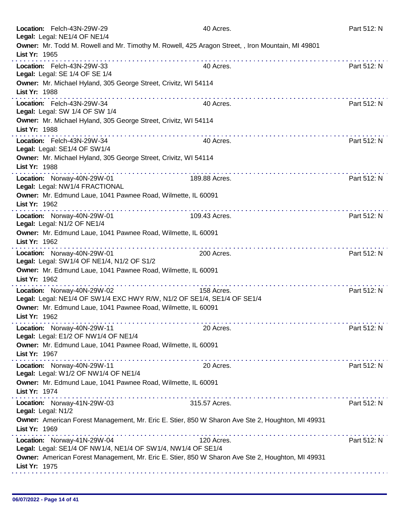| Location: Felch-43N-29W-29<br>Legal: Legal: NE1/4 OF NE1/4                                                         | 40 Acres.     | Part 512: N |
|--------------------------------------------------------------------------------------------------------------------|---------------|-------------|
| Owner: Mr. Todd M. Rowell and Mr. Timothy M. Rowell, 425 Aragon Street, , Iron Mountain, MI 49801<br>List Yr: 1965 |               |             |
| Location: Felch-43N-29W-33<br>Legal: Legal: SE 1/4 OF SE 1/4                                                       | 40 Acres.     | Part 512: N |
| Owner: Mr. Michael Hyland, 305 George Street, Crivitz, WI 54114<br>List Yr: 1988<br>.                              |               |             |
| Location: Felch-43N-29W-34<br>Legal: Legal: SW 1/4 OF SW 1/4                                                       | 40 Acres.     | Part 512: N |
| Owner: Mr. Michael Hyland, 305 George Street, Crivitz, WI 54114<br>List Yr: 1988                                   |               |             |
| Location: Felch-43N-29W-34<br>Legal: Legal: SE1/4 OF SW1/4                                                         | 40 Acres.     | Part 512: N |
| Owner: Mr. Michael Hyland, 305 George Street, Crivitz, WI 54114<br>List Yr: 1988                                   |               |             |
| Location: Norway-40N-29W-01<br>Legal: Legal: NW1/4 FRACTIONAL                                                      | 189.88 Acres. | Part 512: N |
| Owner: Mr. Edmund Laue, 1041 Pawnee Road, Wilmette, IL 60091<br>List Yr: 1962                                      |               |             |
| Location: Norway-40N-29W-01<br>Legal: Legal: N1/2 OF NE1/4                                                         | 109.43 Acres. | Part 512: N |
| Owner: Mr. Edmund Laue, 1041 Pawnee Road, Wilmette, IL 60091<br>List Yr: 1962                                      |               |             |
| Location: Norway-40N-29W-01<br>Legal: Legal: SW1/4 OF NE1/4, N1/2 OF S1/2                                          | 200 Acres.    | Part 512: N |
| Owner: Mr. Edmund Laue, 1041 Pawnee Road, Wilmette, IL 60091<br>List Yr: 1962                                      | .             |             |
| Location: Norway-40N-29W-02<br>Legal: Legal: NE1/4 OF SW1/4 EXC HWY R/W, N1/2 OF SE1/4, SE1/4 OF SE1/4             | 158 Acres.    | Part 512: N |
| Owner: Mr. Edmund Laue, 1041 Pawnee Road, Wilmette, IL 60091<br>List Yr: 1962                                      |               |             |
| Location: Norway-40N-29W-11<br>Legal: Legal: E1/2 OF NW1/4 OF NE1/4                                                | 20 Acres.     | Part 512: N |
| Owner: Mr. Edmund Laue, 1041 Pawnee Road, Wilmette, IL 60091<br>List Yr: 1967                                      |               |             |
| Location: Norway-40N-29W-11<br>Legal: Legal: W1/2 OF NW1/4 OF NE1/4                                                | 20 Acres.     | Part 512: N |
| Owner: Mr. Edmund Laue, 1041 Pawnee Road, Wilmette, IL 60091<br>List Yr: 1974                                      |               |             |
| Location: Norway-41N-29W-03<br>Legal: Legal: N1/2                                                                  | 315.57 Acres. | Part 512: N |
| Owner: American Forest Management, Mr. Eric E. Stier, 850 W Sharon Ave Ste 2, Houghton, MI 49931<br>List Yr: 1969  |               |             |
| Location: Norway-41N-29W-04<br>Legal: Legal: SE1/4 OF NW1/4, NE1/4 OF SW1/4, NW1/4 OF SE1/4                        | 120 Acres.    | Part 512: N |
| Owner: American Forest Management, Mr. Eric E. Stier, 850 W Sharon Ave Ste 2, Houghton, MI 49931<br>List Yr: 1975  |               |             |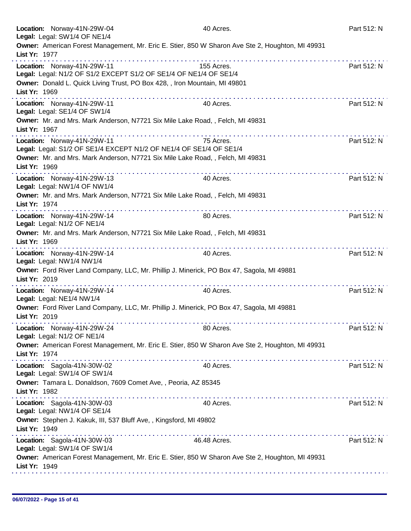|               | Location: Norway-41N-29W-04<br>Legal: Legal: SW1/4 OF NE1/4                                                                                                                                                                                                                                                                        | 40 Acres.                                                              | Part 512: N |
|---------------|------------------------------------------------------------------------------------------------------------------------------------------------------------------------------------------------------------------------------------------------------------------------------------------------------------------------------------|------------------------------------------------------------------------|-------------|
| List Yr: 1977 | Owner: American Forest Management, Mr. Eric E. Stier, 850 W Sharon Ave Ste 2, Houghton, MI 49931                                                                                                                                                                                                                                   |                                                                        |             |
|               |                                                                                                                                                                                                                                                                                                                                    |                                                                        |             |
|               | Location: Norway-41N-29W-11<br>Legal: Legal: N1/2 OF S1/2 EXCEPT S1/2 OF SE1/4 OF NE1/4 OF SE1/4                                                                                                                                                                                                                                   | 155 Acres.                                                             | Part 512: N |
| List Yr: 1969 | Owner: Donald L. Quick Living Trust, PO Box 428, , Iron Mountain, MI 49801<br>.                                                                                                                                                                                                                                                    | <u>a di alta di alta di alta di alta di alta di alta di alta di al</u> |             |
|               | Location: Norway-41N-29W-11<br>Legal: Legal: SE1/4 OF SW1/4                                                                                                                                                                                                                                                                        | 40 Acres.                                                              | Part 512: N |
| List Yr: 1967 | Owner: Mr. and Mrs. Mark Anderson, N7721 Six Mile Lake Road, , Felch, MI 49831                                                                                                                                                                                                                                                     |                                                                        |             |
|               | Location: Norway-41N-29W-11<br>Legal: Legal: S1/2 OF SE1/4 EXCEPT N1/2 OF NE1/4 OF SE1/4 OF SE1/4                                                                                                                                                                                                                                  | 75 Acres.                                                              | Part 512: N |
| List Yr: 1969 | Owner: Mr. and Mrs. Mark Anderson, N7721 Six Mile Lake Road, , Felch, MI 49831                                                                                                                                                                                                                                                     |                                                                        |             |
|               | Location: Norway-41N-29W-13<br>Legal: Legal: NW1/4 OF NW1/4                                                                                                                                                                                                                                                                        | 40 Acres.                                                              | Part 512: N |
| List Yr: 1974 | Owner: Mr. and Mrs. Mark Anderson, N7721 Six Mile Lake Road, , Felch, MI 49831                                                                                                                                                                                                                                                     |                                                                        |             |
|               | .<br>Location: Norway-41N-29W-14<br>Legal: Legal: N1/2 OF NE1/4                                                                                                                                                                                                                                                                    | 80 Acres.                                                              | Part 512: N |
| List Yr: 1969 | Owner: Mr. and Mrs. Mark Anderson, N7721 Six Mile Lake Road, , Felch, MI 49831                                                                                                                                                                                                                                                     |                                                                        |             |
|               | Location: Norway-41N-29W-14<br>Legal: Legal: NW1/4 NW1/4                                                                                                                                                                                                                                                                           | 40 Acres.                                                              | Part 512: N |
| List Yr: 2019 | Owner: Ford River Land Company, LLC, Mr. Phillip J. Minerick, PO Box 47, Sagola, MI 49881                                                                                                                                                                                                                                          |                                                                        |             |
|               | Location: Norway-41N-29W-14<br>Legal: Legal: NE1/4 NW1/4                                                                                                                                                                                                                                                                           | 40 Acres.                                                              | Part 512: N |
| List Yr: 2019 | Owner: Ford River Land Company, LLC, Mr. Phillip J. Minerick, PO Box 47, Sagola, MI 49881                                                                                                                                                                                                                                          |                                                                        |             |
|               | Location: Norway-41N-29W-24<br>Legal: Legal: N1/2 OF NE1/4                                                                                                                                                                                                                                                                         | 80 Acres.                                                              | Part 512: N |
| List Yr: 1974 | Owner: American Forest Management, Mr. Eric E. Stier, 850 W Sharon Ave Ste 2, Houghton, MI 49931<br>the contract of the contract of the contract of the contract of the contract of the contract of the contract of the contract of the contract of the contract of the contract of the contract of the contract of the contract o |                                                                        |             |
|               | Location: Sagola-41N-30W-02<br>Legal: Legal: SW1/4 OF SW1/4                                                                                                                                                                                                                                                                        | 40 Acres.                                                              | Part 512: N |
| List Yr: 1982 | Owner: Tamara L. Donaldson, 7609 Comet Ave, , Peoria, AZ 85345                                                                                                                                                                                                                                                                     |                                                                        |             |
|               | Location: Sagola-41N-30W-03<br>Legal: Legal: NW1/4 OF SE1/4                                                                                                                                                                                                                                                                        | 40 Acres.                                                              | Part 512: N |
| List Yr: 1949 | Owner: Stephen J. Kakuk, III, 537 Bluff Ave,, Kingsford, MI 49802                                                                                                                                                                                                                                                                  |                                                                        |             |
|               | Location: Sagola-41N-30W-03<br>Legal: Legal: SW1/4 OF SW1/4                                                                                                                                                                                                                                                                        | 46.48 Acres.                                                           | Part 512: N |
| List Yr: 1949 | Owner: American Forest Management, Mr. Eric E. Stier, 850 W Sharon Ave Ste 2, Houghton, MI 49931                                                                                                                                                                                                                                   |                                                                        |             |
|               |                                                                                                                                                                                                                                                                                                                                    |                                                                        |             |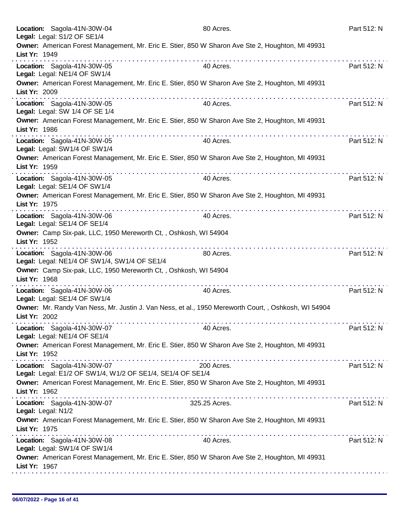| Location: Sagola-41N-30W-04<br>Legal: Legal: S1/2 OF SE1/4                                                            | 80 Acres.     | Part 512: N |
|-----------------------------------------------------------------------------------------------------------------------|---------------|-------------|
| Owner: American Forest Management, Mr. Eric E. Stier, 850 W Sharon Ave Ste 2, Houghton, MI 49931<br>List Yr: 1949     |               |             |
| Location: Sagola-41N-30W-05<br>Legal: Legal: NE1/4 OF SW1/4                                                           | 40 Acres.     | Part 512: N |
| Owner: American Forest Management, Mr. Eric E. Stier, 850 W Sharon Ave Ste 2, Houghton, MI 49931<br>List Yr: 2009     |               |             |
| Location: Sagola-41N-30W-05<br>Legal: Legal: SW 1/4 OF SE 1/4                                                         | 40 Acres.     | Part 512: N |
| Owner: American Forest Management, Mr. Eric E. Stier, 850 W Sharon Ave Ste 2, Houghton, MI 49931<br>List Yr: 1986     |               |             |
| Location: Sagola-41N-30W-05<br>Legal: Legal: SW1/4 OF SW1/4                                                           | 40 Acres.     | Part 512: N |
| Owner: American Forest Management, Mr. Eric E. Stier, 850 W Sharon Ave Ste 2, Houghton, MI 49931<br>List Yr: 1959     |               |             |
| Location: Sagola-41N-30W-05<br>Legal: Legal: SE1/4 OF SW1/4                                                           | 40 Acres.     | Part 512: N |
| Owner: American Forest Management, Mr. Eric E. Stier, 850 W Sharon Ave Ste 2, Houghton, MI 49931<br>List Yr: 1975     |               |             |
| Location: Sagola-41N-30W-06<br>Legal: Legal: SE1/4 OF SE1/4                                                           | 40 Acres.     | Part 512: N |
| Owner: Camp Six-pak, LLC, 1950 Mereworth Ct, , Oshkosh, WI 54904<br>List Yr: 1952                                     |               |             |
| Location: Sagola-41N-30W-06<br>Legal: Legal: NE1/4 OF SW1/4, SW1/4 OF SE1/4                                           | 80 Acres.     | Part 512: N |
| Owner: Camp Six-pak, LLC, 1950 Mereworth Ct, , Oshkosh, WI 54904<br>List Yr: 1968                                     |               |             |
| Location: Sagola-41N-30W-06<br>Legal: Legal: SE1/4 OF SW1/4                                                           | 40 Acres.     | Part 512: N |
| Owner: Mr. Randy Van Ness, Mr. Justin J. Van Ness, et al., 1950 Mereworth Court, , Oshkosh, WI 54904<br>List Yr: 2002 |               |             |
| Location: Sagola-41N-30W-07<br>Legal: Legal: NE1/4 OF SE1/4                                                           | 40 Acres.     | Part 512: N |
| Owner: American Forest Management, Mr. Eric E. Stier, 850 W Sharon Ave Ste 2, Houghton, MI 49931<br>List Yr: 1952     |               |             |
| Location: Sagola-41N-30W-07<br>Legal: Legal: E1/2 OF SW1/4, W1/2 OF SE1/4, SE1/4 OF SE1/4                             | 200 Acres.    | Part 512: N |
| Owner: American Forest Management, Mr. Eric E. Stier, 850 W Sharon Ave Ste 2, Houghton, MI 49931<br>List Yr: 1962     |               |             |
| Location: Sagola-41N-30W-07<br>Legal: Legal: N1/2                                                                     | 325.25 Acres. | Part 512: N |
| Owner: American Forest Management, Mr. Eric E. Stier, 850 W Sharon Ave Ste 2, Houghton, MI 49931<br>List Yr: 1975     |               |             |
| Location: Sagola-41N-30W-08<br>Legal: Legal: SW1/4 OF SW1/4                                                           | 40 Acres.     | Part 512: N |
| Owner: American Forest Management, Mr. Eric E. Stier, 850 W Sharon Ave Ste 2, Houghton, MI 49931<br>List Yr: 1967     |               |             |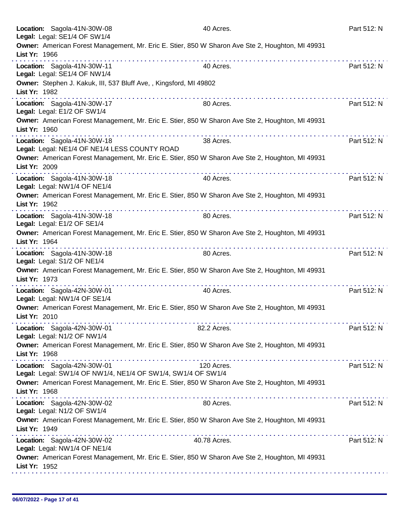| Location: Sagola-41N-30W-08<br>Legal: Legal: SE1/4 OF SW1/4                                                       | 40 Acres.    | Part 512: N |
|-------------------------------------------------------------------------------------------------------------------|--------------|-------------|
| Owner: American Forest Management, Mr. Eric E. Stier, 850 W Sharon Ave Ste 2, Houghton, MI 49931<br>List Yr: 1966 |              |             |
| Location: Sagola-41N-30W-11<br>Legal: Legal: SE1/4 OF NW1/4                                                       | 40 Acres.    | Part 512: N |
| Owner: Stephen J. Kakuk, III, 537 Bluff Ave, , Kingsford, MI 49802<br>List Yr: 1982                               |              |             |
| Location: Sagola-41N-30W-17<br>Legal: Legal: E1/2 OF SW1/4                                                        | 80 Acres.    | Part 512: N |
| Owner: American Forest Management, Mr. Eric E. Stier, 850 W Sharon Ave Ste 2, Houghton, MI 49931<br>List Yr: 1960 |              |             |
| Location: Sagola-41N-30W-18<br>Legal: Legal: NE1/4 OF NE1/4 LESS COUNTY ROAD                                      | 38 Acres.    | Part 512: N |
| Owner: American Forest Management, Mr. Eric E. Stier, 850 W Sharon Ave Ste 2, Houghton, MI 49931<br>List Yr: 2009 |              |             |
| Location: Sagola-41N-30W-18<br>Legal: Legal: NW1/4 OF NE1/4                                                       | 40 Acres.    | Part 512: N |
| Owner: American Forest Management, Mr. Eric E. Stier, 850 W Sharon Ave Ste 2, Houghton, MI 49931<br>List Yr: 1962 |              |             |
| Location: Sagola-41N-30W-18<br>Legal: Legal: E1/2 OF SE1/4                                                        | 80 Acres.    | Part 512: N |
| Owner: American Forest Management, Mr. Eric E. Stier, 850 W Sharon Ave Ste 2, Houghton, MI 49931<br>List Yr: 1964 |              |             |
| Location: Sagola-41N-30W-18<br>Legal: Legal: S1/2 OF NE1/4                                                        | 80 Acres.    | Part 512: N |
| Owner: American Forest Management, Mr. Eric E. Stier, 850 W Sharon Ave Ste 2, Houghton, MI 49931<br>List Yr: 1973 |              |             |
| Location: Sagola-42N-30W-01<br>Legal: Legal: NW1/4 OF SE1/4                                                       | 40 Acres.    | Part 512: N |
| Owner: American Forest Management, Mr. Eric E. Stier, 850 W Sharon Ave Ste 2, Houghton, MI 49931<br>List Yr: 2010 |              |             |
| Location: Sagola-42N-30W-01<br>Legal: Legal: N1/2 OF NW1/4                                                        | 82.2 Acres.  | Part 512: N |
| Owner: American Forest Management, Mr. Eric E. Stier, 850 W Sharon Ave Ste 2, Houghton, MI 49931<br>List Yr: 1968 |              |             |
| Location: Sagola-42N-30W-01<br>Legal: Legal: SW1/4 OF NW1/4, NE1/4 OF SW1/4, SW1/4 OF SW1/4                       | 120 Acres.   | Part 512: N |
| Owner: American Forest Management, Mr. Eric E. Stier, 850 W Sharon Ave Ste 2, Houghton, MI 49931<br>List Yr: 1968 |              |             |
| Location: Sagola-42N-30W-02<br>Legal: Legal: N1/2 OF SW1/4                                                        | 80 Acres.    | Part 512: N |
| Owner: American Forest Management, Mr. Eric E. Stier, 850 W Sharon Ave Ste 2, Houghton, MI 49931<br>List Yr: 1949 |              |             |
| Location: Sagola-42N-30W-02<br>Legal: Legal: NW1/4 OF NE1/4                                                       | 40.78 Acres. | Part 512: N |
| Owner: American Forest Management, Mr. Eric E. Stier, 850 W Sharon Ave Ste 2, Houghton, MI 49931<br>List Yr: 1952 |              |             |
|                                                                                                                   |              |             |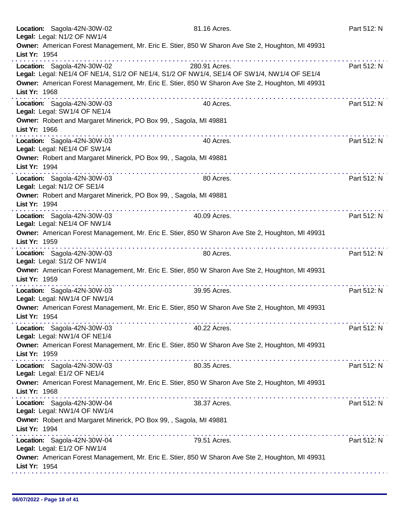|               | Location: Sagola-42N-30W-02<br>Legal: Legal: N1/2 OF NW1/4  |                                                                    | 81.16 Acres.                                                                                                | Part 512: N |
|---------------|-------------------------------------------------------------|--------------------------------------------------------------------|-------------------------------------------------------------------------------------------------------------|-------------|
| List Yr: 1954 |                                                             |                                                                    | Owner: American Forest Management, Mr. Eric E. Stier, 850 W Sharon Ave Ste 2, Houghton, MI 49931            |             |
|               | Location: Sagola-42N-30W-02                                 |                                                                    | 280.91 Acres.<br>Legal: Legal: NE1/4 OF NE1/4, S1/2 OF NE1/4, S1/2 OF NW1/4, SE1/4 OF SW1/4, NW1/4 OF SE1/4 | Part 512: N |
| List Yr: 1968 |                                                             | .                                                                  | Owner: American Forest Management, Mr. Eric E. Stier, 850 W Sharon Ave Ste 2, Houghton, MI 49931            |             |
|               | Location: Sagola-42N-30W-03<br>Legal: Legal: SW1/4 OF NE1/4 |                                                                    | 40 Acres.                                                                                                   | Part 512: N |
| List Yr: 1966 |                                                             | Owner: Robert and Margaret Minerick, PO Box 99, , Sagola, MI 49881 |                                                                                                             |             |
|               | Location: Sagola-42N-30W-03<br>Legal: Legal: NE1/4 OF SW1/4 |                                                                    | 40 Acres.                                                                                                   | Part 512: N |
| List Yr: 1994 |                                                             | Owner: Robert and Margaret Minerick, PO Box 99, , Sagola, MI 49881 |                                                                                                             |             |
|               | Location: Sagola-42N-30W-03<br>Legal: Legal: N1/2 OF SE1/4  |                                                                    | 80 Acres.                                                                                                   | Part 512: N |
| List Yr: 1994 |                                                             | Owner: Robert and Margaret Minerick, PO Box 99, , Sagola, MI 49881 |                                                                                                             |             |
|               | Location: Sagola-42N-30W-03<br>Legal: Legal: NE1/4 OF NW1/4 |                                                                    | 40.09 Acres.                                                                                                | Part 512: N |
| List Yr: 1959 |                                                             |                                                                    | Owner: American Forest Management, Mr. Eric E. Stier, 850 W Sharon Ave Ste 2, Houghton, MI 49931            |             |
|               | Location: Sagola-42N-30W-03<br>Legal: Legal: S1/2 OF NW1/4  |                                                                    | 80 Acres.                                                                                                   | Part 512: N |
| List Yr: 1959 |                                                             | .                                                                  | Owner: American Forest Management, Mr. Eric E. Stier, 850 W Sharon Ave Ste 2, Houghton, MI 49931            |             |
|               | Location: Sagola-42N-30W-03<br>Legal: Legal: NW1/4 OF NW1/4 |                                                                    | 39.95 Acres.                                                                                                | Part 512: N |
| List Yr: 1954 |                                                             |                                                                    | Owner: American Forest Management, Mr. Eric E. Stier, 850 W Sharon Ave Ste 2, Houghton, MI 49931            |             |
|               | Location: Sagola-42N-30W-03<br>Legal: Legal: NW1/4 OF NE1/4 |                                                                    | 40.22 Acres.                                                                                                | Part 512: N |
| List Yr: 1959 |                                                             |                                                                    | Owner: American Forest Management, Mr. Eric E. Stier, 850 W Sharon Ave Ste 2, Houghton, MI 49931            |             |
|               | Location: Sagola-42N-30W-03<br>Legal: Legal: E1/2 OF NE1/4  |                                                                    | 80.35 Acres.                                                                                                | Part 512: N |
| List Yr: 1968 |                                                             |                                                                    | Owner: American Forest Management, Mr. Eric E. Stier, 850 W Sharon Ave Ste 2, Houghton, MI 49931            |             |
|               | Location: Sagola-42N-30W-04<br>Legal: Legal: NW1/4 OF NW1/4 |                                                                    | 38.37 Acres.                                                                                                | Part 512: N |
| List Yr: 1994 |                                                             | Owner: Robert and Margaret Minerick, PO Box 99, , Sagola, MI 49881 |                                                                                                             |             |
|               | Location: Sagola-42N-30W-04<br>Legal: Legal: E1/2 OF NW1/4  |                                                                    | 79.51 Acres.                                                                                                | Part 512: N |
| List Yr: 1954 |                                                             |                                                                    | Owner: American Forest Management, Mr. Eric E. Stier, 850 W Sharon Ave Ste 2, Houghton, MI 49931            |             |
|               |                                                             |                                                                    |                                                                                                             |             |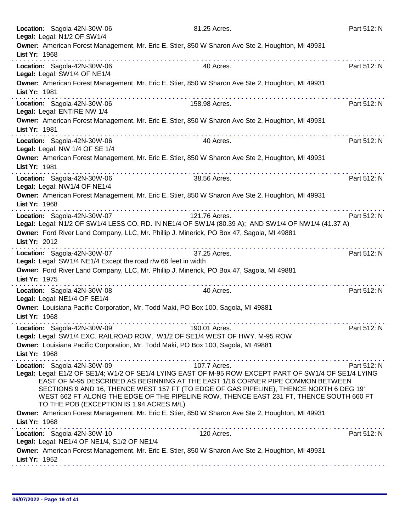| Location: Sagola-42N-30W-06<br>Legal: Legal: N1/2 OF SW1/4                                         | 81.25 Acres.                                                                                                                                                                                                                                                                                                                                                                                   | Part 512: N |
|----------------------------------------------------------------------------------------------------|------------------------------------------------------------------------------------------------------------------------------------------------------------------------------------------------------------------------------------------------------------------------------------------------------------------------------------------------------------------------------------------------|-------------|
| List Yr: 1968                                                                                      | Owner: American Forest Management, Mr. Eric E. Stier, 850 W Sharon Ave Ste 2, Houghton, MI 49931                                                                                                                                                                                                                                                                                               |             |
| Location: Sagola-42N-30W-06<br>Legal: Legal: SW1/4 OF NE1/4                                        | 40 Acres.                                                                                                                                                                                                                                                                                                                                                                                      | Part 512: N |
| List Yr: 1981                                                                                      | Owner: American Forest Management, Mr. Eric E. Stier, 850 W Sharon Ave Ste 2, Houghton, MI 49931                                                                                                                                                                                                                                                                                               |             |
| Location: Sagola-42N-30W-06<br>Legal: Legal: ENTIRE NW 1/4                                         | 158.98 Acres.                                                                                                                                                                                                                                                                                                                                                                                  | Part 512: N |
| List Yr: 1981                                                                                      | Owner: American Forest Management, Mr. Eric E. Stier, 850 W Sharon Ave Ste 2, Houghton, MI 49931                                                                                                                                                                                                                                                                                               |             |
| Location: Sagola-42N-30W-06<br>Legal: Legal: NW 1/4 OF SE 1/4                                      | 40 Acres.                                                                                                                                                                                                                                                                                                                                                                                      | Part 512: N |
| List Yr: 1981                                                                                      | Owner: American Forest Management, Mr. Eric E. Stier, 850 W Sharon Ave Ste 2, Houghton, MI 49931                                                                                                                                                                                                                                                                                               |             |
| Location: Sagola-42N-30W-06<br>Legal: Legal: NW1/4 OF NE1/4                                        | 38.56 Acres.                                                                                                                                                                                                                                                                                                                                                                                   | Part 512: N |
| List Yr: 1968                                                                                      | Owner: American Forest Management, Mr. Eric E. Stier, 850 W Sharon Ave Ste 2, Houghton, MI 49931                                                                                                                                                                                                                                                                                               |             |
| Location: Sagola-42N-30W-07                                                                        | 121.76 Acres.<br>Legal: Legal: N1/2 OF SW1/4 LESS CO. RD. IN NE1/4 OF SW1/4 (80.39 A); AND SW1/4 OF NW1/4 (41.37 A)<br>Owner: Ford River Land Company, LLC, Mr. Phillip J. Minerick, PO Box 47, Sagola, MI 49881                                                                                                                                                                               | Part 512: N |
| List Yr: 2012                                                                                      |                                                                                                                                                                                                                                                                                                                                                                                                |             |
| Location: Sagola-42N-30W-07<br>Legal: Legal: SW1/4 NE1/4 Except the road r/w 66 feet in width      | 37.25 Acres.                                                                                                                                                                                                                                                                                                                                                                                   | Part 512: N |
| List Yr: 1975                                                                                      | Owner: Ford River Land Company, LLC, Mr. Phillip J. Minerick, PO Box 47, Sagola, MI 49881                                                                                                                                                                                                                                                                                                      | .           |
| Location: Sagola-42N-30W-08<br>Legal: Legal: NE1/4 OF SE1/4                                        | 40 Acres.                                                                                                                                                                                                                                                                                                                                                                                      | Part 512: N |
| Owner: Louisiana Pacific Corporation, Mr. Todd Maki, PO Box 100, Sagola, MI 49881<br>List Yr: 1968 |                                                                                                                                                                                                                                                                                                                                                                                                |             |
| Location: Sagola-42N-30W-09                                                                        | 190.01 Acres.<br>Legal: Legal: SW1/4 EXC. RAILROAD ROW, W1/2 OF SE1/4 WEST OF HWY. M-95 ROW                                                                                                                                                                                                                                                                                                    | Part 512: N |
| Owner: Louisiana Pacific Corporation, Mr. Todd Maki, PO Box 100, Sagola, MI 49881<br>List Yr: 1968 |                                                                                                                                                                                                                                                                                                                                                                                                |             |
| Location: Sagola-42N-30W-09<br>TO THE POB (EXCEPTION IS 1.94 ACRES M/L)                            | 107.7 Acres.<br>Legal: Legal: E1/2 OF SE1/4; W1/2 OF SE1/4 LYING EAST OF M-95 ROW EXCEPT PART OF SW1/4 OF SE1/4 LYING<br>EAST OF M-95 DESCRIBED AS BEGINNING AT THE EAST 1/16 CORNER PIPE COMMON BETWEEN<br>SECTIONS 9 AND 16, THENCE WEST 157 FT (TO EDGE OF GAS PIPELINE), THENCE NORTH 6 DEG 19'<br>WEST 662 FT ALONG THE EDGE OF THE PIPELINE ROW, THENCE EAST 231 FT, THENCE SOUTH 660 FT | Part 512: N |
| List Yr: 1968                                                                                      | Owner: American Forest Management, Mr. Eric E. Stier, 850 W Sharon Ave Ste 2, Houghton, MI 49931                                                                                                                                                                                                                                                                                               |             |
| Location: Sagola-42N-30W-10<br>Legal: Legal: NE1/4 OF NE1/4, S1/2 OF NE1/4                         | 120 Acres.                                                                                                                                                                                                                                                                                                                                                                                     | Part 512: N |
| List Yr: 1952                                                                                      | Owner: American Forest Management, Mr. Eric E. Stier, 850 W Sharon Ave Ste 2, Houghton, MI 49931                                                                                                                                                                                                                                                                                               |             |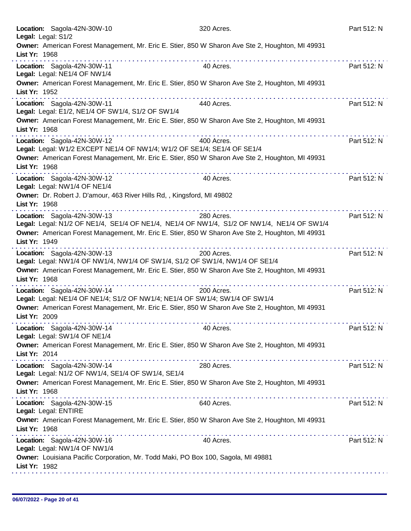| Location: Sagola-42N-30W-10<br>Legal: Legal: S1/2                                                                                                                                                                                                                                                                                                   | 320 Acres. | Part 512: N |
|-----------------------------------------------------------------------------------------------------------------------------------------------------------------------------------------------------------------------------------------------------------------------------------------------------------------------------------------------------|------------|-------------|
| Owner: American Forest Management, Mr. Eric E. Stier, 850 W Sharon Ave Ste 2, Houghton, MI 49931<br>List Yr: 1968                                                                                                                                                                                                                                   |            |             |
| Location: Sagola-42N-30W-11<br>Legal: Legal: NE1/4 OF NW1/4                                                                                                                                                                                                                                                                                         | 40 Acres.  | Part 512: N |
| Owner: American Forest Management, Mr. Eric E. Stier, 850 W Sharon Ave Ste 2, Houghton, MI 49931<br>List Yr: 1952<br>a dia 400 metatra. Ny haavon'ny toerana avo indrindra dia 1914. Ny haavon'ny toerana avo indrindra dia 1914. Ny fisiana ara-daharampehintany ary indrindra dia 1914. Ny faritany ary indrindra dia 1914. Ny faritany ary indri | .          |             |
| Location: Sagola-42N-30W-11<br>Legal: Legal: E1/2, NE1/4 OF SW1/4, S1/2 OF SW1/4                                                                                                                                                                                                                                                                    | 440 Acres. | Part 512: N |
| Owner: American Forest Management, Mr. Eric E. Stier, 850 W Sharon Ave Ste 2, Houghton, MI 49931<br>List Yr: 1968                                                                                                                                                                                                                                   |            |             |
| Location: Sagola-42N-30W-12<br>Legal: Legal: W1/2 EXCEPT NE1/4 OF NW1/4; W1/2 OF SE1/4; SE1/4 OF SE1/4                                                                                                                                                                                                                                              | 400 Acres. | Part 512: N |
| Owner: American Forest Management, Mr. Eric E. Stier, 850 W Sharon Ave Ste 2, Houghton, MI 49931<br>List Yr: 1968                                                                                                                                                                                                                                   |            |             |
| Location: Sagola-42N-30W-12<br>Legal: Legal: NW1/4 OF NE1/4                                                                                                                                                                                                                                                                                         | 40 Acres.  | Part 512: N |
| Owner: Dr. Robert J. D'amour, 463 River Hills Rd, , Kingsford, MI 49802<br>List Yr: 1968<br>.                                                                                                                                                                                                                                                       |            |             |
| Location: Sagola-42N-30W-13<br>Legal: Legal: N1/2 OF NE1/4, SE1/4 OF NE1/4, NE1/4 OF NW1/4, S1/2 OF NW1/4, NE1/4 OF SW1/4                                                                                                                                                                                                                           | 280 Acres. | Part 512: N |
| Owner: American Forest Management, Mr. Eric E. Stier, 850 W Sharon Ave Ste 2, Houghton, MI 49931<br>List Yr: 1949                                                                                                                                                                                                                                   |            |             |
| Location: Sagola-42N-30W-13<br>Legal: Legal: NW1/4 OF NW1/4, NW1/4 OF SW1/4, S1/2 OF SW1/4, NW1/4 OF SE1/4                                                                                                                                                                                                                                          | 200 Acres. | Part 512: N |
| Owner: American Forest Management, Mr. Eric E. Stier, 850 W Sharon Ave Ste 2, Houghton, MI 49931<br>List Yr: 1968                                                                                                                                                                                                                                   |            |             |
| Location: Sagola-42N-30W-14<br>Legal: Legal: NE1/4 OF NE1/4; S1/2 OF NW1/4; NE1/4 OF SW1/4; SW1/4 OF SW1/4                                                                                                                                                                                                                                          | 200 Acres. | Part 512: N |
| Owner: American Forest Management, Mr. Eric E. Stier, 850 W Sharon Ave Ste 2, Houghton, MI 49931<br>List Yr: 2009                                                                                                                                                                                                                                   |            |             |
| Location: Sagola-42N-30W-14<br>Legal: Legal: SW1/4 OF NE1/4                                                                                                                                                                                                                                                                                         | 40 Acres.  | Part 512: N |
| Owner: American Forest Management, Mr. Eric E. Stier, 850 W Sharon Ave Ste 2, Houghton, MI 49931<br>List Yr: 2014                                                                                                                                                                                                                                   |            |             |
| Location: Sagola-42N-30W-14<br>Legal: Legal: N1/2 OF NW1/4, SE1/4 OF SW1/4, SE1/4                                                                                                                                                                                                                                                                   | 280 Acres. | Part 512: N |
| Owner: American Forest Management, Mr. Eric E. Stier, 850 W Sharon Ave Ste 2, Houghton, MI 49931<br>List Yr: 1968                                                                                                                                                                                                                                   |            |             |
| Location: Sagola-42N-30W-15<br>Legal: Legal: ENTIRE                                                                                                                                                                                                                                                                                                 | 640 Acres. | Part 512: N |
| Owner: American Forest Management, Mr. Eric E. Stier, 850 W Sharon Ave Ste 2, Houghton, MI 49931<br>List Yr: 1968                                                                                                                                                                                                                                   |            |             |
| Location: Sagola-42N-30W-16<br>Legal: Legal: NW1/4 OF NW1/4                                                                                                                                                                                                                                                                                         | 40 Acres.  | Part 512: N |
| Owner: Louisiana Pacific Corporation, Mr. Todd Maki, PO Box 100, Sagola, MI 49881<br>List Yr: 1982                                                                                                                                                                                                                                                  |            |             |
|                                                                                                                                                                                                                                                                                                                                                     |            |             |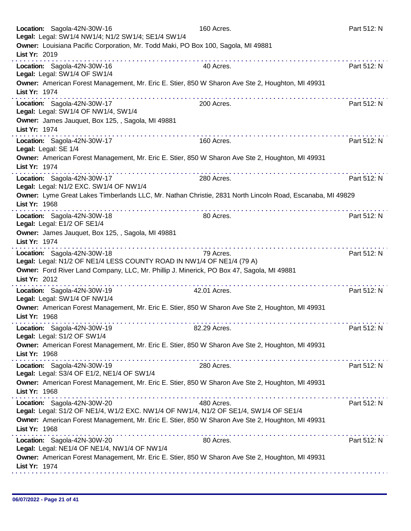| Location: Sagola-42N-30W-16<br>Legal: Legal: SW1/4 NW1/4; N1/2 SW1/4; SE1/4 SW1/4                                          | 160 Acres.   | Part 512: N |
|----------------------------------------------------------------------------------------------------------------------------|--------------|-------------|
| Owner: Louisiana Pacific Corporation, Mr. Todd Maki, PO Box 100, Sagola, MI 49881<br>List Yr: 2019                         |              |             |
| Location: Sagola-42N-30W-16<br>Legal: Legal: SW1/4 OF SW1/4                                                                | 40 Acres.    | Part 512: N |
| Owner: American Forest Management, Mr. Eric E. Stier, 850 W Sharon Ave Ste 2, Houghton, MI 49931<br>List Yr: 1974          |              |             |
| Location: Sagola-42N-30W-17<br>Legal: Legal: SW1/4 OF NW1/4, SW1/4                                                         | 200 Acres.   | Part 512: N |
| Owner: James Jauquet, Box 125, , Sagola, MI 49881<br>List Yr: 1974                                                         |              |             |
| Location: Sagola-42N-30W-17<br>Legal: Legal: SE 1/4                                                                        | 160 Acres.   | Part 512: N |
| Owner: American Forest Management, Mr. Eric E. Stier, 850 W Sharon Ave Ste 2, Houghton, MI 49931<br>List Yr: 1974<br>.     |              |             |
| Location: Sagola-42N-30W-17<br>Legal: Legal: N1/2 EXC. SW1/4 OF NW1/4                                                      | 280 Acres.   | Part 512: N |
| Owner: Lyme Great Lakes Timberlands LLC, Mr. Nathan Christie, 2831 North Lincoln Road, Escanaba, MI 49829<br>List Yr: 1968 |              |             |
| Location: Sagola-42N-30W-18<br>Legal: Legal: E1/2 OF SE1/4                                                                 | 80 Acres.    | Part 512: N |
| Owner: James Jauquet, Box 125, , Sagola, MI 49881<br>List Yr: 1974                                                         |              |             |
| Location: Sagola-42N-30W-18<br>Legal: Legal: N1/2 OF NE1/4 LESS COUNTY ROAD IN NW1/4 OF NE1/4 (79 A)                       | 79 Acres.    | Part 512: N |
| Owner: Ford River Land Company, LLC, Mr. Phillip J. Minerick, PO Box 47, Sagola, MI 49881<br>List Yr: 2012                 |              |             |
| Location: Sagola-42N-30W-19<br>Legal: Legal: SW1/4 OF NW1/4                                                                | 42.01 Acres. | Part 512: N |
| Owner: American Forest Management, Mr. Eric E. Stier, 850 W Sharon Ave Ste 2, Houghton, MI 49931<br>List Yr: 1968          |              |             |
| Location: Sagola-42N-30W-19<br>Legal: Legal: S1/2 OF SW1/4                                                                 | 82.29 Acres. | Part 512: N |
| Owner: American Forest Management, Mr. Eric E. Stier, 850 W Sharon Ave Ste 2, Houghton, MI 49931<br>List Yr: 1968          |              |             |
| Location: Sagola-42N-30W-19<br>Legal: Legal: S3/4 OF E1/2, NE1/4 OF SW1/4                                                  | 280 Acres.   | Part 512: N |
| Owner: American Forest Management, Mr. Eric E. Stier, 850 W Sharon Ave Ste 2, Houghton, MI 49931<br>List Yr: 1968          |              |             |
| Location: Sagola-42N-30W-20<br>Legal: Legal: S1/2 OF NE1/4, W1/2 EXC. NW1/4 OF NW1/4, N1/2 OF SE1/4, SW1/4 OF SE1/4        | 480 Acres.   | Part 512: N |
| Owner: American Forest Management, Mr. Eric E. Stier, 850 W Sharon Ave Ste 2, Houghton, MI 49931<br>List Yr: 1968          |              |             |
| Location: Sagola-42N-30W-20<br>Legal: Legal: NE1/4 OF NE1/4, NW1/4 OF NW1/4                                                | 80 Acres.    | Part 512: N |
| Owner: American Forest Management, Mr. Eric E. Stier, 850 W Sharon Ave Ste 2, Houghton, MI 49931<br>List Yr: 1974          |              |             |
|                                                                                                                            |              |             |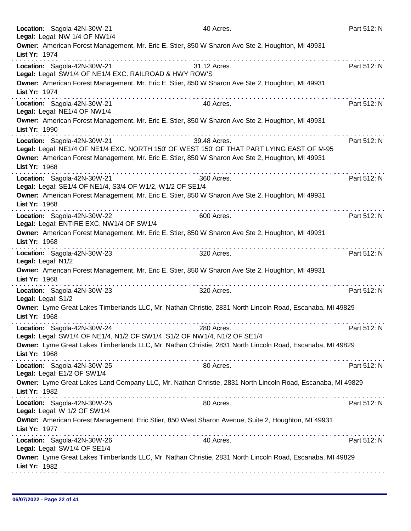|               | Location: Sagola-42N-30W-21<br>Legal: Legal: NW 1/4 OF NW1/4                                             | 40 Acres.                                                                                                  | Part 512: N |
|---------------|----------------------------------------------------------------------------------------------------------|------------------------------------------------------------------------------------------------------------|-------------|
| List Yr: 1974 |                                                                                                          | Owner: American Forest Management, Mr. Eric E. Stier, 850 W Sharon Ave Ste 2, Houghton, MI 49931           |             |
|               | Location: Sagola-42N-30W-21                                                                              | 31.12 Acres.                                                                                               | Part 512: N |
|               | Legal: Legal: SW1/4 OF NE1/4 EXC. RAILROAD & HWY ROW'S                                                   |                                                                                                            |             |
| List Yr: 1974 |                                                                                                          | Owner: American Forest Management, Mr. Eric E. Stier, 850 W Sharon Ave Ste 2, Houghton, MI 49931           |             |
|               | Location: Sagola-42N-30W-21<br>Legal: Legal: NE1/4 OF NW1/4                                              | 40 Acres.                                                                                                  | Part 512: N |
| List Yr: 1990 |                                                                                                          | Owner: American Forest Management, Mr. Eric E. Stier, 850 W Sharon Ave Ste 2, Houghton, MI 49931<br>.      |             |
|               | Location: Sagola-42N-30W-21                                                                              | 39.48 Acres.                                                                                               | Part 512: N |
|               |                                                                                                          | Legal: Legal: NE1/4 OF NE1/4 EXC. NORTH 150' OF WEST 150' OF THAT PART LYING EAST OF M-95                  |             |
| List Yr: 1968 |                                                                                                          | Owner: American Forest Management, Mr. Eric E. Stier, 850 W Sharon Ave Ste 2, Houghton, MI 49931           |             |
|               | Location: Sagola-42N-30W-21<br>Legal: Legal: SE1/4 OF NE1/4, S3/4 OF W1/2, W1/2 OF SE1/4                 | 360 Acres.                                                                                                 | Part 512: N |
| List Yr: 1968 |                                                                                                          | Owner: American Forest Management, Mr. Eric E. Stier, 850 W Sharon Ave Ste 2, Houghton, MI 49931           |             |
|               | .<br>Location: Sagola-42N-30W-22<br>Legal: Legal: ENTIRE EXC. NW1/4 OF SW1/4                             | 600 Acres.                                                                                                 | Part 512: N |
| List Yr: 1968 |                                                                                                          | Owner: American Forest Management, Mr. Eric E. Stier, 850 W Sharon Ave Ste 2, Houghton, MI 49931           |             |
|               | Location: Sagola-42N-30W-23<br>Legal: Legal: N1/2                                                        | 320 Acres.                                                                                                 | Part 512: N |
| List Yr: 1968 |                                                                                                          | Owner: American Forest Management, Mr. Eric E. Stier, 850 W Sharon Ave Ste 2, Houghton, MI 49931           |             |
|               | Location: Sagola-42N-30W-23<br>Legal: Legal: S1/2                                                        | 320 Acres.                                                                                                 | Part 512: N |
| List Yr: 1968 |                                                                                                          | Owner: Lyme Great Lakes Timberlands LLC, Mr. Nathan Christie, 2831 North Lincoln Road, Escanaba, MI 49829  |             |
|               | Location: Sagola-42N-30W-24<br>Legal: Legal: SW1/4 OF NE1/4, N1/2 OF SW1/4, S1/2 OF NW1/4, N1/2 OF SE1/4 | 280 Acres.                                                                                                 | Part 512: N |
| List Yr: 1968 |                                                                                                          | Owner: Lyme Great Lakes Timberlands LLC, Mr. Nathan Christie, 2831 North Lincoln Road, Escanaba, MI 49829  |             |
|               | Location: Sagola-42N-30W-25<br>Legal: Legal: E1/2 OF SW1/4                                               | 80 Acres.                                                                                                  | Part 512: N |
| List Yr: 1982 |                                                                                                          | Owner: Lyme Great Lakes Land Company LLC, Mr. Nathan Christie, 2831 North Lincoln Road, Escanaba, MI 49829 |             |
|               | Location: Sagola-42N-30W-25<br>Legal: Legal: W 1/2 OF SW1/4                                              | 80 Acres.                                                                                                  | Part 512: N |
| List Yr: 1977 |                                                                                                          | Owner: American Forest Management, Eric Stier, 850 West Sharon Avenue, Suite 2, Houghton, MI 49931         |             |
|               | Location: Sagola-42N-30W-26<br>Legal: Legal: SW1/4 OF SE1/4                                              | 40 Acres.                                                                                                  | Part 512: N |
| List Yr: 1982 |                                                                                                          | Owner: Lyme Great Lakes Timberlands LLC, Mr. Nathan Christie, 2831 North Lincoln Road, Escanaba, MI 49829  |             |
|               |                                                                                                          |                                                                                                            |             |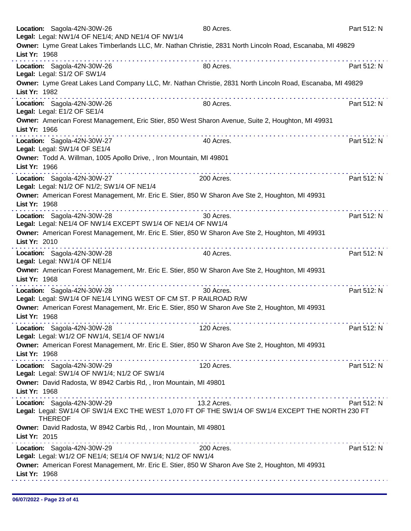|               | Location: Sagola-42N-30W-26<br>Legal: Legal: NW1/4 OF NE1/4; AND NE1/4 OF NW1/4                                                                   | 80 Acres.   | Part 512: N |
|---------------|---------------------------------------------------------------------------------------------------------------------------------------------------|-------------|-------------|
| List Yr: 1968 | Owner: Lyme Great Lakes Timberlands LLC, Mr. Nathan Christie, 2831 North Lincoln Road, Escanaba, MI 49829                                         |             |             |
|               | Location: Sagola-42N-30W-26<br>Legal: Legal: S1/2 OF SW1/4                                                                                        | 80 Acres.   | Part 512: N |
| List Yr: 1982 | Owner: Lyme Great Lakes Land Company LLC, Mr. Nathan Christie, 2831 North Lincoln Road, Escanaba, MI 49829                                        |             |             |
|               | Location: Sagola-42N-30W-26<br>Legal: Legal: E1/2 OF SE1/4                                                                                        | 80 Acres.   | Part 512: N |
| List Yr: 1966 | Owner: American Forest Management, Eric Stier, 850 West Sharon Avenue, Suite 2, Houghton, MI 49931                                                |             |             |
|               | Location: Sagola-42N-30W-27<br>Legal: Legal: SW1/4 OF SE1/4                                                                                       | 40 Acres.   | Part 512: N |
| List Yr: 1966 | Owner: Todd A. Willman, 1005 Apollo Drive, , Iron Mountain, MI 49801                                                                              |             |             |
|               | Location: Sagola-42N-30W-27<br>Legal: Legal: N1/2 OF N1/2; SW1/4 OF NE1/4                                                                         | 200 Acres.  | Part 512: N |
| List Yr: 1968 | Owner: American Forest Management, Mr. Eric E. Stier, 850 W Sharon Ave Ste 2, Houghton, MI 49931                                                  |             |             |
|               | Location: Sagola-42N-30W-28<br>Legal: Legal: NE1/4 OF NW1/4 EXCEPT SW1/4 OF NE1/4 OF NW1/4                                                        | 30 Acres.   | Part 512: N |
| List Yr: 2010 | Owner: American Forest Management, Mr. Eric E. Stier, 850 W Sharon Ave Ste 2, Houghton, MI 49931                                                  |             |             |
|               | Location: Sagola-42N-30W-28<br>Legal: Legal: NW1/4 OF NE1/4                                                                                       | 40 Acres.   | Part 512: N |
| List Yr: 1968 | Owner: American Forest Management, Mr. Eric E. Stier, 850 W Sharon Ave Ste 2, Houghton, MI 49931                                                  |             |             |
|               | Location: Sagola-42N-30W-28<br>Legal: Legal: SW1/4 OF NE1/4 LYING WEST OF CM ST. P RAILROAD R/W                                                   | 30 Acres.   | Part 512: N |
| List Yr: 1968 | Owner: American Forest Management, Mr. Eric E. Stier, 850 W Sharon Ave Ste 2, Houghton, MI 49931                                                  |             |             |
|               | Location: Sagola-42N-30W-28<br>Legal: Legal: W1/2 OF NW1/4, SE1/4 OF NW1/4                                                                        | 120 Acres.  | Part 512: N |
| List Yr: 1968 | Owner: American Forest Management, Mr. Eric E. Stier, 850 W Sharon Ave Ste 2, Houghton, MI 49931                                                  |             |             |
|               | Location: Sagola-42N-30W-29<br>Legal: Legal: SW1/4 OF NW1/4; N1/2 OF SW1/4                                                                        | 120 Acres.  | Part 512: N |
| List Yr: 1968 | Owner: David Radosta, W 8942 Carbis Rd, , Iron Mountain, MI 49801                                                                                 |             |             |
|               | Location: Sagola-42N-30W-29<br>Legal: Legal: SW1/4 OF SW1/4 EXC THE WEST 1,070 FT OF THE SW1/4 OF SW1/4 EXCEPT THE NORTH 230 FT<br><b>THEREOF</b> | 13.2 Acres. | Part 512: N |
| List Yr: 2015 | Owner: David Radosta, W 8942 Carbis Rd, , Iron Mountain, MI 49801                                                                                 |             |             |
|               | Location: Sagola-42N-30W-29<br>Legal: Legal: W1/2 OF NE1/4; SE1/4 OF NW1/4; N1/2 OF NW1/4                                                         | 200 Acres.  | Part 512: N |
| List Yr: 1968 | Owner: American Forest Management, Mr. Eric E. Stier, 850 W Sharon Ave Ste 2, Houghton, MI 49931                                                  |             |             |
|               |                                                                                                                                                   |             |             |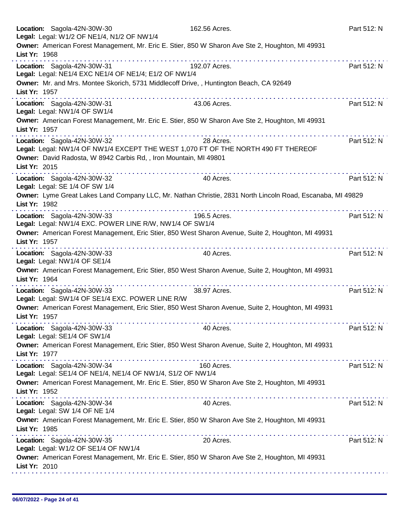|               | Location: Sagola-42N-30W-30<br>Legal: Legal: W1/2 OF NE1/4, N1/2 OF NW1/4                            | 162.56 Acres.                                                                                              | Part 512: N |
|---------------|------------------------------------------------------------------------------------------------------|------------------------------------------------------------------------------------------------------------|-------------|
| List Yr: 1968 |                                                                                                      | Owner: American Forest Management, Mr. Eric E. Stier, 850 W Sharon Ave Ste 2, Houghton, MI 49931           |             |
|               | Location: Sagola-42N-30W-31<br>Legal: Legal: NE1/4 EXC NE1/4 OF NE1/4; E1/2 OF NW1/4                 | 192.07 Acres.                                                                                              | Part 512: N |
| List Yr: 1957 |                                                                                                      | Owner: Mr. and Mrs. Montee Skorich, 5731 Middlecoff Drive, , Huntington Beach, CA 92649                    |             |
|               | Location: Sagola-42N-30W-31<br>Legal: Legal: NW1/4 OF SW1/4                                          | 43.06 Acres.                                                                                               | Part 512: N |
| List Yr: 1957 |                                                                                                      | Owner: American Forest Management, Mr. Eric E. Stier, 850 W Sharon Ave Ste 2, Houghton, MI 49931           |             |
|               | Location: Sagola-42N-30W-32                                                                          | 28 Acres.<br>Legal: Legal: NW1/4 OF NW1/4 EXCEPT THE WEST 1,070 FT OF THE NORTH 490 FT THEREOF             | Part 512: N |
| List Yr: 2015 | Owner: David Radosta, W 8942 Carbis Rd, , Iron Mountain, MI 49801                                    |                                                                                                            |             |
|               | Location: Sagola-42N-30W-32<br>Legal: Legal: SE 1/4 OF SW 1/4                                        | 40 Acres.                                                                                                  | Part 512: N |
| List Yr: 1982 |                                                                                                      | Owner: Lyme Great Lakes Land Company LLC, Mr. Nathan Christie, 2831 North Lincoln Road, Escanaba, MI 49829 |             |
|               | . <b>.</b><br>Location: Sagola-42N-30W-33<br>Legal: Legal: NW1/4 EXC. POWER LINE R/W, NW1/4 OF SW1/4 | 196.5 Acres.                                                                                               | Part 512: N |
| List Yr: 1957 |                                                                                                      | Owner: American Forest Management, Eric Stier, 850 West Sharon Avenue, Suite 2, Houghton, MI 49931         |             |
|               | Location: Sagola-42N-30W-33<br>Legal: Legal: NW1/4 OF SE1/4                                          | 40 Acres.                                                                                                  | Part 512: N |
| List Yr: 1964 |                                                                                                      | Owner: American Forest Management, Eric Stier, 850 West Sharon Avenue, Suite 2, Houghton, MI 49931         |             |
|               | Location: Sagola-42N-30W-33<br>Legal: Legal: SW1/4 OF SE1/4 EXC. POWER LINE R/W                      | 38.97 Acres.                                                                                               | Part 512: N |
| List Yr: 1957 |                                                                                                      | Owner: American Forest Management, Eric Stier, 850 West Sharon Avenue, Suite 2, Houghton, MI 49931         |             |
|               | Location: Sagola-42N-30W-33<br>Legal: Legal: SE1/4 OF SW1/4                                          | 40 Acres.                                                                                                  | Part 512: N |
| List Yr: 1977 |                                                                                                      | Owner: American Forest Management, Eric Stier, 850 West Sharon Avenue, Suite 2, Houghton, MI 49931         |             |
|               | Location: Sagola-42N-30W-34<br>Legal: Legal: SE1/4 OF NE1/4, NE1/4 OF NW1/4, S1/2 OF NW1/4           | 160 Acres.                                                                                                 | Part 512: N |
| List Yr: 1952 |                                                                                                      | Owner: American Forest Management, Mr. Eric E. Stier, 850 W Sharon Ave Ste 2, Houghton, MI 49931           |             |
|               | Location: Sagola-42N-30W-34<br>Legal: Legal: SW 1/4 OF NE 1/4                                        | 40 Acres.                                                                                                  | Part 512: N |
| List Yr: 1985 |                                                                                                      | Owner: American Forest Management, Mr. Eric E. Stier, 850 W Sharon Ave Ste 2, Houghton, MI 49931           |             |
|               | Location: Sagola-42N-30W-35<br>Legal: Legal: W1/2 OF SE1/4 OF NW1/4                                  | 20 Acres.                                                                                                  | Part 512: N |
| List Yr: 2010 |                                                                                                      | Owner: American Forest Management, Mr. Eric E. Stier, 850 W Sharon Ave Ste 2, Houghton, MI 49931           |             |
|               |                                                                                                      |                                                                                                            |             |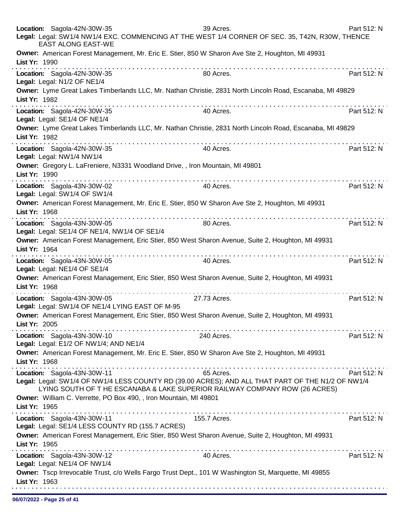| Location: Sagola-42N-30W-35                                 | <b>EAST ALONG EAST-WE</b>                                                     | 39 Acres.<br>Legal: Legal: SW1/4 NW1/4 EXC. COMMENCING AT THE WEST 1/4 CORNER OF SEC. 35, T42N, R30W, THENCE                                                                    | Part 512: N |
|-------------------------------------------------------------|-------------------------------------------------------------------------------|---------------------------------------------------------------------------------------------------------------------------------------------------------------------------------|-------------|
| List Yr: 1990                                               |                                                                               | Owner: American Forest Management, Mr. Eric E. Stier, 850 W Sharon Ave Ste 2, Houghton, MI 49931                                                                                |             |
| Location: Sagola-42N-30W-35<br>Legal: Legal: N1/2 OF NE1/4  |                                                                               | 80 Acres.                                                                                                                                                                       | Part 512: N |
| List Yr: 1982                                               |                                                                               | Owner: Lyme Great Lakes Timberlands LLC, Mr. Nathan Christie, 2831 North Lincoln Road, Escanaba, MI 49829                                                                       |             |
| Location: Sagola-42N-30W-35<br>Legal: Legal: SE1/4 OF NE1/4 |                                                                               | 40 Acres.                                                                                                                                                                       | Part 512: N |
| List Yr: 1982                                               |                                                                               | Owner: Lyme Great Lakes Timberlands LLC, Mr. Nathan Christie, 2831 North Lincoln Road, Escanaba, MI 49829                                                                       |             |
| Location: Sagola-42N-30W-35<br>Legal: Legal: NW1/4 NW1/4    |                                                                               | 40 Acres.                                                                                                                                                                       | Part 512: N |
| List Yr: 1990                                               | Owner: Gregory L. LaFreniere, N3331 Woodland Drive, , Iron Mountain, MI 49801 |                                                                                                                                                                                 |             |
| Location: Sagola-43N-30W-02<br>Legal: Legal: SW1/4 OF SW1/4 |                                                                               | 40 Acres.                                                                                                                                                                       | Part 512: N |
| List Yr: 1968                                               |                                                                               | Owner: American Forest Management, Mr. Eric E. Stier, 850 W Sharon Ave Ste 2, Houghton, MI 49931                                                                                |             |
| Location: Sagola-43N-30W-05                                 | Legal: Legal: SE1/4 OF NE1/4, NW1/4 OF SE1/4                                  | 80 Acres.                                                                                                                                                                       | Part 512: N |
| List Yr: 1964                                               |                                                                               | Owner: American Forest Management, Eric Stier, 850 West Sharon Avenue, Suite 2, Houghton, MI 49931                                                                              |             |
| Location: Sagola-43N-30W-05<br>Legal: Legal: NE1/4 OF SE1/4 |                                                                               | 40 Acres.                                                                                                                                                                       | Part 512: N |
| List Yr: 1968                                               | .                                                                             | Owner: American Forest Management, Eric Stier, 850 West Sharon Avenue, Suite 2, Houghton, MI 49931                                                                              |             |
| Location: Sagola-43N-30W-05                                 | Legal: Legal: SW1/4 OF NE1/4 LYING EAST OF M-95                               | 27.73 Acres.                                                                                                                                                                    | Part 512: N |
| List Yr: 2005                                               |                                                                               | Owner: American Forest Management, Eric Stier, 850 West Sharon Avenue, Suite 2, Houghton, MI 49931                                                                              |             |
| Location: Sagola-43N-30W-10                                 | Legal: Legal: E1/2 OF NW1/4; AND NE1/4                                        | 240 Acres.                                                                                                                                                                      | Part 512: N |
| List Yr: 1968                                               |                                                                               | Owner: American Forest Management, Mr. Eric E. Stier, 850 W Sharon Ave Ste 2, Houghton, MI 49931                                                                                |             |
| Location: Sagola-43N-30W-11                                 |                                                                               | 65 Acres.                                                                                                                                                                       | Part 512: N |
|                                                             | Owner: William C. Verrette, PO Box 490, , Iron Mountain, MI 49801             | Legal: Legal: SW1/4 OF NW1/4 LESS COUNTY RD (39.00 ACRES); AND ALL THAT PART OF THE N1/2 OF NW1/4<br>LYING SOUTH OF THE ESCANABA & LAKE SUPERIOR RAILWAY COMPANY ROW (26 ACRES) |             |
| List Yr: 1965                                               |                                                                               |                                                                                                                                                                                 |             |
| Location: Sagola-43N-30W-11                                 | Legal: Legal: SE1/4 LESS COUNTY RD (155.7 ACRES)                              | 155.7 Acres.                                                                                                                                                                    | Part 512: N |
| List Yr: 1965                                               |                                                                               | Owner: American Forest Management, Eric Stier, 850 West Sharon Avenue, Suite 2, Houghton, MI 49931                                                                              |             |
| Location: Sagola-43N-30W-12<br>Legal: Legal: NE1/4 OF NW1/4 |                                                                               | 40 Acres.                                                                                                                                                                       | Part 512: N |
| List Yr: 1963                                               |                                                                               | Owner: Tscp Irrevocable Trust, c/o Wells Fargo Trust Dept., 101 W Washington St, Marquette, MI 49855                                                                            |             |
|                                                             |                                                                               |                                                                                                                                                                                 |             |

06/07/2022 - Page 25 of 41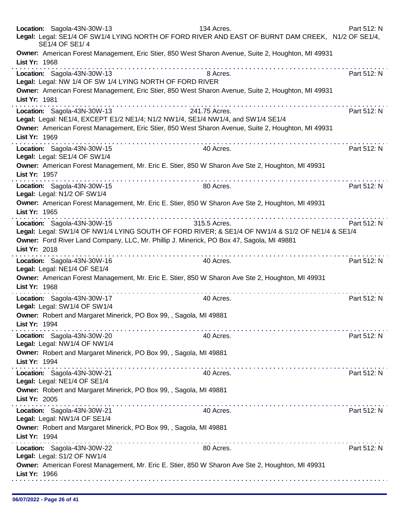| Location: Sagola-43N-30W-13<br>134 Acres.<br>Legal: Legal: SE1/4 OF SW1/4 LYING NORTH OF FORD RIVER AND EAST OF BURNT DAM CREEK, N1/2 OF SE1/4,<br>SE1/4 OF SE1/4                                                                                             | Part 512: N |
|---------------------------------------------------------------------------------------------------------------------------------------------------------------------------------------------------------------------------------------------------------------|-------------|
| Owner: American Forest Management, Eric Stier, 850 West Sharon Avenue, Suite 2, Houghton, MI 49931<br>List Yr: 1968                                                                                                                                           |             |
| Location: Sagola-43N-30W-13<br>8 Acres.<br>Legal: Legal: NW 1/4 OF SW 1/4 LYING NORTH OF FORD RIVER                                                                                                                                                           | Part 512: N |
| Owner: American Forest Management, Eric Stier, 850 West Sharon Avenue, Suite 2, Houghton, MI 49931<br>List Yr: 1981<br>.                                                                                                                                      |             |
| Location: Sagola-43N-30W-13<br>241.75 Acres.<br>Legal: Legal: NE1/4, EXCEPT E1/2 NE1/4; N1/2 NW1/4, SE1/4 NW1/4, and SW1/4 SE1/4<br>Owner: American Forest Management, Eric Stier, 850 West Sharon Avenue, Suite 2, Houghton, MI 49931<br>List Yr: 1969       | Part 512: N |
| Location: Sagola-43N-30W-15<br>40 Acres.<br>Legal: Legal: SE1/4 OF SW1/4                                                                                                                                                                                      | Part 512: N |
| Owner: American Forest Management, Mr. Eric E. Stier, 850 W Sharon Ave Ste 2, Houghton, MI 49931<br>List Yr: 1957                                                                                                                                             |             |
| Location: Sagola-43N-30W-15<br>80 Acres.<br>Legal: Legal: N1/2 OF SW1/4                                                                                                                                                                                       | Part 512: N |
| Owner: American Forest Management, Mr. Eric E. Stier, 850 W Sharon Ave Ste 2, Houghton, MI 49931<br>List Yr: 1965                                                                                                                                             |             |
| 315.5 Acres.<br>Location: Sagola-43N-30W-15<br>Legal: Legal: SW1/4 OF NW1/4 LYING SOUTH OF FORD RIVER; & SE1/4 OF NW1/4 & S1/2 OF NE1/4 & SE1/4<br>Owner: Ford River Land Company, LLC, Mr. Phillip J. Minerick, PO Box 47, Sagola, MI 49881<br>List Yr: 2018 | Part 512: N |
| Location: Sagola-43N-30W-16<br>40 Acres.<br>Legal: Legal: NE1/4 OF SE1/4                                                                                                                                                                                      | Part 512: N |
| Owner: American Forest Management, Mr. Eric E. Stier, 850 W Sharon Ave Ste 2, Houghton, MI 49931<br>List Yr: 1968                                                                                                                                             |             |
| Location: Sagola-43N-30W-17<br>40 Acres.<br>Legal: Legal: SW1/4 OF SW1/4                                                                                                                                                                                      | Part 512: N |
| Owner: Robert and Margaret Minerick, PO Box 99, , Sagola, MI 49881<br>List Yr: 1994                                                                                                                                                                           |             |
| Location: Sagola-43N-30W-20<br>40 Acres.<br>Legal: Legal: NW1/4 OF NW1/4                                                                                                                                                                                      | Part 512: N |
| Owner: Robert and Margaret Minerick, PO Box 99, , Sagola, MI 49881<br>List Yr: 1994                                                                                                                                                                           |             |
| Location: Sagola-43N-30W-21<br>40 Acres.<br>Legal: Legal: NE1/4 OF SE1/4                                                                                                                                                                                      | Part 512: N |
| Owner: Robert and Margaret Minerick, PO Box 99, , Sagola, MI 49881<br>List Yr: 2005                                                                                                                                                                           |             |
| Location: Sagola-43N-30W-21<br>40 Acres.<br>Legal: Legal: NW1/4 OF SE1/4                                                                                                                                                                                      | Part 512: N |
| Owner: Robert and Margaret Minerick, PO Box 99, , Sagola, MI 49881<br>List Yr: 1994                                                                                                                                                                           |             |
| Location: Sagola-43N-30W-22<br>80 Acres.<br>Legal: Legal: S1/2 OF NW1/4                                                                                                                                                                                       | Part 512: N |
| Owner: American Forest Management, Mr. Eric E. Stier, 850 W Sharon Ave Ste 2, Houghton, MI 49931<br>List Yr: 1966                                                                                                                                             |             |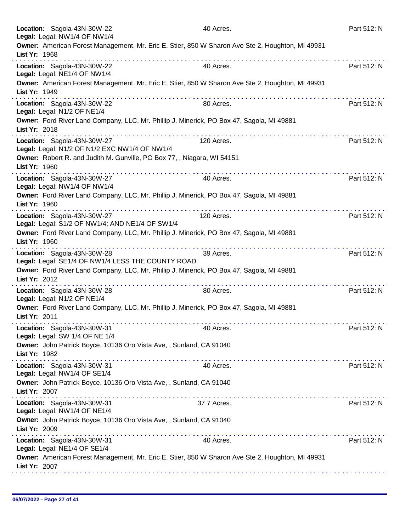|               | Location: Sagola-43N-30W-22<br>Legal: Legal: NW1/4 OF NW1/4                                                                                                                                                                                                                                                                                                                                                                                                                                                                     | 40 Acres.                                      | Part 512: N |
|---------------|---------------------------------------------------------------------------------------------------------------------------------------------------------------------------------------------------------------------------------------------------------------------------------------------------------------------------------------------------------------------------------------------------------------------------------------------------------------------------------------------------------------------------------|------------------------------------------------|-------------|
| List Yr: 1968 | Owner: American Forest Management, Mr. Eric E. Stier, 850 W Sharon Ave Ste 2, Houghton, MI 49931                                                                                                                                                                                                                                                                                                                                                                                                                                |                                                |             |
|               | Location: Sagola-43N-30W-22<br>Legal: Legal: NE1/4 OF NW1/4                                                                                                                                                                                                                                                                                                                                                                                                                                                                     | 40 Acres.                                      | Part 512: N |
| List Yr: 1949 | Owner: American Forest Management, Mr. Eric E. Stier, 850 W Sharon Ave Ste 2, Houghton, MI 49931                                                                                                                                                                                                                                                                                                                                                                                                                                |                                                |             |
|               | Location: Sagola-43N-30W-22<br>Legal: Legal: N1/2 OF NE1/4                                                                                                                                                                                                                                                                                                                                                                                                                                                                      | 80 Acres.                                      | Part 512: N |
| List Yr: 2018 | Owner: Ford River Land Company, LLC, Mr. Phillip J. Minerick, PO Box 47, Sagola, MI 49881                                                                                                                                                                                                                                                                                                                                                                                                                                       |                                                |             |
|               | and and and analysis<br>Location: Sagola-43N-30W-27<br>Legal: Legal: N1/2 OF N1/2 EXC NW1/4 OF NW1/4                                                                                                                                                                                                                                                                                                                                                                                                                            | 120 Acres.                                     | Part 512: N |
| List Yr: 1960 | Owner: Robert R. and Judith M. Gunville, PO Box 77, , Niagara, WI 54151                                                                                                                                                                                                                                                                                                                                                                                                                                                         |                                                |             |
|               | Location: Sagola-43N-30W-27<br>Legal: Legal: NW1/4 OF NW1/4                                                                                                                                                                                                                                                                                                                                                                                                                                                                     | 40 Acres.                                      | Part 512: N |
| List Yr: 1960 | Owner: Ford River Land Company, LLC, Mr. Phillip J. Minerick, PO Box 47, Sagola, MI 49881                                                                                                                                                                                                                                                                                                                                                                                                                                       |                                                |             |
|               | the second companies of the second companies<br>Location: Sagola-43N-30W-27<br>Legal: Legal: S1/2 OF NW1/4; AND NE1/4 OF SW1/4                                                                                                                                                                                                                                                                                                                                                                                                  | and a straightful and a straight<br>120 Acres. | Part 512: N |
| List Yr: 1960 | Owner: Ford River Land Company, LLC, Mr. Phillip J. Minerick, PO Box 47, Sagola, MI 49881                                                                                                                                                                                                                                                                                                                                                                                                                                       |                                                |             |
|               | Location: Sagola-43N-30W-28<br>Legal: Legal: SE1/4 OF NW1/4 LESS THE COUNTY ROAD                                                                                                                                                                                                                                                                                                                                                                                                                                                | 39 Acres.                                      | Part 512: N |
| List Yr: 2012 | Owner: Ford River Land Company, LLC, Mr. Phillip J. Minerick, PO Box 47, Sagola, MI 49881                                                                                                                                                                                                                                                                                                                                                                                                                                       |                                                |             |
|               | Location: Sagola-43N-30W-28<br>Legal: Legal: N1/2 OF NE1/4                                                                                                                                                                                                                                                                                                                                                                                                                                                                      | 80 Acres.                                      | Part 512: N |
| List Yr: 2011 | Owner: Ford River Land Company, LLC, Mr. Phillip J. Minerick, PO Box 47, Sagola, MI 49881                                                                                                                                                                                                                                                                                                                                                                                                                                       |                                                |             |
|               | Location: Sagola-43N-30W-31<br>Legal: Legal: SW 1/4 OF NE 1/4                                                                                                                                                                                                                                                                                                                                                                                                                                                                   | 40 Acres.                                      | Part 512: N |
| List Yr: 1982 | Owner: John Patrick Boyce, 10136 Oro Vista Ave,, Sunland, CA 91040                                                                                                                                                                                                                                                                                                                                                                                                                                                              |                                                |             |
|               | Location: Sagola-43N-30W-31<br>Legal: Legal: NW1/4 OF SE1/4                                                                                                                                                                                                                                                                                                                                                                                                                                                                     | 40 Acres.                                      | Part 512: N |
| List Yr: 2007 | Owner: John Patrick Boyce, 10136 Oro Vista Ave,, Sunland, CA 91040<br>$\label{eq:2.1} \begin{array}{lllllllllllllllllllll} \mathbf{1}_{\mathbf{1}} & \mathbf{1}_{\mathbf{1}} & \mathbf{1}_{\mathbf{1}} & \mathbf{1}_{\mathbf{1}} & \mathbf{1}_{\mathbf{1}} & \mathbf{1}_{\mathbf{1}} & \mathbf{1}_{\mathbf{1}} & \mathbf{1}_{\mathbf{1}} & \mathbf{1}_{\mathbf{1}} & \mathbf{1}_{\mathbf{1}} & \mathbf{1}_{\mathbf{1}} & \mathbf{1}_{\mathbf{1}} & \mathbf{1}_{\mathbf{1}} & \mathbf{1}_{\mathbf{1}} & \mathbf{1}_{\mathbf{1}}$ |                                                |             |
|               | Location: Sagola-43N-30W-31<br>Legal: Legal: NW1/4 OF NE1/4                                                                                                                                                                                                                                                                                                                                                                                                                                                                     | 37.7 Acres.                                    | Part 512: N |
| List Yr: 2009 | Owner: John Patrick Boyce, 10136 Oro Vista Ave,, Sunland, CA 91040                                                                                                                                                                                                                                                                                                                                                                                                                                                              |                                                |             |
|               | Location: Sagola-43N-30W-31<br>Legal: Legal: NE1/4 OF SE1/4                                                                                                                                                                                                                                                                                                                                                                                                                                                                     | 40 Acres.                                      | Part 512: N |
| List Yr: 2007 | Owner: American Forest Management, Mr. Eric E. Stier, 850 W Sharon Ave Ste 2, Houghton, MI 49931                                                                                                                                                                                                                                                                                                                                                                                                                                |                                                |             |
|               |                                                                                                                                                                                                                                                                                                                                                                                                                                                                                                                                 |                                                |             |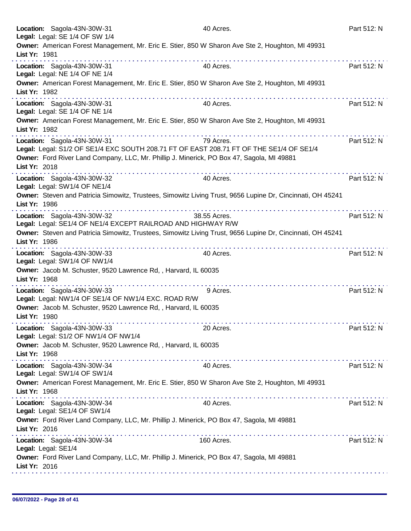|               | Location: Sagola-43N-30W-31<br>Legal: Legal: SE 1/4 OF SW 1/4                                                          | 40 Acres.    | Part 512: N |
|---------------|------------------------------------------------------------------------------------------------------------------------|--------------|-------------|
| List Yr: 1981 | Owner: American Forest Management, Mr. Eric E. Stier, 850 W Sharon Ave Ste 2, Houghton, MI 49931                       |              |             |
|               | Location: Sagola-43N-30W-31<br>Legal: Legal: NE 1/4 OF NE 1/4                                                          | 40 Acres.    | Part 512: N |
| List Yr: 1982 | Owner: American Forest Management, Mr. Eric E. Stier, 850 W Sharon Ave Ste 2, Houghton, MI 49931                       |              |             |
|               | .<br>Location: Sagola-43N-30W-31<br>Legal: Legal: SE 1/4 OF NE 1/4                                                     | 40 Acres.    | Part 512: N |
| List Yr: 1982 | Owner: American Forest Management, Mr. Eric E. Stier, 850 W Sharon Ave Ste 2, Houghton, MI 49931                       |              |             |
|               | Location: Sagola-43N-30W-31<br>Legal: Legal: S1/2 OF SE1/4 EXC SOUTH 208.71 FT OF EAST 208.71 FT OF THE SE1/4 OF SE1/4 | 79 Acres.    | Part 512: N |
| List Yr: 2018 | Owner: Ford River Land Company, LLC, Mr. Phillip J. Minerick, PO Box 47, Sagola, MI 49881                              |              |             |
|               | Location: Sagola-43N-30W-32<br>Legal: Legal: SW1/4 OF NE1/4                                                            | 40 Acres.    | Part 512: N |
| List Yr: 1986 | Owner: Steven and Patricia Simowitz, Trustees, Simowitz Living Trust, 9656 Lupine Dr, Cincinnati, OH 45241             |              |             |
|               | Location: Sagola-43N-30W-32<br>Legal: Legal: SE1/4 OF NE1/4 EXCEPT RAILROAD AND HIGHWAY R/W                            | 38.55 Acres. | Part 512: N |
| List Yr: 1986 | Owner: Steven and Patricia Simowitz, Trustees, Simowitz Living Trust, 9656 Lupine Dr, Cincinnati, OH 45241             |              |             |
|               | Location: Sagola-43N-30W-33<br>Legal: Legal: SW1/4 OF NW1/4                                                            | 40 Acres.    | Part 512: N |
| List Yr: 1968 | Owner: Jacob M. Schuster, 9520 Lawrence Rd, , Harvard, IL 60035<br>.                                                   |              |             |
|               | Location: Sagola-43N-30W-33<br>Legal: Legal: NW1/4 OF SE1/4 OF NW1/4 EXC. ROAD R/W                                     | 9 Acres.     | Part 512: N |
| List Yr: 1980 | Owner: Jacob M. Schuster, 9520 Lawrence Rd,, Harvard, IL 60035                                                         |              |             |
|               | Location: Sagola-43N-30W-33<br>Legal: Legal: S1/2 OF NW1/4 OF NW1/4                                                    | 20 Acres.    | Part 512: N |
| List Yr: 1968 | Owner: Jacob M. Schuster, 9520 Lawrence Rd, , Harvard, IL 60035                                                        |              |             |
|               | .<br>Location: Sagola-43N-30W-34<br>Legal: Legal: SW1/4 OF SW1/4                                                       | 40 Acres.    | Part 512: N |
| List Yr: 1968 | Owner: American Forest Management, Mr. Eric E. Stier, 850 W Sharon Ave Ste 2, Houghton, MI 49931                       |              |             |
|               | Location: Sagola-43N-30W-34<br>Legal: Legal: SE1/4 OF SW1/4                                                            | 40 Acres.    | Part 512: N |
| List Yr: 2016 | Owner: Ford River Land Company, LLC, Mr. Phillip J. Minerick, PO Box 47, Sagola, MI 49881                              |              |             |
|               | Location: Sagola-43N-30W-34<br>Legal: Legal: SE1/4                                                                     | 160 Acres.   | Part 512: N |
| List Yr: 2016 | Owner: Ford River Land Company, LLC, Mr. Phillip J. Minerick, PO Box 47, Sagola, MI 49881                              |              |             |
|               |                                                                                                                        |              |             |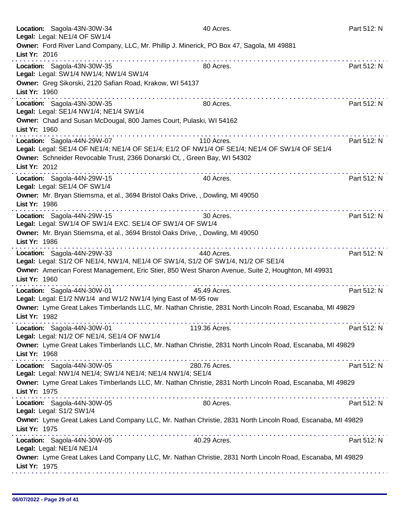| Location: Sagola-43N-30W-34<br>Legal: Legal: NE1/4 OF SW1/4                                                                                                                                                                            | 40 Acres.      | Part 512: N |
|----------------------------------------------------------------------------------------------------------------------------------------------------------------------------------------------------------------------------------------|----------------|-------------|
| Owner: Ford River Land Company, LLC, Mr. Phillip J. Minerick, PO Box 47, Sagola, MI 49881<br>List Yr: 2016                                                                                                                             |                |             |
| Location: Sagola-43N-30W-35<br>Legal: Legal: SW1/4 NW1/4; NW1/4 SW1/4<br>Owner: Greg Sikorski, 2120 Safian Road, Krakow, WI 54137<br>List Yr: 1960                                                                                     | 80 Acres.      | Part 512: N |
| .<br>Location: Sagola-43N-30W-35<br>Legal: Legal: SE1/4 NW1/4; NE1/4 SW1/4<br>Owner: Chad and Susan McDougal, 800 James Court, Pulaski, WI 54162<br>List Yr: 1960                                                                      | 80 Acres.      | Part 512: N |
| Location: Sagola-44N-29W-07<br>Legal: Legal: SE1/4 OF NE1/4; NE1/4 OF SE1/4; E1/2 OF NW1/4 OF SE1/4; NE1/4 OF SW1/4 OF SE1/4<br>Owner: Schneider Revocable Trust, 2366 Donarski Ct,, Green Bay, WI 54302<br>List Yr: 2012              | 110 Acres.     | Part 512: N |
| Location: Sagola-44N-29W-15<br>Legal: Legal: SE1/4 OF SW1/4<br>Owner: Mr. Bryan Stiemsma, et al., 3694 Bristol Oaks Drive, , Dowling, MI 49050<br>List Yr: 1986                                                                        | .<br>40 Acres. | Part 512: N |
| Location: Sagola-44N-29W-15<br>Legal: Legal: SW1/4 OF SW1/4 EXC. SE1/4 OF SW1/4 OF SW1/4<br>Owner: Mr. Bryan Stiemsma, et al., 3694 Bristol Oaks Drive, , Dowling, MI 49050<br>List Yr: 1986                                           | 30 Acres.      | Part 512: N |
| Location: Sagola-44N-29W-33<br>Legal: Legal: S1/2 OF NE1/4, NW1/4, NE1/4 OF SW1/4, S1/2 OF SW1/4, N1/2 OF SE1/4<br>Owner: American Forest Management, Eric Stier, 850 West Sharon Avenue, Suite 2, Houghton, MI 49931<br>List Yr: 1960 | 440 Acres.     | Part 512: N |
| Location: Sagola-44N-30W-01<br>Legal: Legal: E1/2 NW1/4 and W1/2 NW1/4 lying East of M-95 row<br>Owner: Lyme Great Lakes Timberlands LLC, Mr. Nathan Christie, 2831 North Lincoln Road, Escanaba, MI 49829<br>List Yr: 1982            | 45.49 Acres.   | Part 512: N |
| Location: Sagola-44N-30W-01<br>Legal: Legal: N1/2 OF NE1/4, SE1/4 OF NW1/4<br>Owner: Lyme Great Lakes Timberlands LLC, Mr. Nathan Christie, 2831 North Lincoln Road, Escanaba, MI 49829                                                | 119.36 Acres.  | Part 512: N |
| List Yr: 1968<br>Location: Sagola-44N-30W-05<br>Legal: Legal: NW1/4 NE1/4; SW1/4 NE1/4; NE1/4 NW1/4; SE1/4                                                                                                                             | 280.76 Acres.  | Part 512: N |
| Owner: Lyme Great Lakes Timberlands LLC, Mr. Nathan Christie, 2831 North Lincoln Road, Escanaba, MI 49829<br>List Yr: 1975                                                                                                             |                |             |
| Location: Sagola-44N-30W-05<br>Legal: Legal: S1/2 SW1/4<br>Owner: Lyme Great Lakes Land Company LLC, Mr. Nathan Christie, 2831 North Lincoln Road, Escanaba, MI 49829                                                                  | 80 Acres.      | Part 512: N |
| List Yr: 1975<br>Location: Sagola-44N-30W-05<br>Legal: Legal: NE1/4 NE1/4                                                                                                                                                              | 40.29 Acres.   | Part 512: N |
| Owner: Lyme Great Lakes Land Company LLC, Mr. Nathan Christie, 2831 North Lincoln Road, Escanaba, MI 49829<br>List Yr: 1975                                                                                                            |                |             |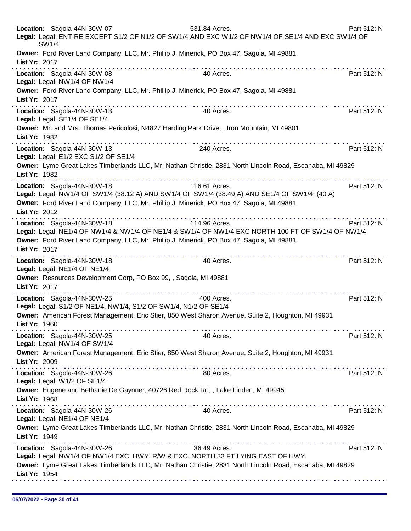| SW1/4         | Location: Sagola-44N-30W-07                                                                                              | 531.84 Acres.<br>Legal: Legal: ENTIRE EXCEPT S1/2 OF N1/2 OF SW1/4 AND EXC W1/2 OF NW1/4 OF SE1/4 AND EXC SW1/4 OF                                                                                                                                                                                                                                                                                                                                           | Part 512: N |
|---------------|--------------------------------------------------------------------------------------------------------------------------|--------------------------------------------------------------------------------------------------------------------------------------------------------------------------------------------------------------------------------------------------------------------------------------------------------------------------------------------------------------------------------------------------------------------------------------------------------------|-------------|
| List Yr: 2017 | Owner: Ford River Land Company, LLC, Mr. Phillip J. Minerick, PO Box 47, Sagola, MI 49881                                |                                                                                                                                                                                                                                                                                                                                                                                                                                                              |             |
|               | Location: Sagola-44N-30W-08<br>Legal: Legal: NW1/4 OF NW1/4                                                              | 40 Acres.                                                                                                                                                                                                                                                                                                                                                                                                                                                    | Part 512: N |
| List Yr: 2017 | Owner: Ford River Land Company, LLC, Mr. Phillip J. Minerick, PO Box 47, Sagola, MI 49881                                |                                                                                                                                                                                                                                                                                                                                                                                                                                                              |             |
|               | Location: Sagola-44N-30W-13<br>Legal: Legal: SE1/4 OF SE1/4                                                              | 40 Acres.                                                                                                                                                                                                                                                                                                                                                                                                                                                    | Part 512: N |
| List Yr: 1982 | Owner: Mr. and Mrs. Thomas Pericolosi, N4827 Harding Park Drive, , Iron Mountain, MI 49801                               |                                                                                                                                                                                                                                                                                                                                                                                                                                                              |             |
|               | Location: Sagola-44N-30W-13<br>Legal: Legal: E1/2 EXC S1/2 OF SE1/4                                                      | 240 Acres.                                                                                                                                                                                                                                                                                                                                                                                                                                                   | Part 512: N |
| List Yr: 1982 |                                                                                                                          | Owner: Lyme Great Lakes Timberlands LLC, Mr. Nathan Christie, 2831 North Lincoln Road, Escanaba, MI 49829<br>.                                                                                                                                                                                                                                                                                                                                               |             |
|               | Location: Sagola-44N-30W-18                                                                                              | 116.61 Acres.<br>Legal: Legal: NW1/4 OF SW1/4 (38.12 A) AND SW1/4 OF SW1/4 (38.49 A) AND SE1/4 OF SW1/4 (40 A)                                                                                                                                                                                                                                                                                                                                               | Part 512: N |
| List Yr: 2012 | Owner: Ford River Land Company, LLC, Mr. Phillip J. Minerick, PO Box 47, Sagola, MI 49881                                |                                                                                                                                                                                                                                                                                                                                                                                                                                                              |             |
| List Yr: 2017 | Location: Sagola-44N-30W-18<br>Owner: Ford River Land Company, LLC, Mr. Phillip J. Minerick, PO Box 47, Sagola, MI 49881 | 114.96 Acres.<br>Legal: Legal: NE1/4 OF NW1/4 & NW1/4 OF NE1/4 & SW1/4 OF NW1/4 EXC NORTH 100 FT OF SW1/4 OF NW1/4                                                                                                                                                                                                                                                                                                                                           | Part 512: N |
|               | Location: Sagola-44N-30W-18<br>Legal: Legal: NE1/4 OF NE1/4                                                              | 40 Acres.                                                                                                                                                                                                                                                                                                                                                                                                                                                    | Part 512: N |
| List Yr: 2017 | Owner: Resources Development Corp, PO Box 99, , Sagola, MI 49881                                                         | $\mathcal{L}^{\mathcal{A}}(\mathcal{A},\mathcal{A},\mathcal{A},\mathcal{A},\mathcal{A},\mathcal{A},\mathcal{A},\mathcal{A},\mathcal{A},\mathcal{A},\mathcal{A},\mathcal{A},\mathcal{A},\mathcal{A},\mathcal{A},\mathcal{A},\mathcal{A},\mathcal{A},\mathcal{A},\mathcal{A},\mathcal{A},\mathcal{A},\mathcal{A},\mathcal{A},\mathcal{A},\mathcal{A},\mathcal{A},\mathcal{A},\mathcal{A},\mathcal{A},\mathcal{A},\mathcal{A},\mathcal{A},\mathcal{A},\mathcal$ |             |
|               | Location: Sagola-44N-30W-25<br>Legal: Legal: S1/2 OF NE1/4, NW1/4, S1/2 OF SW1/4, N1/2 OF SE1/4                          | 400 Acres.                                                                                                                                                                                                                                                                                                                                                                                                                                                   | Part 512: N |
| List Yr: 1960 |                                                                                                                          | Owner: American Forest Management, Eric Stier, 850 West Sharon Avenue, Suite 2, Houghton, MI 49931                                                                                                                                                                                                                                                                                                                                                           |             |
|               | Location: Sagola-44N-30W-25<br>Legal: Legal: NW1/4 OF SW1/4                                                              | 40 Acres.                                                                                                                                                                                                                                                                                                                                                                                                                                                    | Part 512: N |
| List Yr: 2009 |                                                                                                                          | Owner: American Forest Management, Eric Stier, 850 West Sharon Avenue, Suite 2, Houghton, MI 49931                                                                                                                                                                                                                                                                                                                                                           |             |
|               | Location: Sagola-44N-30W-26<br>Legal: Legal: W1/2 OF SE1/4                                                               | 80 Acres.                                                                                                                                                                                                                                                                                                                                                                                                                                                    | Part 512: N |
| List Yr: 1968 | Owner: Eugene and Bethanie De Gaynner, 40726 Red Rock Rd, , Lake Linden, MI 49945                                        |                                                                                                                                                                                                                                                                                                                                                                                                                                                              |             |
|               | Location: Sagola-44N-30W-26<br>Legal: Legal: NE1/4 OF NE1/4                                                              | 40 Acres.                                                                                                                                                                                                                                                                                                                                                                                                                                                    | Part 512: N |
| List Yr: 1949 |                                                                                                                          | Owner: Lyme Great Lakes Timberlands LLC, Mr. Nathan Christie, 2831 North Lincoln Road, Escanaba, MI 49829                                                                                                                                                                                                                                                                                                                                                    |             |
|               | Location: Sagola-44N-30W-26                                                                                              | 36.49 Acres.<br>Legal: Legal: NW1/4 OF NW1/4 EXC. HWY. R/W & EXC. NORTH 33 FT LYING EAST OF HWY.                                                                                                                                                                                                                                                                                                                                                             | Part 512: N |
| List Yr: 1954 |                                                                                                                          | Owner: Lyme Great Lakes Timberlands LLC, Mr. Nathan Christie, 2831 North Lincoln Road, Escanaba, MI 49829                                                                                                                                                                                                                                                                                                                                                    |             |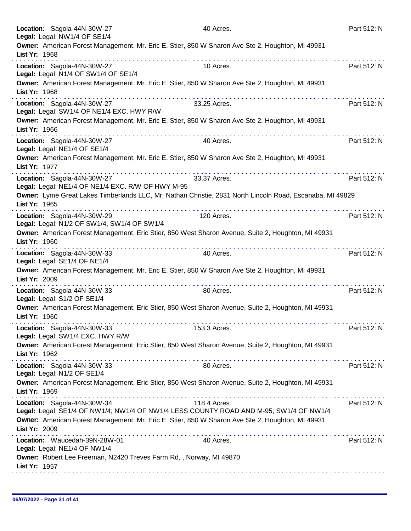| Location: Sagola-44N-30W-27<br>Legal: Legal: NW1/4 OF SE1/4                      | 40 Acres.                                                                                                 | Part 512: N |
|----------------------------------------------------------------------------------|-----------------------------------------------------------------------------------------------------------|-------------|
| List Yr: 1968                                                                    | Owner: American Forest Management, Mr. Eric E. Stier, 850 W Sharon Ave Ste 2, Houghton, MI 49931          |             |
| Location: Sagola-44N-30W-27<br>Legal: Legal: N1/4 OF SW1/4 OF SE1/4              | 10 Acres.                                                                                                 | Part 512: N |
| List Yr: 1968                                                                    | Owner: American Forest Management, Mr. Eric E. Stier, 850 W Sharon Ave Ste 2, Houghton, MI 49931          |             |
| Location: Sagola-44N-30W-27<br>Legal: Legal: SW1/4 OF NE1/4 EXC. HWY R/W         | .<br>33.25 Acres.                                                                                         | Part 512: N |
| List Yr: 1966                                                                    | Owner: American Forest Management, Mr. Eric E. Stier, 850 W Sharon Ave Ste 2, Houghton, MI 49931          |             |
| Location: Sagola-44N-30W-27<br>Legal: Legal: NE1/4 OF SE1/4                      | 40 Acres.                                                                                                 | Part 512: N |
| List Yr: 1977                                                                    | Owner: American Forest Management, Mr. Eric E. Stier, 850 W Sharon Ave Ste 2, Houghton, MI 49931          |             |
| Location: Sagola-44N-30W-27<br>Legal: Legal: NE1/4 OF NE1/4 EXC. R/W OF HWY M-95 | 33.37 Acres.                                                                                              | Part 512: N |
| List Yr: 1965                                                                    | Owner: Lyme Great Lakes Timberlands LLC, Mr. Nathan Christie, 2831 North Lincoln Road, Escanaba, MI 49829 |             |
| Location: Sagola-44N-30W-29<br>Legal: Legal: N1/2 OF SW1/4, SW1/4 OF SW1/4       | .<br>120 Acres.                                                                                           | Part 512: N |
| List Yr: 1960                                                                    | Owner: American Forest Management, Eric Stier, 850 West Sharon Avenue, Suite 2, Houghton, MI 49931        |             |
| Location: Sagola-44N-30W-33<br>Legal: Legal: SE1/4 OF NE1/4                      | 40 Acres.                                                                                                 | Part 512: N |
| List Yr: 2009                                                                    | Owner: American Forest Management, Mr. Eric E. Stier, 850 W Sharon Ave Ste 2, Houghton, MI 49931          |             |
| Location: Sagola-44N-30W-33<br>Legal: Legal: S1/2 OF SE1/4                       | 80 Acres.                                                                                                 | Part 512: N |
| List Yr: 1960                                                                    | Owner: American Forest Management, Eric Stier, 850 West Sharon Avenue, Suite 2, Houghton, MI 49931        |             |
| Location: Sagola-44N-30W-33<br>Legal: Legal: SW1/4 EXC. HWY R/W                  | 153.3 Acres.                                                                                              | Part 512: N |
| List Yr: 1962                                                                    | Owner: American Forest Management, Eric Stier, 850 West Sharon Avenue, Suite 2, Houghton, MI 49931        |             |
| Location: Sagola-44N-30W-33<br>Legal: Legal: N1/2 OF SE1/4                       | 80 Acres.                                                                                                 | Part 512: N |
| List Yr: 1969                                                                    | Owner: American Forest Management, Eric Stier, 850 West Sharon Avenue, Suite 2, Houghton, MI 49931        |             |
| Location: Sagola-44N-30W-34                                                      | 118.4 Acres.<br>Legal: Legal: SE1/4 OF NW1/4; NW1/4 OF NW1/4 LESS COUNTY ROAD AND M-95; SW1/4 OF NW1/4    | Part 512: N |
| List Yr: 2009                                                                    | Owner: American Forest Management, Mr. Eric E. Stier, 850 W Sharon Ave Ste 2, Houghton, MI 49931          |             |
| Location: Waucedah-39N-28W-01<br>Legal: Legal: NE1/4 OF NW1/4                    | 40 Acres.                                                                                                 | Part 512: N |
| List Yr: 1957                                                                    | Owner: Robert Lee Freeman, N2420 Treves Farm Rd,, Norway, MI 49870                                        |             |
|                                                                                  |                                                                                                           |             |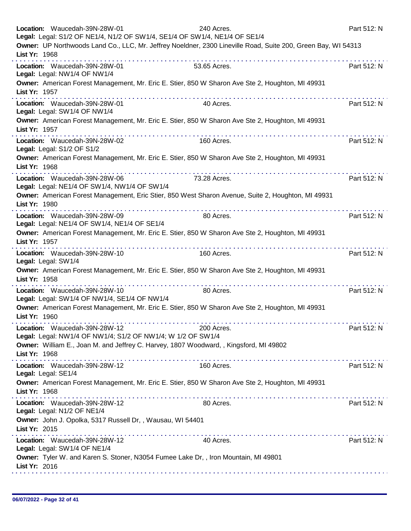|               | Location: Waucedah-39N-28W-01<br>Legal: Legal: S1/2 OF NE1/4, N1/2 OF SW1/4, SE1/4 OF SW1/4, NE1/4 OF SE1/4 | 240 Acres.<br>Owner: UP Northwoods Land Co., LLC, Mr. Jeffrey Noeldner, 2300 Lineville Road, Suite 200, Green Bay, WI 54313 | Part 512: N |
|---------------|-------------------------------------------------------------------------------------------------------------|-----------------------------------------------------------------------------------------------------------------------------|-------------|
| List Yr: 1968 |                                                                                                             |                                                                                                                             |             |
|               | Location: Waucedah-39N-28W-01<br>Legal: Legal: NW1/4 OF NW1/4                                               | 53.65 Acres.                                                                                                                | Part 512: N |
| List Yr: 1957 |                                                                                                             | Owner: American Forest Management, Mr. Eric E. Stier, 850 W Sharon Ave Ste 2, Houghton, MI 49931                            |             |
|               | Location: Waucedah-39N-28W-01<br>Legal: Legal: SW1/4 OF NW1/4                                               | 40 Acres.                                                                                                                   | Part 512: N |
| List Yr: 1957 |                                                                                                             | Owner: American Forest Management, Mr. Eric E. Stier, 850 W Sharon Ave Ste 2, Houghton, MI 49931                            |             |
|               | Location: Waucedah-39N-28W-02<br>Legal: Legal: S1/2 OF S1/2                                                 | 160 Acres.                                                                                                                  | Part 512: N |
| List Yr: 1968 |                                                                                                             | Owner: American Forest Management, Mr. Eric E. Stier, 850 W Sharon Ave Ste 2, Houghton, MI 49931                            |             |
|               | Location: Waucedah-39N-28W-06<br>Legal: Legal: NE1/4 OF SW1/4, NW1/4 OF SW1/4                               | 73.28 Acres.                                                                                                                | Part 512: N |
| List Yr: 1980 | and and and and and                                                                                         | Owner: American Forest Management, Eric Stier, 850 West Sharon Avenue, Suite 2, Houghton, MI 49931<br>.                     |             |
|               | Location: Waucedah-39N-28W-09<br>Legal: Legal: NE1/4 OF SW1/4, NE1/4 OF SE1/4                               | 80 Acres.                                                                                                                   | Part 512: N |
| List Yr: 1957 | .                                                                                                           | Owner: American Forest Management, Mr. Eric E. Stier, 850 W Sharon Ave Ste 2, Houghton, MI 49931                            |             |
|               | Location: Waucedah-39N-28W-10<br>Legal: Legal: SW1/4                                                        | 160 Acres.                                                                                                                  | Part 512: N |
| List Yr: 1958 |                                                                                                             | Owner: American Forest Management, Mr. Eric E. Stier, 850 W Sharon Ave Ste 2, Houghton, MI 49931                            |             |
|               | Location: Waucedah-39N-28W-10<br>Legal: Legal: SW1/4 OF NW1/4, SE1/4 OF NW1/4                               | 80 Acres.                                                                                                                   | Part 512: N |
| List Yr: 1960 |                                                                                                             | Owner: American Forest Management, Mr. Eric E. Stier, 850 W Sharon Ave Ste 2, Houghton, MI 49931                            |             |
|               | Location: Waucedah-39N-28W-12<br>Legal: Legal: NW1/4 OF NW1/4; S1/2 OF NW1/4; W 1/2 OF SW1/4                | 200 Acres.                                                                                                                  | Part 512: N |
| List Yr: 1968 | Owner: William E., Joan M. and Jeffrey C. Harvey, 1807 Woodward, , Kingsford, MI 49802                      |                                                                                                                             |             |
|               | Location: Waucedah-39N-28W-12<br>Legal: Legal: SE1/4                                                        | 160 Acres.                                                                                                                  | Part 512: N |
| List Yr: 1968 |                                                                                                             | Owner: American Forest Management, Mr. Eric E. Stier, 850 W Sharon Ave Ste 2, Houghton, MI 49931                            |             |
|               | Location: Waucedah-39N-28W-12<br>Legal: Legal: N1/2 OF NE1/4                                                | 80 Acres.                                                                                                                   | Part 512: N |
| List Yr: 2015 | Owner: John J. Opolka, 5317 Russell Dr,, Wausau, WI 54401                                                   |                                                                                                                             |             |
|               | Location: Waucedah-39N-28W-12<br>Legal: Legal: SW1/4 OF NE1/4                                               | 40 Acres.                                                                                                                   | Part 512: N |
| List Yr: 2016 | Owner: Tyler W. and Karen S. Stoner, N3054 Fumee Lake Dr,, Iron Mountain, MI 49801                          |                                                                                                                             |             |
|               |                                                                                                             |                                                                                                                             |             |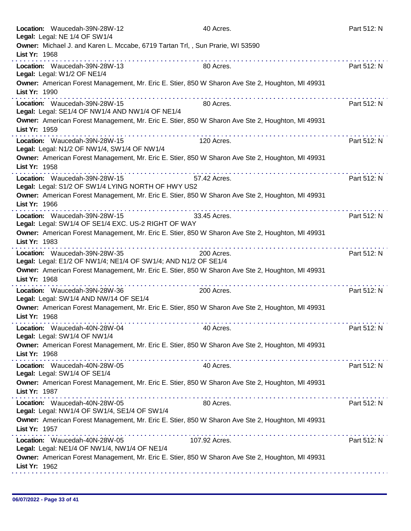| Location: Waucedah-39N-28W-12<br>Legal: Legal: NE 1/4 OF SW1/4                                  | 40 Acres.                                                                                        | Part 512: N |
|-------------------------------------------------------------------------------------------------|--------------------------------------------------------------------------------------------------|-------------|
| Owner: Michael J. and Karen L. Mccabe, 6719 Tartan Trl,, Sun Prarie, WI 53590<br>List Yr: 1968  |                                                                                                  |             |
| Location: Waucedah-39N-28W-13<br>Legal: Legal: W1/2 OF NE1/4                                    | 80 Acres.                                                                                        | Part 512: N |
| List Yr: 1990                                                                                   | Owner: American Forest Management, Mr. Eric E. Stier, 850 W Sharon Ave Ste 2, Houghton, MI 49931 |             |
| Location: Waucedah-39N-28W-15<br>Legal: Legal: SE1/4 OF NW1/4 AND NW1/4 OF NE1/4                | 80 Acres.                                                                                        | Part 512: N |
| List Yr: 1959                                                                                   | Owner: American Forest Management, Mr. Eric E. Stier, 850 W Sharon Ave Ste 2, Houghton, MI 49931 |             |
| Location: Waucedah-39N-28W-15<br>Legal: Legal: N1/2 OF NW1/4, SW1/4 OF NW1/4                    | 120 Acres.                                                                                       | Part 512: N |
| List Yr: 1958                                                                                   | Owner: American Forest Management, Mr. Eric E. Stier, 850 W Sharon Ave Ste 2, Houghton, MI 49931 |             |
| Location: Waucedah-39N-28W-15<br>Legal: Legal: S1/2 OF SW1/4 LYING NORTH OF HWY US2             | 57.42 Acres.                                                                                     | Part 512: N |
| List Yr: 1966                                                                                   | Owner: American Forest Management, Mr. Eric E. Stier, 850 W Sharon Ave Ste 2, Houghton, MI 49931 |             |
| Location: Waucedah-39N-28W-15<br>Legal: Legal: SW1/4 OF SE1/4 EXC. US-2 RIGHT OF WAY            | 33.45 Acres.                                                                                     | Part 512: N |
| List Yr: 1983                                                                                   | Owner: American Forest Management, Mr. Eric E. Stier, 850 W Sharon Ave Ste 2, Houghton, MI 49931 |             |
| Location: Waucedah-39N-28W-35<br>Legal: Legal: E1/2 OF NW1/4; NE1/4 OF SW1/4; AND N1/2 OF SE1/4 | 200 Acres.                                                                                       | Part 512: N |
| List Yr: 1968                                                                                   | Owner: American Forest Management, Mr. Eric E. Stier, 850 W Sharon Ave Ste 2, Houghton, MI 49931 |             |
| Location: Waucedah-39N-28W-36<br>Legal: Legal: SW1/4 AND NW/14 OF SE1/4                         | 200 Acres.                                                                                       | Part 512: N |
| List Yr: 1968                                                                                   | Owner: American Forest Management, Mr. Eric E. Stier, 850 W Sharon Ave Ste 2, Houghton, MI 49931 |             |
| Location: Waucedah-40N-28W-04<br>Legal: Legal: SW1/4 OF NW1/4                                   | 40 Acres.                                                                                        | Part 512: N |
| List Yr: 1968                                                                                   | Owner: American Forest Management, Mr. Eric E. Stier, 850 W Sharon Ave Ste 2, Houghton, MI 49931 |             |
| Location: Waucedah-40N-28W-05<br>Legal: Legal: SW1/4 OF SE1/4                                   | 40 Acres.                                                                                        | Part 512: N |
| List Yr: 1987                                                                                   | Owner: American Forest Management, Mr. Eric E. Stier, 850 W Sharon Ave Ste 2, Houghton, MI 49931 |             |
| Location: Waucedah-40N-28W-05<br>Legal: Legal: NW1/4 OF SW1/4, SE1/4 OF SW1/4                   | 80 Acres.                                                                                        | Part 512: N |
| List Yr: 1957                                                                                   | Owner: American Forest Management, Mr. Eric E. Stier, 850 W Sharon Ave Ste 2, Houghton, MI 49931 |             |
| Location: Waucedah-40N-28W-05<br>Legal: Legal: NE1/4 OF NW1/4, NW1/4 OF NE1/4                   | 107.92 Acres.                                                                                    | Part 512: N |
| List Yr: 1962                                                                                   | Owner: American Forest Management, Mr. Eric E. Stier, 850 W Sharon Ave Ste 2, Houghton, MI 49931 |             |
|                                                                                                 |                                                                                                  |             |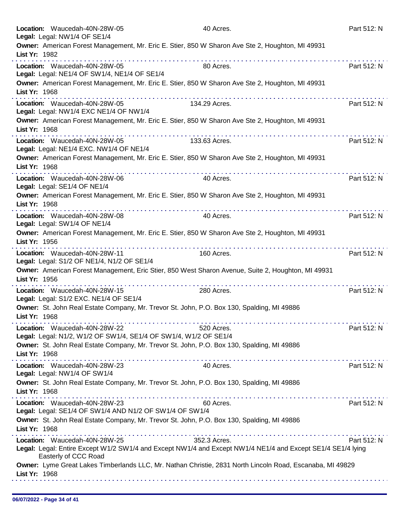| Location: Waucedah-40N-28W-05<br>Legal: Legal: NW1/4 OF SE1/4                                               | 40 Acres.                                                                                                                   | Part 512: N |
|-------------------------------------------------------------------------------------------------------------|-----------------------------------------------------------------------------------------------------------------------------|-------------|
| List Yr: 1982                                                                                               | Owner: American Forest Management, Mr. Eric E. Stier, 850 W Sharon Ave Ste 2, Houghton, MI 49931                            |             |
| Location: Waucedah-40N-28W-05<br>Legal: Legal: NE1/4 OF SW1/4, NE1/4 OF SE1/4                               | 80 Acres.                                                                                                                   | Part 512: N |
| List Yr: 1968                                                                                               | Owner: American Forest Management, Mr. Eric E. Stier, 850 W Sharon Ave Ste 2, Houghton, MI 49931                            |             |
| .<br>Location: Waucedah-40N-28W-05<br>Legal: Legal: NW1/4 EXC NE1/4 OF NW1/4                                | 134.29 Acres.                                                                                                               | Part 512: N |
| List Yr: 1968                                                                                               | Owner: American Forest Management, Mr. Eric E. Stier, 850 W Sharon Ave Ste 2, Houghton, MI 49931                            |             |
| Location: Waucedah-40N-28W-05<br>Legal: Legal: NE1/4 EXC. NW1/4 OF NE1/4                                    | 133.63 Acres.                                                                                                               | Part 512: N |
| List Yr: 1968                                                                                               | Owner: American Forest Management, Mr. Eric E. Stier, 850 W Sharon Ave Ste 2, Houghton, MI 49931                            |             |
| Location: Waucedah-40N-28W-06<br>Legal: Legal: SE1/4 OF NE1/4                                               | 40 Acres.                                                                                                                   | Part 512: N |
| List Yr: 1968                                                                                               | Owner: American Forest Management, Mr. Eric E. Stier, 850 W Sharon Ave Ste 2, Houghton, MI 49931                            |             |
| Location: Waucedah-40N-28W-08<br>Legal: Legal: SW1/4 OF NE1/4                                               | 40 Acres.                                                                                                                   | Part 512: N |
| List Yr: 1956                                                                                               | Owner: American Forest Management, Mr. Eric E. Stier, 850 W Sharon Ave Ste 2, Houghton, MI 49931                            |             |
| Location: Waucedah-40N-28W-11<br>Legal: Legal: S1/2 OF NE1/4, N1/2 OF SE1/4                                 | 160 Acres.                                                                                                                  | Part 512: N |
| List Yr: 1956<br>.                                                                                          | Owner: American Forest Management, Eric Stier, 850 West Sharon Avenue, Suite 2, Houghton, MI 49931                          |             |
| Location: Waucedah-40N-28W-15<br>Legal: Legal: S1/2 EXC. NE1/4 OF SE1/4                                     | 280 Acres.                                                                                                                  | Part 512: N |
| Owner: St. John Real Estate Company, Mr. Trevor St. John, P.O. Box 130, Spalding, MI 49886<br>List Yr: 1968 |                                                                                                                             |             |
| Location: Waucedah-40N-28W-22<br>Legal: Legal: N1/2, W1/2 OF SW1/4, SE1/4 OF SW1/4, W1/2 OF SE1/4           | 520 Acres.                                                                                                                  | Part 512: N |
| Owner: St. John Real Estate Company, Mr. Trevor St. John, P.O. Box 130, Spalding, MI 49886<br>List Yr: 1968 |                                                                                                                             |             |
| Location: Waucedah-40N-28W-23<br>Legal: Legal: NW1/4 OF SW1/4                                               | 40 Acres.                                                                                                                   | Part 512: N |
| Owner: St. John Real Estate Company, Mr. Trevor St. John, P.O. Box 130, Spalding, MI 49886<br>List Yr: 1968 |                                                                                                                             |             |
| Location: Waucedah-40N-28W-23<br>Legal: Legal: SE1/4 OF SW1/4 AND N1/2 OF SW1/4 OF SW1/4                    | 60 Acres.                                                                                                                   | Part 512: N |
| Owner: St. John Real Estate Company, Mr. Trevor St. John, P.O. Box 130, Spalding, MI 49886<br>List Yr: 1968 |                                                                                                                             |             |
| Location: Waucedah-40N-28W-25<br>Easterly of CCC Road                                                       | 352.3 Acres.<br>Legal: Legal: Entire Except W1/2 SW1/4 and Except NW1/4 and Except NW1/4 NE1/4 and Except SE1/4 SE1/4 lying | Part 512: N |
| List Yr: 1968                                                                                               | Owner: Lyme Great Lakes Timberlands LLC, Mr. Nathan Christie, 2831 North Lincoln Road, Escanaba, MI 49829                   |             |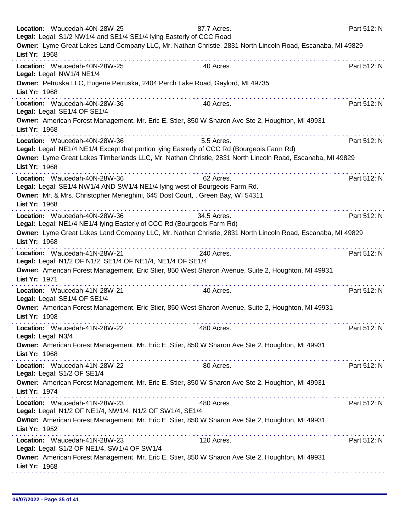| Location: Waucedah-40N-28W-25<br>Legal: Legal: S1/2 NW1/4 and SE1/4 SE1/4 lying Easterly of CCC Road                        | 87.7 Acres. | Part 512: N |
|-----------------------------------------------------------------------------------------------------------------------------|-------------|-------------|
| Owner: Lyme Great Lakes Land Company LLC, Mr. Nathan Christie, 2831 North Lincoln Road, Escanaba, MI 49829<br>List Yr: 1968 |             |             |
| Location: Waucedah-40N-28W-25<br>Legal: Legal: NW1/4 NE1/4                                                                  | 40 Acres.   | Part 512: N |
| Owner: Petruska LLC, Eugene Petruska, 2404 Perch Lake Road, Gaylord, MI 49735<br>List Yr: 1968                              |             |             |
| the property of the property of the<br>Location: Waucedah-40N-28W-36<br>Legal: Legal: SE1/4 OF SE1/4                        | 40 Acres.   | Part 512: N |
| Owner: American Forest Management, Mr. Eric E. Stier, 850 W Sharon Ave Ste 2, Houghton, MI 49931<br>List Yr: 1968           |             |             |
| Location: Waucedah-40N-28W-36<br>Legal: Legal: NE1/4 NE1/4 Except that portion lying Easterly of CCC Rd (Bourgeois Farm Rd) | 5.5 Acres.  | Part 512: N |
| Owner: Lyme Great Lakes Timberlands LLC, Mr. Nathan Christie, 2831 North Lincoln Road, Escanaba, MI 49829<br>List Yr: 1968  |             |             |
| Location: Waucedah-40N-28W-36<br>Legal: Legal: SE1/4 NW1/4 AND SW1/4 NE1/4 lying west of Bourgeois Farm Rd.                 | 62 Acres.   | Part 512: N |
| Owner: Mr. & Mrs. Christopher Meneghini, 645 Dost Court, , Green Bay, WI 54311<br>List Yr: 1968<br>.                        |             |             |
| Location: Waucedah-40N-28W-36<br>Legal: Legal: NE1/4 NE1/4 lying Easterly of CCC Rd (Bourgeois Farm Rd)                     | 34.5 Acres. | Part 512: N |
| Owner: Lyme Great Lakes Land Company LLC, Mr. Nathan Christie, 2831 North Lincoln Road, Escanaba, MI 49829<br>List Yr: 1968 |             |             |
| Location: Waucedah-41N-28W-21<br>Legal: Legal: N1/2 OF N1/2, SE1/4 OF NE1/4, NE1/4 OF SE1/4                                 | 240 Acres.  | Part 512: N |
| Owner: American Forest Management, Eric Stier, 850 West Sharon Avenue, Suite 2, Houghton, MI 49931<br>List Yr: 1971         |             |             |
| Location: Waucedah-41N-28W-21<br>Legal: Legal: SE1/4 OF SE1/4                                                               | 40 Acres.   | Part 512: N |
| Owner: American Forest Management, Eric Stier, 850 West Sharon Avenue, Suite 2, Houghton, MI 49931<br>List Yr: 1998         |             |             |
| Location: Waucedah-41N-28W-22<br>Legal: Legal: N3/4                                                                         | 480 Acres.  | Part 512: N |
| Owner: American Forest Management, Mr. Eric E. Stier, 850 W Sharon Ave Ste 2, Houghton, MI 49931<br>List Yr: 1968           |             |             |
| Location: Waucedah-41N-28W-22<br>Legal: Legal: S1/2 OF SE1/4                                                                | 80 Acres.   | Part 512: N |
| Owner: American Forest Management, Mr. Eric E. Stier, 850 W Sharon Ave Ste 2, Houghton, MI 49931<br>List Yr: 1974           |             |             |
| Location: Waucedah-41N-28W-23<br>Legal: Legal: N1/2 OF NE1/4, NW1/4, N1/2 OF SW1/4, SE1/4                                   | 480 Acres.  | Part 512: N |
| Owner: American Forest Management, Mr. Eric E. Stier, 850 W Sharon Ave Ste 2, Houghton, MI 49931<br>List Yr: 1952           |             |             |
| Location: Waucedah-41N-28W-23<br>Legal: Legal: S1/2 OF NE1/4, SW1/4 OF SW1/4                                                | 120 Acres.  | Part 512: N |
| Owner: American Forest Management, Mr. Eric E. Stier, 850 W Sharon Ave Ste 2, Houghton, MI 49931<br>List Yr: 1968           |             |             |
|                                                                                                                             |             |             |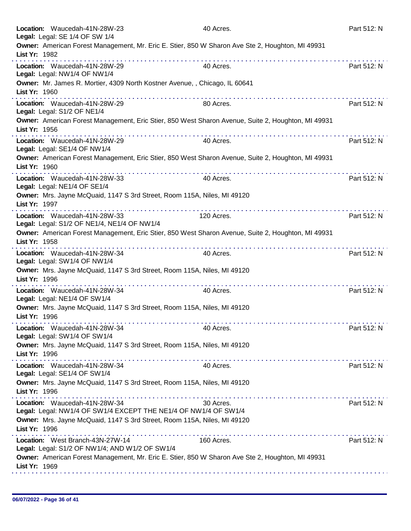| Location: Waucedah-41N-28W-23<br>Legal: Legal: SE 1/4 OF SW 1/4                                                                                | 40 Acres.  | Part 512: N |
|------------------------------------------------------------------------------------------------------------------------------------------------|------------|-------------|
| Owner: American Forest Management, Mr. Eric E. Stier, 850 W Sharon Ave Ste 2, Houghton, MI 49931<br>List Yr: 1982<br>.                         |            |             |
| Location: Waucedah-41N-28W-29<br>Legal: Legal: NW1/4 OF NW1/4                                                                                  | 40 Acres.  | Part 512: N |
| Owner: Mr. James R. Mortier, 4309 North Kostner Avenue, , Chicago, IL 60641<br>List Yr: 1960                                                   |            |             |
| Location: Waucedah-41N-28W-29<br>Legal: Legal: S1/2 OF NE1/4                                                                                   | 80 Acres.  | Part 512: N |
| Owner: American Forest Management, Eric Stier, 850 West Sharon Avenue, Suite 2, Houghton, MI 49931<br>List Yr: 1956                            |            |             |
| Location: Waucedah-41N-28W-29<br>Legal: Legal: SE1/4 OF NW1/4                                                                                  | 40 Acres.  | Part 512: N |
| Owner: American Forest Management, Eric Stier, 850 West Sharon Avenue, Suite 2, Houghton, MI 49931<br>List Yr: 1960<br>.                       |            |             |
| Location: Waucedah-41N-28W-33<br>Legal: Legal: NE1/4 OF SE1/4                                                                                  | 40 Acres.  | Part 512: N |
| Owner: Mrs. Jayne McQuaid, 1147 S 3rd Street, Room 115A, Niles, MI 49120<br>List Yr: 1997<br>.                                                 |            |             |
| Location: Waucedah-41N-28W-33<br>Legal: Legal: S1/2 OF NE1/4, NE1/4 OF NW1/4                                                                   | 120 Acres. | Part 512: N |
| Owner: American Forest Management, Eric Stier, 850 West Sharon Avenue, Suite 2, Houghton, MI 49931<br>List Yr: 1958                            |            |             |
| Location: Waucedah-41N-28W-34<br>Legal: Legal: SW1/4 OF NW1/4                                                                                  | 40 Acres.  | Part 512: N |
| Owner: Mrs. Jayne McQuaid, 1147 S 3rd Street, Room 115A, Niles, MI 49120<br>List Yr: 1996                                                      |            |             |
| Location: Waucedah-41N-28W-34<br>Legal: Legal: NE1/4 OF SW1/4                                                                                  | 40 Acres.  | Part 512: N |
| Owner: Mrs. Jayne McQuaid, 1147 S 3rd Street, Room 115A, Niles, MI 49120<br>List Yr: 1996                                                      |            |             |
| Location: Waucedah-41N-28W-34<br>Legal: Legal: SW1/4 OF SW1/4                                                                                  | 40 Acres.  | Part 512: N |
| Owner: Mrs. Jayne McQuaid, 1147 S 3rd Street, Room 115A, Niles, MI 49120<br>List Yr: 1996                                                      |            |             |
| Location: Waucedah-41N-28W-34<br>Legal: Legal: SE1/4 OF SW1/4                                                                                  | 40 Acres.  | Part 512: N |
| Owner: Mrs. Jayne McQuaid, 1147 S 3rd Street, Room 115A, Niles, MI 49120<br>List Yr: 1996<br><u> A de a de a decada a decada a decada a de</u> |            |             |
| Location: Waucedah-41N-28W-34<br>Legal: Legal: NW1/4 OF SW1/4 EXCEPT THE NE1/4 OF NW1/4 OF SW1/4                                               | 30 Acres.  | Part 512: N |
| Owner: Mrs. Jayne McQuaid, 1147 S 3rd Street, Room 115A, Niles, MI 49120<br>List Yr: 1996                                                      |            |             |
| Location: West Branch-43N-27W-14<br>Legal: Legal: S1/2 OF NW1/4; AND W1/2 OF SW1/4                                                             | 160 Acres. | Part 512: N |
| Owner: American Forest Management, Mr. Eric E. Stier, 850 W Sharon Ave Ste 2, Houghton, MI 49931<br>List Yr: 1969                              |            |             |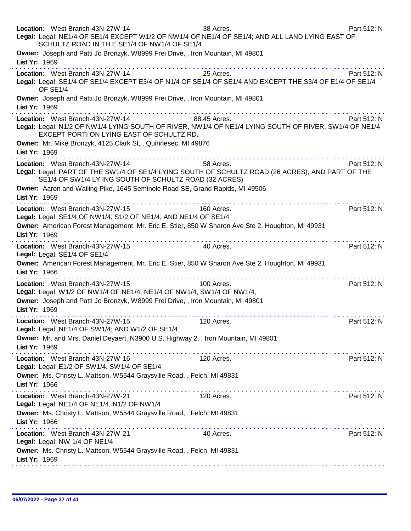| Location: West Branch-43N-27W-14<br>Legal: Legal: NE1/4 OF SE1/4 EXCEPT W1/2 OF NW1/4 OF NE1/4 OF SE1/4; AND ALL LAND LYING EAST OF<br>SCHULTZ ROAD IN TH E SE1/4 OF NW1/4 OF SE1/4                           | 38 Acres.                                                                                                        | Part 512: N |
|---------------------------------------------------------------------------------------------------------------------------------------------------------------------------------------------------------------|------------------------------------------------------------------------------------------------------------------|-------------|
| Owner: Joseph and Patti Jo Bronzyk, W8999 Frei Drive,, Iron Mountain, MI 49801<br>List Yr: 1969                                                                                                               |                                                                                                                  |             |
| Location: West Branch-43N-27W-14<br>Legal: Legal: SE1/4 OF SE1/4 EXCEPT E3/4 OF N1/4 OF SE1/4 OF SE1/4 AND EXCEPT THE S3/4 OF E1/4 OF SE1/4<br>OF SE1/4                                                       | 25 Acres.                                                                                                        | Part 512: N |
| Owner: Joseph and Patti Jo Bronzyk, W8999 Frei Drive,, Iron Mountain, MI 49801<br>List Yr: 1969<br>.                                                                                                          |                                                                                                                  |             |
| <b>88.45 Acres.</b><br>Location: West Branch-43N-27W-14<br>Legal: Legal: N1/2 OF NW1/4 LYING SOUTH OF RIVER, NW1/4 OF NE1/4 LYING SOUTH OF RIVER, SW1/4 OF NE1/4<br>EXCEPT PORTI ON LYING EAST OF SCHULTZ RD. |                                                                                                                  | Part 512: N |
| Owner: Mr. Mike Bronzyk, 4125 Clark St,, Quinnesec, MI 49876<br>List Yr: 1969                                                                                                                                 |                                                                                                                  |             |
| Location: West Branch-43N-27W-14<br>Legal: Legal: PART OF THE SW1/4 OF SE1/4 LYING SOUTH OF SCHULTZ ROAD (26 ACRES); AND PART OF THE<br>SE1/4 OF SW1/4 LY ING SOUTH OF SCHULTZ ROAD (32 ACRES)                | 58 Acres.                                                                                                        | Part 512: N |
| Owner: Aaron and Wailing Pike, 1645 Seminole Road SE, Grand Rapids, MI 49506<br>List Yr: 1969                                                                                                                 |                                                                                                                  |             |
| Location: West Branch-43N-27W-15<br>Legal: Legal: SE1/4 OF NW1/4; S1/2 OF NE1/4; AND NE1/4 OF SE1/4                                                                                                           | 160 Acres.                                                                                                       | Part 512: N |
| Owner: American Forest Management, Mr. Eric E. Stier, 850 W Sharon Ave Ste 2, Houghton, MI 49931<br>List Yr: 1969<br>.                                                                                        |                                                                                                                  |             |
| Location: West Branch-43N-27W-15<br>Legal: Legal: SE1/4 OF SE1/4                                                                                                                                              | 40 Acres.                                                                                                        | Part 512: N |
| Owner: American Forest Management, Mr. Eric E. Stier, 850 W Sharon Ave Ste 2, Houghton, MI 49931<br>List Yr: 1966                                                                                             |                                                                                                                  |             |
| Location: West Branch-43N-27W-15<br>Legal: Legal: W1/2 OF NW1/4 OF NE1/4; NE1/4 OF NW1/4; SW1/4 OF NW1/4;<br>Owner: Joseph and Patti Jo Bronzyk, W8999 Frei Drive, , Iron Mountain, MI 49801                  | 100 Acres.                                                                                                       | Part 512: N |
| List Yr: 1969<br>Location: West Branch-43N-27W-15<br>Legal: Legal: NE1/4 OF SW1/4; AND W1/2 OF SE1/4                                                                                                          | 120 Acres.                                                                                                       | Part 512: N |
| Owner: Mr. and Mrs. Daniel Deyaert, N3900 U.S. Highway 2, , Iron Mountain, MI 49801<br>List Yr: 1969                                                                                                          |                                                                                                                  |             |
| Location: West Branch-43N-27W-16<br>Legal: Legal: E1/2 OF SW1/4, SW1/4 OF SE1/4                                                                                                                               | 120 Acres.                                                                                                       | Part 512: N |
| Owner: Ms. Christy L. Mattson, W5544 Graysville Road, , Felch, MI 49831<br>List Yr: 1966                                                                                                                      |                                                                                                                  |             |
| Location: West Branch-43N-27W-21<br>Legal: Legal: NE1/4 OF NE1/4, N1/2 OF NW1/4                                                                                                                               | $\alpha$ , and $\alpha$ , and $\alpha$ , and $\alpha$ , and $\alpha$ , and $\alpha$ , and $\alpha$<br>120 Acres. | Part 512: N |
| Owner: Ms. Christy L. Mattson, W5544 Graysville Road, , Felch, MI 49831<br>List Yr: 1966                                                                                                                      |                                                                                                                  |             |
| Location: West Branch-43N-27W-21<br>Legal: Legal: NW 1/4 OF NE1/4                                                                                                                                             | 40 Acres.                                                                                                        | Part 512: N |
| Owner: Ms. Christy L. Mattson, W5544 Graysville Road, , Felch, MI 49831<br>List Yr: 1969                                                                                                                      |                                                                                                                  |             |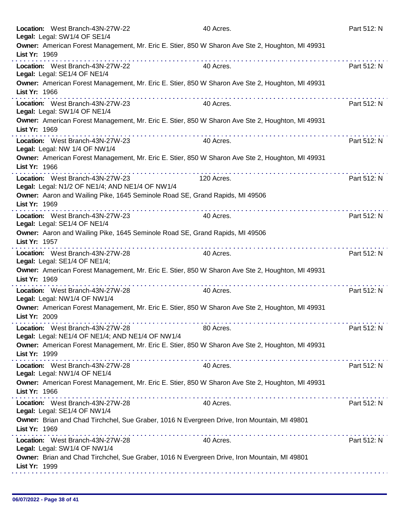|               | Location: West Branch-43N-27W-22<br>Legal: Legal: SW1/4 OF SE1/4                                      | 40 Acres.                                        | Part 512: N |
|---------------|-------------------------------------------------------------------------------------------------------|--------------------------------------------------|-------------|
| List Yr: 1969 | Owner: American Forest Management, Mr. Eric E. Stier, 850 W Sharon Ave Ste 2, Houghton, MI 49931      |                                                  |             |
|               | Location: West Branch-43N-27W-22<br>Legal: Legal: SE1/4 OF NE1/4                                      | 40 Acres.                                        | Part 512: N |
| List Yr: 1966 | Owner: American Forest Management, Mr. Eric E. Stier, 850 W Sharon Ave Ste 2, Houghton, MI 49931      |                                                  |             |
|               | .<br>Location: West Branch-43N-27W-23<br>Legal: Legal: SW1/4 OF NE1/4                                 | .<br>40 Acres.                                   | Part 512: N |
| List Yr: 1969 | Owner: American Forest Management, Mr. Eric E. Stier, 850 W Sharon Ave Ste 2, Houghton, MI 49931      |                                                  |             |
|               | Location: West Branch-43N-27W-23<br>Legal: Legal: NW 1/4 OF NW1/4                                     | dia ara-dia ara-dia ara-dia ara-dia<br>40 Acres. | Part 512: N |
| List Yr: 1966 | Owner: American Forest Management, Mr. Eric E. Stier, 850 W Sharon Ave Ste 2, Houghton, MI 49931      |                                                  |             |
|               | Location: West Branch-43N-27W-23<br>Legal: Legal: N1/2 OF NE1/4; AND NE1/4 OF NW1/4                   | 120 Acres.                                       | Part 512: N |
| List Yr: 1969 | Owner: Aaron and Wailing Pike, 1645 Seminole Road SE, Grand Rapids, MI 49506                          |                                                  |             |
|               | .<br>Location: West Branch-43N-27W-23<br>Legal: Legal: SE1/4 OF NE1/4                                 | 40 Acres.                                        | Part 512: N |
| List Yr: 1957 | Owner: Aaron and Wailing Pike, 1645 Seminole Road SE, Grand Rapids, MI 49506                          |                                                  |             |
|               | Location: West Branch-43N-27W-28<br>Legal: Legal: SE1/4 OF NE1/4;                                     | 40 Acres.                                        | Part 512: N |
| List Yr: 1969 | Owner: American Forest Management, Mr. Eric E. Stier, 850 W Sharon Ave Ste 2, Houghton, MI 49931<br>. |                                                  |             |
|               | Location: West Branch-43N-27W-28<br>Legal: Legal: NW1/4 OF NW1/4                                      | 40 Acres.                                        | Part 512: N |
| List Yr: 2009 | Owner: American Forest Management, Mr. Eric E. Stier, 850 W Sharon Ave Ste 2, Houghton, MI 49931      |                                                  |             |
|               | Location: West Branch-43N-27W-28<br>Legal: Legal: NE1/4 OF NE1/4; AND NE1/4 OF NW1/4                  | 80 Acres.                                        | Part 512: N |
| List Yr: 1999 | Owner: American Forest Management, Mr. Eric E. Stier, 850 W Sharon Ave Ste 2, Houghton, MI 49931      |                                                  |             |
|               | Location: West Branch-43N-27W-28<br>Legal: Legal: NW1/4 OF NE1/4                                      | 40 Acres.                                        | Part 512: N |
| List Yr: 1966 | Owner: American Forest Management, Mr. Eric E. Stier, 850 W Sharon Ave Ste 2, Houghton, MI 49931      |                                                  |             |
|               | Location: West Branch-43N-27W-28<br>Legal: Legal: SE1/4 OF NW1/4                                      | 40 Acres.                                        | Part 512: N |
| List Yr: 1969 | Owner: Brian and Chad Tirchchel, Sue Graber, 1016 N Evergreen Drive, Iron Mountain, MI 49801          |                                                  |             |
|               | Location: West Branch-43N-27W-28<br>Legal: Legal: SW1/4 OF NW1/4                                      | 40 Acres.                                        | Part 512: N |
| List Yr: 1999 | Owner: Brian and Chad Tirchchel, Sue Graber, 1016 N Evergreen Drive, Iron Mountain, MI 49801          |                                                  |             |
|               |                                                                                                       |                                                  |             |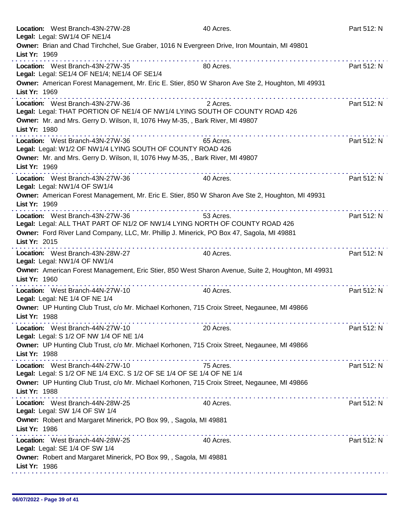|               | Location: West Branch-43N-27W-28<br>Legal: Legal: SW1/4 OF NE1/4                                                                                                                                                                                                                                     | 40 Acres.                                                                                          | Part 512: N |
|---------------|------------------------------------------------------------------------------------------------------------------------------------------------------------------------------------------------------------------------------------------------------------------------------------------------------|----------------------------------------------------------------------------------------------------|-------------|
| List Yr: 1969 | Owner: Brian and Chad Tirchchel, Sue Graber, 1016 N Evergreen Drive, Iron Mountain, MI 49801                                                                                                                                                                                                         |                                                                                                    |             |
|               | .<br>Location: West Branch-43N-27W-35<br>Legal: Legal: SE1/4 OF NE1/4; NE1/4 OF SE1/4                                                                                                                                                                                                                | 80 Acres.                                                                                          | Part 512: N |
| List Yr: 1969 | Owner: American Forest Management, Mr. Eric E. Stier, 850 W Sharon Ave Ste 2, Houghton, MI 49931                                                                                                                                                                                                     |                                                                                                    |             |
|               | Location: West Branch-43N-27W-36<br>Legal: Legal: THAT PORTION OF NE1/4 OF NW1/4 LYING SOUTH OF COUNTY ROAD 426                                                                                                                                                                                      | 2 Acres.                                                                                           | Part 512: N |
| List Yr: 1980 | Owner: Mr. and Mrs. Gerry D. Wilson, II, 1076 Hwy M-35, , Bark River, MI 49807                                                                                                                                                                                                                       |                                                                                                    |             |
|               | Location: West Branch-43N-27W-36<br>Legal: Legal: W1/2 OF NW1/4 LYING SOUTH OF COUNTY ROAD 426                                                                                                                                                                                                       | 65 Acres.                                                                                          | Part 512: N |
| List Yr: 1969 | Owner: Mr. and Mrs. Gerry D. Wilson, II, 1076 Hwy M-35, , Bark River, MI 49807                                                                                                                                                                                                                       |                                                                                                    |             |
|               | Location: West Branch-43N-27W-36<br>Legal: Legal: NW1/4 OF SW1/4                                                                                                                                                                                                                                     | 40 Acres.                                                                                          | Part 512: N |
| List Yr: 1969 | Owner: American Forest Management, Mr. Eric E. Stier, 850 W Sharon Ave Ste 2, Houghton, MI 49931                                                                                                                                                                                                     |                                                                                                    |             |
|               | Location: West Branch-43N-27W-36<br>Legal: Legal: ALL THAT PART OF N1/2 OF NW1/4 LYING NORTH OF COUNTY ROAD 426                                                                                                                                                                                      | 53 Acres.                                                                                          | Part 512: N |
| List Yr: 2015 | Owner: Ford River Land Company, LLC, Mr. Phillip J. Minerick, PO Box 47, Sagola, MI 49881                                                                                                                                                                                                            |                                                                                                    |             |
|               | Location: West Branch-43N-28W-27<br>Legal: Legal: NW1/4 OF NW1/4                                                                                                                                                                                                                                     | 40 Acres.                                                                                          | Part 512: N |
| List Yr: 1960 | <u>.</u>                                                                                                                                                                                                                                                                                             | Owner: American Forest Management, Eric Stier, 850 West Sharon Avenue, Suite 2, Houghton, MI 49931 |             |
|               | Location: West Branch-44N-27W-10<br>Legal: Legal: NE 1/4 OF NE 1/4                                                                                                                                                                                                                                   | 40 Acres.                                                                                          | Part 512: N |
| List Yr: 1988 | Owner: UP Hunting Club Trust, c/o Mr. Michael Korhonen, 715 Croix Street, Negaunee, MI 49866                                                                                                                                                                                                         |                                                                                                    |             |
|               | Location: West Branch-44N-27W-10<br>Legal: Legal: S 1/2 OF NW 1/4 OF NE 1/4                                                                                                                                                                                                                          | 20 Acres.                                                                                          | Part 512: N |
| List Yr: 1988 | Owner: UP Hunting Club Trust, c/o Mr. Michael Korhonen, 715 Croix Street, Negaunee, MI 49866                                                                                                                                                                                                         |                                                                                                    |             |
|               | Location: West Branch-44N-27W-10<br>Legal: Legal: S 1/2 OF NE 1/4 EXC. S 1/2 OF SE 1/4 OF SE 1/4 OF NE 1/4                                                                                                                                                                                           | 75 Acres.                                                                                          | Part 512: N |
| List Yr: 1988 | Owner: UP Hunting Club Trust, c/o Mr. Michael Korhonen, 715 Croix Street, Negaunee, MI 49866                                                                                                                                                                                                         |                                                                                                    |             |
|               | the contract of the contract of the contract of the contract of the contract of the contract of the contract of the contract of the contract of the contract of the contract of the contract of the contract of the contract o<br>Location: West Branch-44N-28W-25<br>Legal: Legal: SW 1/4 OF SW 1/4 | 40 Acres.                                                                                          | Part 512: N |
| List Yr: 1986 | Owner: Robert and Margaret Minerick, PO Box 99, , Sagola, MI 49881                                                                                                                                                                                                                                   |                                                                                                    |             |
|               | Location: West Branch-44N-28W-25<br>Legal: Legal: SE 1/4 OF SW 1/4                                                                                                                                                                                                                                   | 40 Acres.                                                                                          | Part 512: N |
| List Yr: 1986 | Owner: Robert and Margaret Minerick, PO Box 99, , Sagola, MI 49881                                                                                                                                                                                                                                   |                                                                                                    |             |
|               |                                                                                                                                                                                                                                                                                                      |                                                                                                    |             |